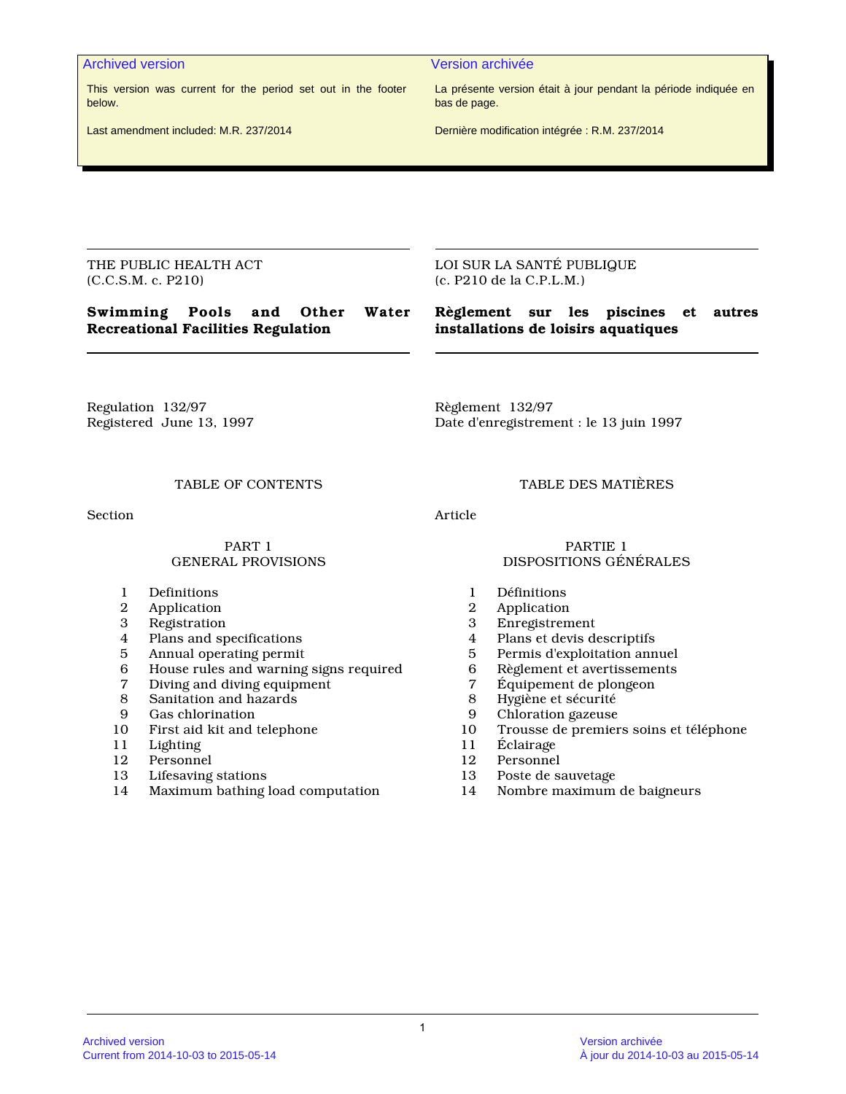#### Archived version Version archivée

This version was current for the period set out in the footer below.

Last amendment included: M.R. 237/2014

La présente version était à jour pendant la période indiquée en bas de page.

Dernière modification intégrée : R.M. 237/2014

THE PUBLIC HEALTH ACT (C.C.S.M. c. P210)

**Swimming Pools and Other Water Recreational Facilities Regulation**

LOI SUR LA SANTÉ PUBLIQUE (c. P210 de la C.P.L.M.)

# **Règlement sur les piscines et autres installations de loisirs aquatiques**

Regulation 132/97 Registered June 13, 1997 Règlement 132/97 Date d'enregistrement : le 13 juin 1997

Section **Article** 

#### PART 1 GENERAL PROVISIONS

- 1 Definitions<br>2 Application
- **Application**
- 3 Registration
- Plans and specifications
- 5 Annual operating permit
- 6 House rules and warning signs required<br>7 Diving and diving equipment
- 7 Diving and diving equipment
- Sanitation and hazards
- 9 Gas chlorination<br>10 First aid kit and
- First aid kit and telephone
- 11 Lighting<br>12 Personne
- 12 Personnel<br>13 Lifesaving
- Lifesaving stations
- 14 Maximum bathing load computation

TABLE OF CONTENTS TABLE DES MATIÈRES

#### PARTIE 1 DISPOSITIONS GÉNÉRALES

- 1 Définitions<br>2 Application
- 2 Application<br>3 Enregistrem
- 3 Enregistrement<br>4 Plans et devis de
- 4 Plans et devis descriptifs<br>5 Permis d'exploitation ann
- 5 Permis d'exploitation annuel
- 6 Règlement et avertissements<br>7 Équipement de plongeon
- 7 Équipement de plongeon<br>8 Hygiène et sécurité
- 8 Hygiène et sécurité
- 9 Chloration gazeuse
- 10 Trousse de premiers soins et téléphone<br>11 Éclairage
- 11 Éclairage<br>12 Personnel
- Personnel
- 13 Poste de sauvetage
- 14 Nombre maximum de baigneurs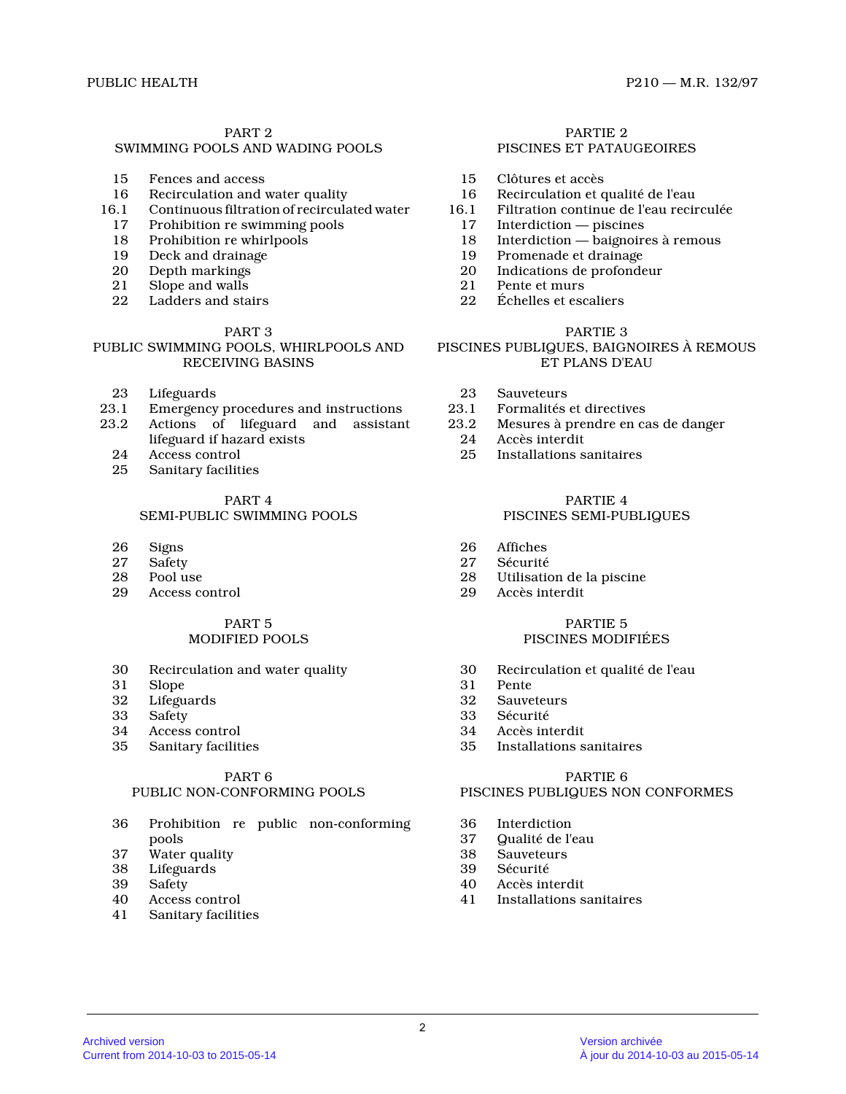# PART 2

# SWIMMING POOLS AND WADING POOLS

- 15 Fences and access
- 16 Recirculation and water quality<br>16.1 Continuous filtration of recircula
- 16.1 Continuous filtration of recirculated water
- 17 Prohibition re swimming pools
- 18 Prohibition re whirlpools
- 19 Deck and drainage<br>20 Depth markings
- 20 Depth markings<br>21 Slope and walls
- 21 Slope and walls<br>22 Ladders and sta
- Ladders and stairs

#### PART 3

# PUBLIC SWIMMING POOLS, WHIRLPOOLS AND RECEIVING BASINS

- 23 Lifeguards<br>23.1 Emergency
- 23.1 Emergency procedures and instructions<br>23.2 Actions of lifeguard and assistant
- Actions of lifeguard and assistant lifeguard if hazard exists
- 24 Access control<br>25 Sanitary facilit
- Sanitary facilities

#### PART 4 SEMI-PUBLIC SWIMMING POOLS

- 
- 26 Signs<br>27 Safety
- 27 Safety<br>28 Pool u
- 28 Pool use<br>29 Access co Access control

#### PART 5 MODIFIED POOLS

- 30 Recirculation and water quality<br>31 Slope
- 31 Slope
- 32 Lifeguards
- 33 Safety<br>34 Access
- 34 Access control<br>35 Sanitary facilit
- Sanitary facilities

#### PART 6 PUBLIC NON-CONFORMING POOLS

- 36 Prohibition re public non-conforming pools
- 37 Water quality<br>38 Lifeguards
- 38 Lifeguards
- 39 Safety<br>40 Access
- Access control
- 41 Sanitary facilities

#### PARTIE 2 PISCINES ET PATAUGEOIRES

- 15 Clôtures et accès
- 16 Recirculation et qualité de l'eau<br>16.1 Filtration continue de l'eau recir
- 6.1 Filtration continue de l'eau recirculée<br>17 Interdiction piscines
	- 17 Interdiction piscines<br>18 Interdiction baignoire
	- Interdiction baignoires à remous
- 19 Promenade et drainage<br>20 Indications de profonde
- Indications de profondeur
- 21 Pente et murs<br>22 Échelles et esc
- Échelles et escaliers

#### PARTIE 3

# PISCINES PUBLIQUES, BAIGNOIRES À REMOUS ET PLANS D'EAU

- 
- 23 Sauveteurs<br>23.1 Formalités 23.1 Formalités et directives<br>23.2 Mesures à prendre en ca
- Mesures à prendre en cas de danger
- 24 Accès interdit<br>25 Installations s
- 25 Installations sanitaires

#### PARTIE 4

# PISCINES SEMI-PUBLIQUES

- 26 Affiches<br>27 Sécurité
- 27 Sécurité<br>28 Utilisatio
- 28 Utilisation de la piscine<br>29 Accès interdit
- Accès interdit

#### PARTIE 5 PISCINES MODIFIÉES

- 30 Recirculation et qualité de l'eau
- 31 Pente
- 32 Sauveteurs<br>33 Sécurité
- 33 Sécurité<br>34 Accès ini
- 34 Accès interdit<br>35 Installations s
- Installations sanitaires

# PARTIE 6 PISCINES PUBLIQUES NON CONFORMES

- 36 Interdiction<br>37 Qualité de l'e
- 37 Qualité de l'eau
- 38 Sauveteurs<br>39 Sécurité
- 39 Sécurité<br>40 Accès inf
- 40 Accès interdit
- 41 Installations sanitaires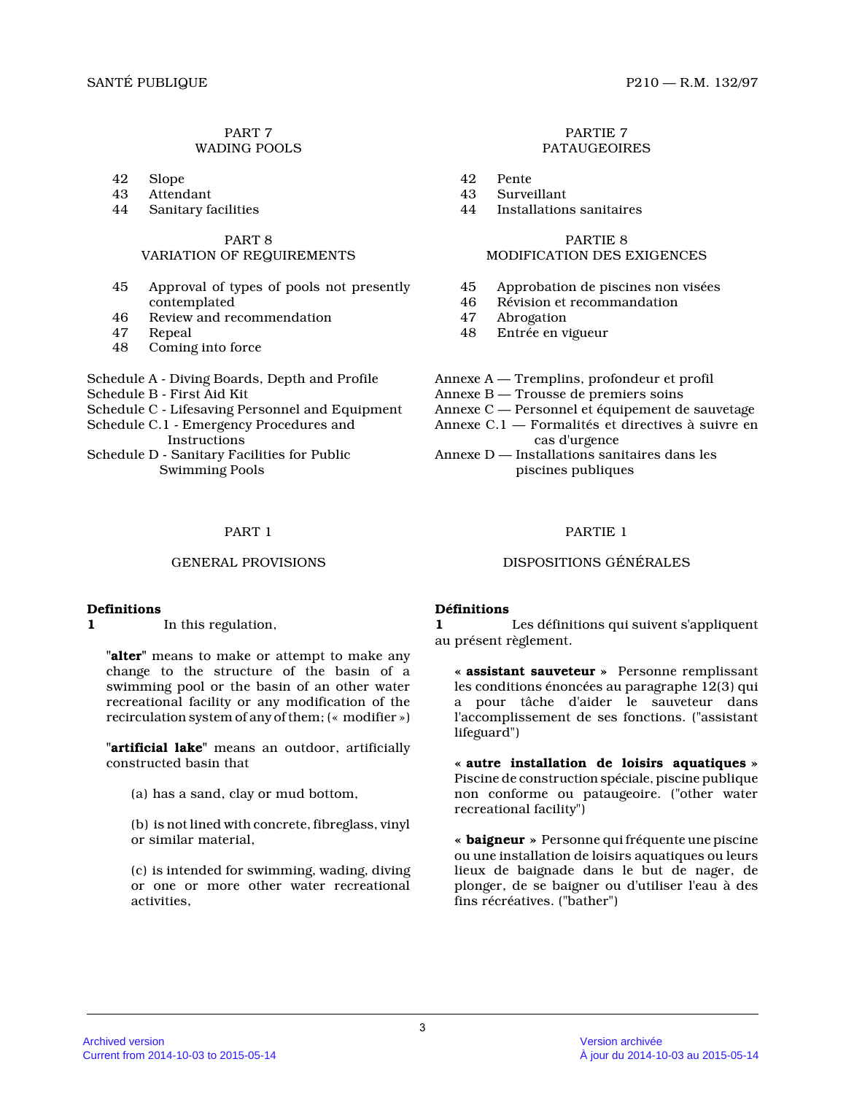# PART 7 WADING POOLS

- 42 Slope
- 
- 43 Attendant<br>44 Sanitary fa Sanitary facilities

#### PART 8

# VARIATION OF REQUIREMENTS

- 45 Approval of types of pools not presently contemplated
- 46 Review and recommendation
- 47 Repeal
- 48 Coming into force
- Schedule A Diving Boards, Depth and Profile
- Schedule B First Aid Kit
- Schedule C Lifesaving Personnel and Equipment
- Schedule C.1 Emergency Procedures and
- Instructions Schedule D - Sanitary Facilities for Public
	- Swimming Pools

# **Definitions**

**1** In this regulation,

**"alter"** means to make or attempt to make any change to the structure of the basin of a swimming pool or the basin of an other water recreational facility or any modification of the recirculation system of any of them; (« modifier »)

**"artificial lake"** means an outdoor, artificially constructed basin that

(a) has a sand, clay or mud bottom,

(b) is not lined with concrete, fibreglass, vinyl or similar material,

(c) is intended for swimming, wading, diving or one or more other water recreational activities,

#### PARTIE 7 PATAUGEOIRES

- 42 Pente
- 43 Surveillant<br>44 Installation
- Installations sanitaires

# PARTIE 8

# MODIFICATION DES EXIGENCES

- 45 Approbation de piscines non visées
- 46 Révision et recommandation
- Abrogation
- 48 Entrée en vigueur
- Annexe A Tremplins, profondeur et profil
- Annexe B Trousse de premiers soins
- Annexe C Personnel et équipement de sauvetage
- Annexe C.1 Formalités et directives à suivre en cas d'urgence
- Annexe D Installations sanitaires dans les piscines publiques

# PART 1 PARTIE 1

# GENERAL PROVISIONS DISPOSITIONS GÉNÉRALES

# **Définitions**

**1** Les définitions qui suivent s'appliquent au présent règlement.

**« assistant sauveteur »** Personne remplissant les conditions énoncées au paragraphe 12(3) qui a pour tâche d'aider le sauveteur dans l'accomplissement de ses fonctions. ("assistant lifeguard")

**« autre installation de loisirs aquatiques »** Piscine de construction spéciale, piscine publique non conforme ou pataugeoire. ("other water recreational facility")

**« baigneur »** Personne qui fréquente une piscine ou une installation de loisirs aquatiques ou leurs lieux de baignade dans le but de nager, de plonger, de se baigner ou d'utiliser l'eau à des fins récréatives. ("bather")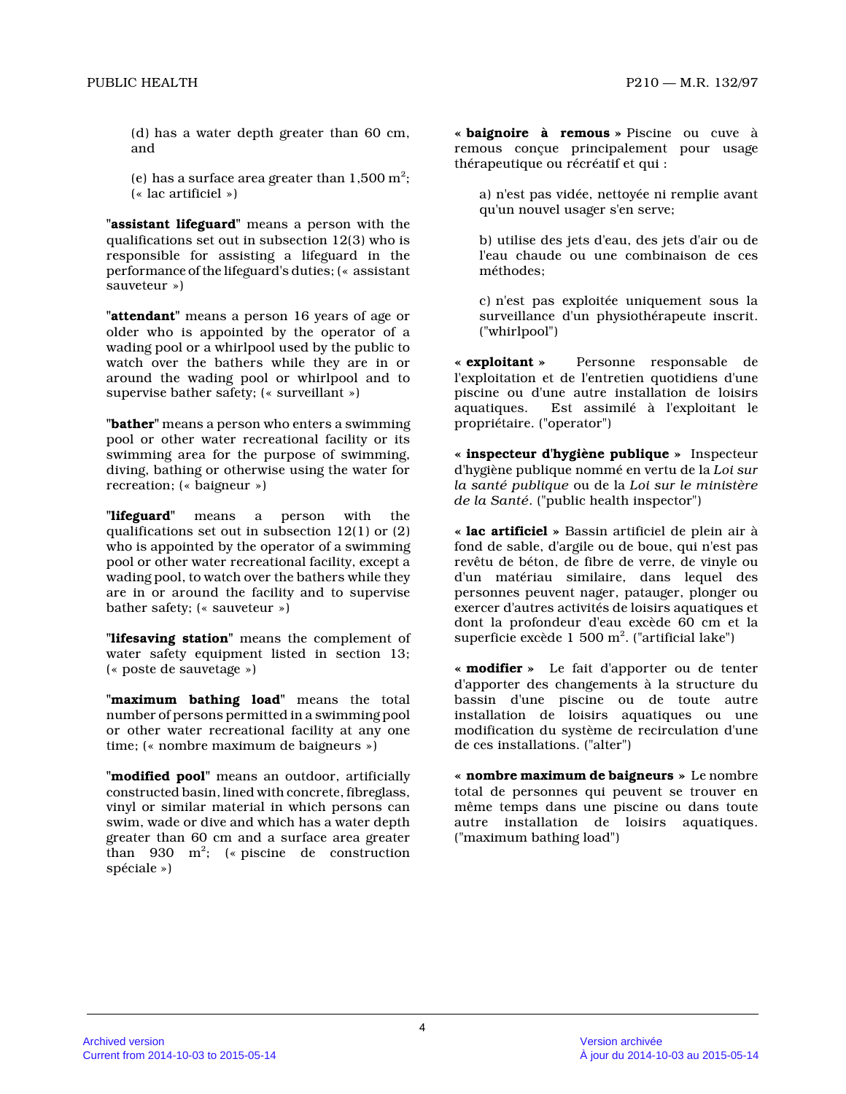(d) has a water depth greater than 60 cm, and

(e) has a surface area greater than  $1,500 \text{ m}^2$ ; (« lac artificiel »)

**"assistant lifeguard"** means a person with the qualifications set out in subsection 12(3) who is responsible for assisting a lifeguard in the performance of the lifeguard's duties; (« assistant sauveteur »)

**"attendant"** means a person 16 years of age or older who is appointed by the operator of a wading pool or a whirlpool used by the public to watch over the bathers while they are in or around the wading pool or whirlpool and to supervise bather safety; (« surveillant »)

**"bather"** means a person who enters a swimming pool or other water recreational facility or its swimming area for the purpose of swimming, diving, bathing or otherwise using the water for recreation; (« baigneur »)

**"lifeguard"** means a person with the qualifications set out in subsection 12(1) or (2) who is appointed by the operator of a swimming pool or other water recreational facility, except a wading pool, to watch over the bathers while they are in or around the facility and to supervise bather safety; (« sauveteur »)

**"lifesaving station"** means the complement of water safety equipment listed in section 13; (« poste de sauvetage »)

**"maximum bathing load"** means the total number of persons permitted in a swimming pool or other water recreational facility at any one time; (« nombre maximum de baigneurs »)

**"modified pool"** means an outdoor, artificially constructed basin, lined with concrete, fibreglass, vinyl or similar material in which persons can swim, wade or dive and which has a water depth greater than 60 cm and a surface area greater than 930  $m^2$ ; (« piscine de construction spéciale »)

**« baignoire à remous »** Piscine ou cuve à remous conçue principalement pour usage thérapeutique ou récréatif et qui :

a) n'est pas vidée, nettoyée ni remplie avant qu'un nouvel usager s'en serve;

b) utilise des jets d'eau, des jets d'air ou de l'eau chaude ou une combinaison de ces méthodes;

c) n'est pas exploitée uniquement sous la surveillance d'un physiothérapeute inscrit. ("whirlpool")

**« exploitant »** Personne responsable de l'exploitation et de l'entretien quotidiens d'une piscine ou d'une autre installation de loisirs Est assimilé à l'exploitant le propriétaire. ("operator")

**« inspecteur d'hygiène publique »** Inspecteur d'hygiène publique nommé en vertu de la *Loi sur la santé publique* ou de la *Loi sur le ministère de la Santé*. ("public health inspector")

**« lac artificiel »** Bassin artificiel de plein air à fond de sable, d'argile ou de boue, qui n'est pas revêtu de béton, de fibre de verre, de vinyle ou d'un matériau similaire, dans lequel des personnes peuvent nager, patauger, plonger ou exercer d'autres activités de loisirs aquatiques et dont la profondeur d'eau excède 60 cm et la superficie excède  $1\,$  500  $\mathrm{m}^{2}$ . ("artificial lake")

**« modifier »** Le fait d'apporter ou de tenter d'apporter des changements à la structure du bassin d'une piscine ou de toute autre installation de loisirs aquatiques ou une modification du système de recirculation d'une de ces installations. ("alter")

**« nombre maximum de baigneurs »** Le nombre total de personnes qui peuvent se trouver en même temps dans une piscine ou dans toute autre installation de loisirs aquatiques. ("maximum bathing load")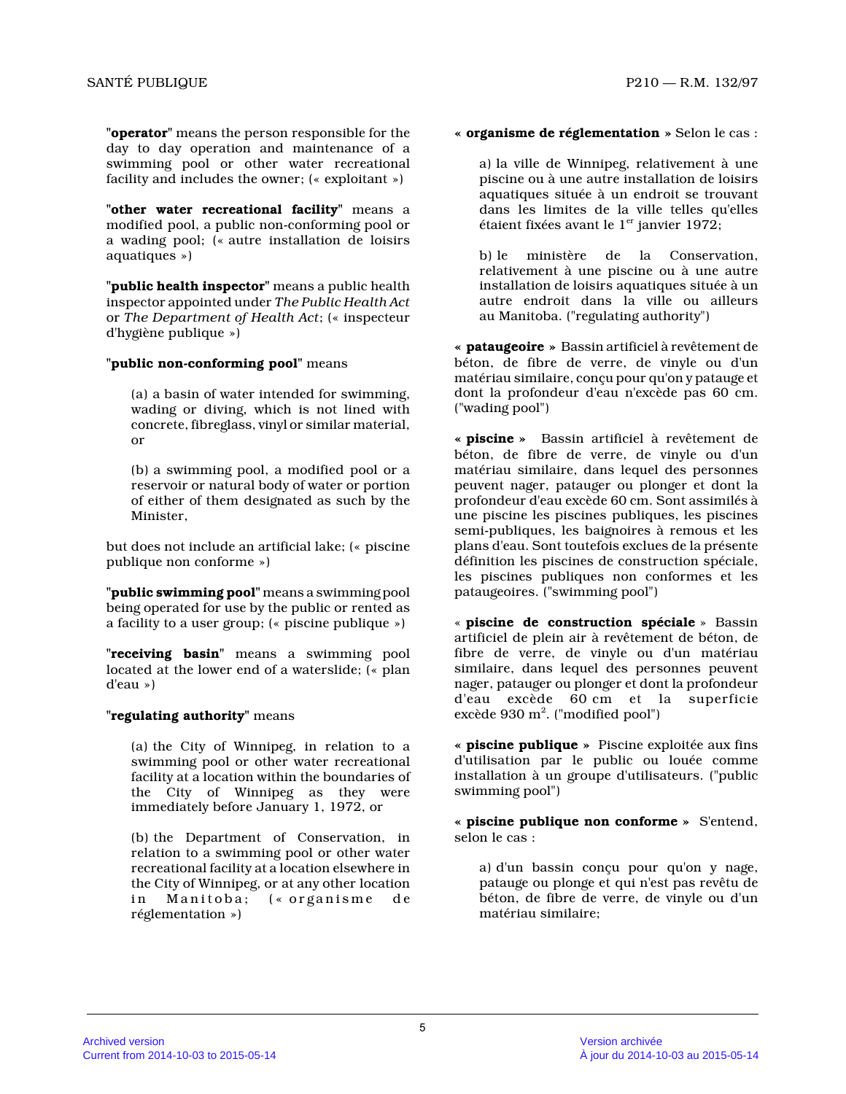**"operator"** means the person responsible for the day to day operation and maintenance of a swimming pool or other water recreational facility and includes the owner; (« exploitant »)

**"other water recreational facility"** means a modified pool, a public non-conforming pool or a wading pool; (« autre installation de loisirs aquatiques »)

**"public health inspector"** means a public health inspector appointed under *The Public Health Act* or *The Department of Health Act*; (« inspecteur d'hygiène publique »)

#### **"public non-conforming pool"** means

(a) a basin of water intended for swimming, wading or diving, which is not lined with concrete, fibreglass, vinyl or similar material, or

(b) a swimming pool, a modified pool or a reservoir or natural body of water or portion of either of them designated as such by the Minister,

but does not include an artificial lake; (« piscine publique non conforme »)

**"public swimming pool"** means a swimming pool being operated for use by the public or rented as a facility to a user group; (« piscine publique »)

**"receiving basin"** means a swimming pool located at the lower end of a waterslide; (« plan d'eau »)

# **"regulating authority"** means

(a) the City of Winnipeg, in relation to a swimming pool or other water recreational facility at a location within the boundaries of the City of Winnipeg as they were immediately before January 1, 1972, or

(b) the Department of Conservation, in relation to a swimming pool or other water recreational facility at a location elsewhere in the City of Winnipeg, or at any other location in Manitoba; (« organisme de réglementation »)

#### **« organisme de réglementation »** Selon le cas :

a) la ville de Winnipeg, relativement à une piscine ou à une autre installation de loisirs aquatiques située à un endroit se trouvant dans les limites de la ville telles qu'elles étaient fixées avant le  $1<sup>er</sup>$  janvier 1972;

b) le ministère de la Conservation, relativement à une piscine ou à une autre installation de loisirs aquatiques située à un autre endroit dans la ville ou ailleurs au Manitoba. ("regulating authority")

**« pataugeoire »** Bassin artificiel à revêtement de béton, de fibre de verre, de vinyle ou d'un matériau similaire, conçu pour qu'on y patauge et dont la profondeur d'eau n'excède pas 60 cm. ("wading pool")

**« piscine »** Bassin artificiel à revêtement de béton, de fibre de verre, de vinyle ou d'un matériau similaire, dans lequel des personnes peuvent nager, patauger ou plonger et dont la profondeur d'eau excède 60 cm. Sont assimilés à une piscine les piscines publiques, les piscines semi-publiques, les baignoires à remous et les plans d'eau. Sont toutefois exclues de la présente définition les piscines de construction spéciale, les piscines publiques non conformes et les pataugeoires. ("swimming pool")

« **piscine de construction spéciale** » Bassin artificiel de plein air à revêtement de béton, de fibre de verre, de vinyle ou d'un matériau similaire, dans lequel des personnes peuvent nager, patauger ou plonger et dont la profondeur d'eau excède 60 cm et la superficie excède 930 m<sup>2</sup>. ("modified pool")

**« piscine publique »** Piscine exploitée aux fins d'utilisation par le public ou louée comme installation à un groupe d'utilisateurs. ("public swimming pool")

**« piscine publique non conforme »** S'entend, selon le cas :

a) d'un bassin conçu pour qu'on y nage, patauge ou plonge et qui n'est pas revêtu de béton, de fibre de verre, de vinyle ou d'un matériau similaire;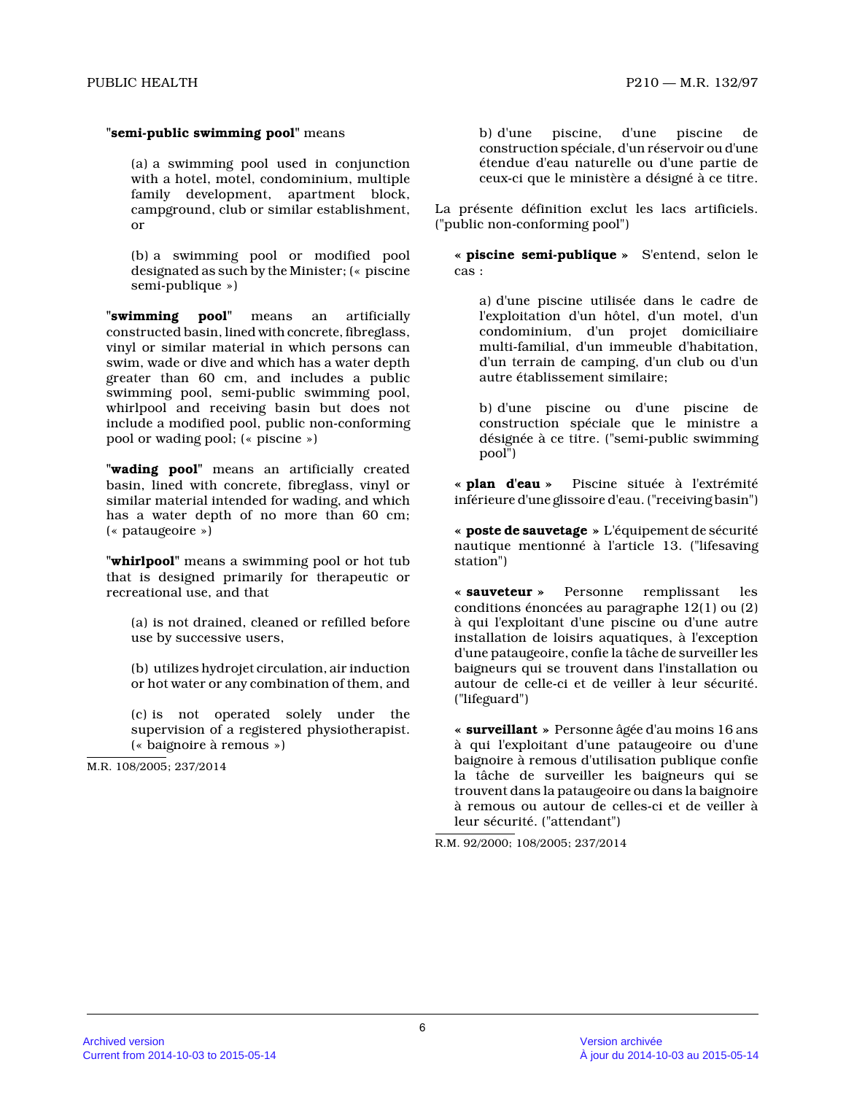#### **"semi-public swimming pool"** means

(a) a swimming pool used in conjunction with a hotel, motel, condominium, multiple family development, apartment block, campground, club or similar establishment, or

(b) a swimming pool or modified pool designated as such by the Minister; (« piscine semi-publique »)

**"swimming pool"** means an artificially constructed basin, lined with concrete, fibreglass, vinyl or similar material in which persons can swim, wade or dive and which has a water depth greater than 60 cm, and includes a public swimming pool, semi-public swimming pool, whirlpool and receiving basin but does not include a modified pool, public non-conforming pool or wading pool; (« piscine »)

**"wading pool"** means an artificially created basin, lined with concrete, fibreglass, vinyl or similar material intended for wading, and which has a water depth of no more than 60 cm; (« pataugeoire »)

**"whirlpool"** means a swimming pool or hot tub that is designed primarily for therapeutic or recreational use, and that

(a) is not drained, cleaned or refilled before use by successive users,

(b) utilizes hydrojet circulation, air induction or hot water or any combination of them, and

(c) is not operated solely under the supervision of a registered physiotherapist. (« baignoire à remous »)

M.R. 108/2005; 237/2014

b) d'une piscine, d'une piscine de construction spéciale, d'un réservoir ou d'une étendue d'eau naturelle ou d'une partie de ceux-ci que le ministère a désigné à ce titre.

La présente définition exclut les lacs artificiels. ("public non-conforming pool")

**« piscine semi-publique »** S'entend, selon le cas :

a) d'une piscine utilisée dans le cadre de l'exploitation d'un hôtel, d'un motel, d'un condominium, d'un projet domiciliaire multi-familial, d'un immeuble d'habitation, d'un terrain de camping, d'un club ou d'un autre établissement similaire;

b) d'une piscine ou d'une piscine de construction spéciale que le ministre a désignée à ce titre. ("semi-public swimming pool")

**« plan d'eau »** Piscine située à l'extrémité inférieure d'une glissoire d'eau. ("receiving basin")

**« poste de sauvetage »** L'équipement de sécurité nautique mentionné à l'article 13. ("lifesaving station")

**« sauveteur »** Personne remplissant les conditions énoncées au paragraphe 12(1) ou (2) à qui l'exploitant d'une piscine ou d'une autre installation de loisirs aquatiques, à l'exception d'une pataugeoire, confie la tâche de surveiller le s baigneurs qui se trouvent dans l'installation ou autour de celle-ci et de veiller à leur sécurité. ("lifeguard")

**« surveillant »** Personne âgée d'au moins 16 ans à qui l'exploitant d'une pataugeoire ou d'une baignoire à remous d'utilisation publique confie la tâche de surveiller les baigneurs qui se trouvent dans la pataugeoire ou dans la baignoire à remous ou autour de celles-ci et de veiller à leur sécurité. ("attendant")

R.M. 92/2000; 108/2005; 237/2014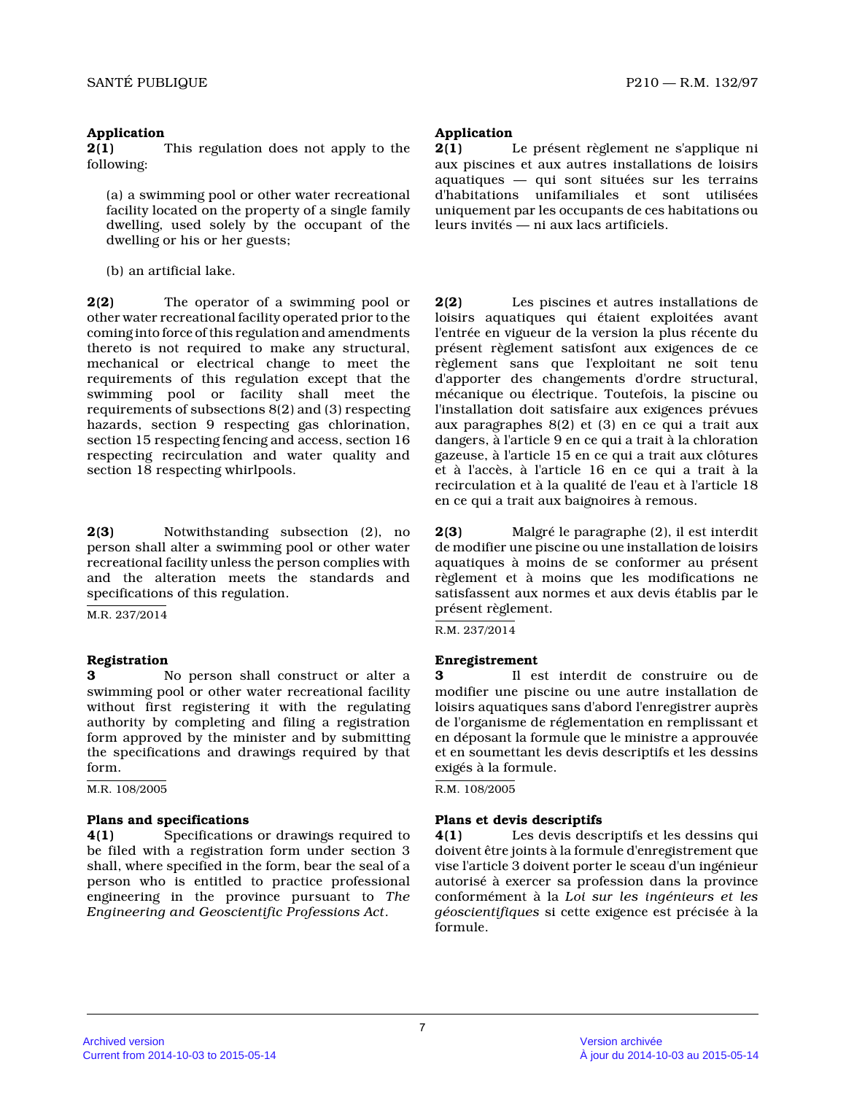# **Application**

**2(1)** This regulation does not apply to the following:

(a) a swimming pool or other water recreational facility located on the property of a single family dwelling, used solely by the occupant of the dwelling or his or her guests;

(b) an artificial lake.

**2(2)** The operator of a swimming pool or other water recreational facility operated prior to the coming into force of this regulation and amendments thereto is not required to make any structural, mechanical or electrical change to meet the requirements of this regulation except that the swimming pool or facility shall meet the requirements of subsections 8(2) and (3) respecting hazards, section 9 respecting gas chlorination, section 15 respecting fencing and access, section 1 6 respecting recirculation and water quality and section 18 respecting whirlpools.

**2(3)** Notwithstanding subsection (2), no person shall alter a swimming pool or other water recreational facility unless the person complies with and the alteration meets the standards and specifications of this regulation.

M.R. 237/2014

# **Registration**

**3** No person shall construct or alter a swimming pool or other water recreational facility without first registering it with the regulating authority by completing and filing a registration form approved by the minister and by submitting the specifications and drawings required by that form.

M.R. 108/2005

# **Plans and specifications**

**4(1)** Specifications or drawings required to be filed with a registration form under section 3 shall, where specified in the form, bear the seal of a person who is entitled to practice professional engineering in the province pursuant to *The Engineering and Geoscientific Professions Act* .

# **Application**

**2(1)** Le présent règlement ne s'applique ni aux piscines et aux autres installations de loisirs aquatiques — qui sont situées sur les terrains d'habitations unifamiliales et sont utilisées uniquement par les occupants de ces habitations ou leurs invités — ni aux lacs artificiels.

**2(2)** Les piscines et autres installations de loisirs aquatiques qui étaient exploitées avant l'entrée en vigueur de la version la plus récente d u présent règlement satisfont aux exigences de ce règlement sans que l'exploitant ne soit tenu d'apporter des changements d'ordre structural, mécanique ou électrique. Toutefois, la piscine ou l'installation doit satisfaire aux exigences prévue s aux paragraphes 8(2) et (3) en ce qui a trait aux dangers, à l'article 9 en ce qui a trait à la chloration gazeuse, à l'article 15 en ce qui a trait aux clôtures et à l'accès, à l'article 16 en ce qui a trait à la recirculation et à la qualité de l'eau et à l'article 18 en ce qui a trait aux baignoires à remous.

**2(3)** Malgré le paragraphe (2), il est interdit de modifier une piscine ou une installation de loisirs aquatiques à moins de se conformer au présent règlement et à moins que les modifications ne satisfassent aux normes et aux devis établis par le présent règlement.

R.M. 237/2014

# **Enregistrement**

**3** Il est interdit de construire ou de modifier une piscine ou une autre installation de loisirs aquatiques sans d'abord l'enregistrer auprè s de l'organisme de réglementation en remplissant et en déposant la formule que le ministre a approuvée et en soumettant les devis descriptifs et les dessins exigés à la formule.

R.M. 108/2005

# **Plans et devis descriptifs**

**4(1)** Les devis descriptifs et les dessins qui doivent être joints à la formule d'enregistrement que vise l'article 3 doivent porter le sceau d'un ingénieur autorisé à exercer sa profession dans la province conformément à la *Loi sur les ingénieurs et les géoscientifiques* si cette exigence est précisée à la formule.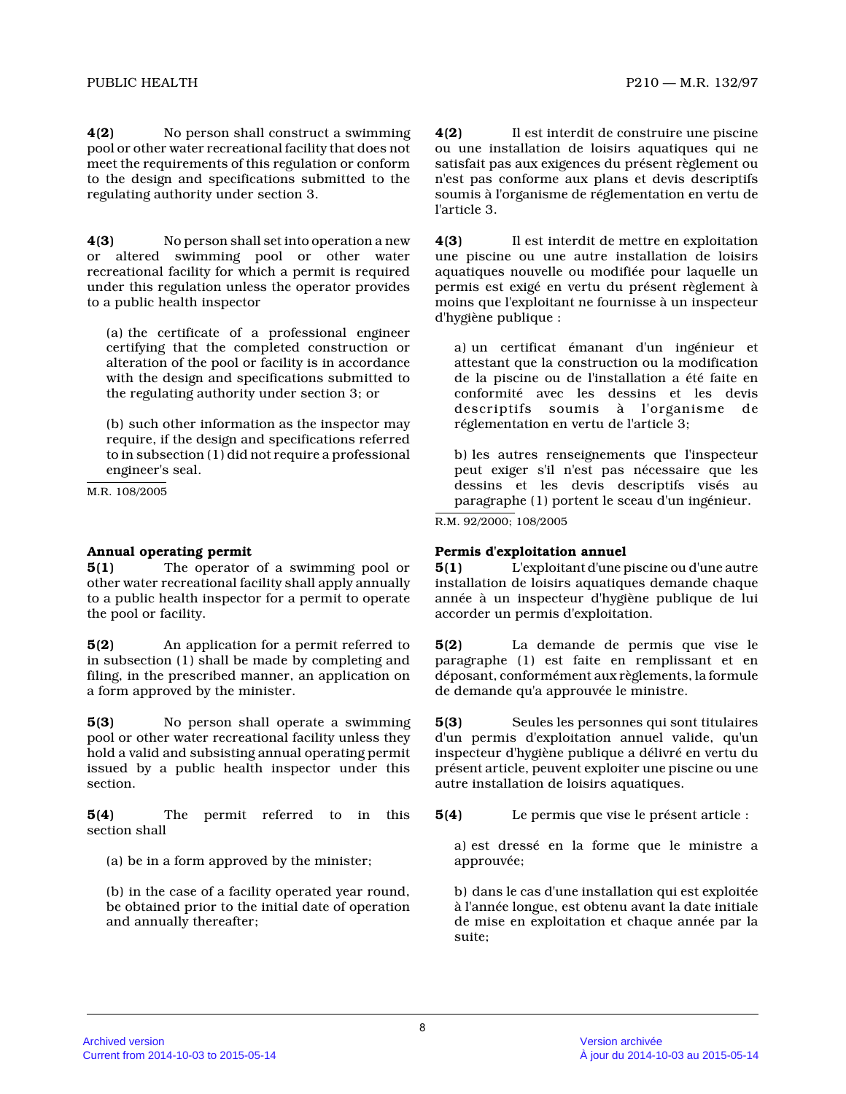**4(2)** No person shall construct a swimming pool or other water recreational facility that does not meet the requirements of this regulation or conform to the design and specifications submitted to the regulating authority under section 3.

**4(3)** No person shall set into operation a new or altered swimming pool or other water recreational facility for which a permit is require d under this regulation unless the operator provides to a public health inspector

(a) the certificate of a professional engineer certifying that the completed construction or alteration of the pool or facility is in accordance with the design and specifications submitted to the regulating authority under section 3; or

(b) such other information as the inspector may require, if the design and specifications referred to in subsection (1) did not require a professional engineer's seal.

M.R. 108/2005

### **Annual operating permit**

**5(1)** The operator of a swimming pool or other water recreational facility shall apply annually to a public health inspector for a permit to operat e the pool or facility.

**5(2)** An application for a permit referred to in subsection (1) shall be made by completing and filing, in the prescribed manner, an application on a form approved by the minister.

**5(3)** No person shall operate a swimming pool or other water recreational facility unless they hold a valid and subsisting annual operating permit issued by a public health inspector under this section.

**5(4)** The permit referred to in this section shall

(a) be in a form approved by the minister;

(b) in the case of a facility operated year round, be obtained prior to the initial date of operation and annually thereafter;

**4(2)** Il est interdit de construire une piscine ou une installation de loisirs aquatiques qui ne satisfait pas aux exigences du présent règlement ou n'est pas conforme aux plans et devis descriptifs soumis à l'organisme de réglementation en vertu de l'article 3.

**4(3)** Il est interdit de mettre en exploitation une piscine ou une autre installation de loisirs aquatiques nouvelle ou modifiée pour laquelle un permis est exigé en vertu du présent règlement à moins que l'exploitant ne fournisse à un inspecteur d'hygiène publique :

a) un certificat émanant d'un ingénieur et attestant que la construction ou la modification de la piscine ou de l'installation a été faite en conformité avec les dessins et les devis descriptifs soumis à l'organisme de réglementation en vertu de l'article 3;

b) les autres renseignements que l'inspecteur peut exiger s'il n'est pas nécessaire que les dessins et les devis descriptifs visés au paragraphe (1) portent le sceau d'un ingénieur.

R.M. 92/2000; 108/2005

### **Permis d'exploitation annuel**

**5(1)** L'exploitant d'une piscine ou d'une autre installation de loisirs aquatiques demande chaque année à un inspecteur d'hygiène publique de lui accorder un permis d'exploitation.

**5(2)** La demande de permis que vise le paragraphe (1) est faite en remplissant et en déposant, conformément aux règlements, la formule de demande qu'a approuvée le ministre.

**5(3)** Seules les personnes qui sont titulaires d'un permis d'exploitation annuel valide, qu'un inspecteur d'hygiène publique a délivré en vertu du présent article, peuvent exploiter une piscine ou une autre installation de loisirs aquatiques.

**5(4)** Le permis que vise le présent article :

a) est dressé en la forme que le ministre a approuvée;

b) dans le cas d'une installation qui est exploitée à l'année longue, est obtenu avant la date initiale de mise en exploitation et chaque année par la suite;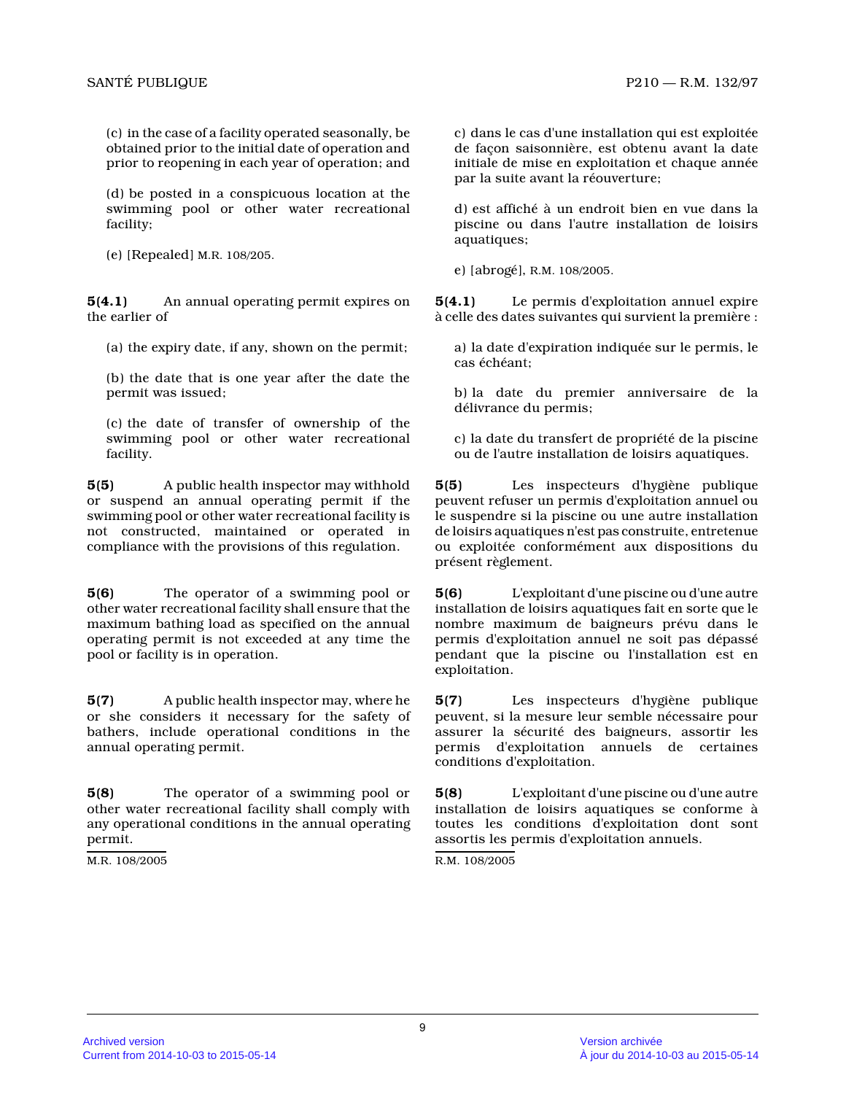(c) in the case of a facility operated seasonally, b e obtained prior to the initial date of operation and prior to reopening in each year of operation; and

(d) be posted in a conspicuous location at the swimming pool or other water recreational facility;

(e) [Repealed] M.R. 108/205.

**5(4.1)** An annual operating permit expires on the earlier of

(a) the expiry date, if any, shown on the permit;

(b) the date that is one year after the date the permit was issued;

(c) the date of transfer of ownership of the swimming pool or other water recreational facility.

**5(5)** A public health inspector may withhold or suspend an annual operating permit if the swimming pool or other water recreational facility is not constructed, maintained or operated in compliance with the provisions of this regulation.

**5(6)** The operator of a swimming pool or other water recreational facility shall ensure that the maximum bathing load as specified on the annual operating permit is not exceeded at any time the pool or facility is in operation.

**5(7)** A public health inspector may, where he or she considers it necessary for the safety of bathers, include operational conditions in the annual operating permit.

**5(8)** The operator of a swimming pool or other water recreational facility shall comply with any operational conditions in the annual operating permit.

M.R. 108/2005

c) dans le cas d'une installation qui est exploitée de façon saisonnière, est obtenu avant la date initiale de mise en exploitation et chaque année par la suite avant la réouverture;

d) est affiché à un endroit bien en vue dans la piscine ou dans l'autre installation de loisirs aquatiques;

e) [abrogé], R.M. 108/2005.

**5(4.1)** Le permis d'exploitation annuel expire à celle des dates suivantes qui survient la première :

a) la date d'expiration indiquée sur le permis, le cas échéant;

b) la date du premier anniversaire de la délivrance du permis;

c) la date du transfert de propriété de la piscine ou de l'autre installation de loisirs aquatiques.

**5(5)** Les inspecteurs d'hygiène publique peuvent refuser un permis d'exploitation annuel ou le suspendre si la piscine ou une autre installatio n de loisirs aquatiques n'est pas construite, entretenue ou exploitée conformément aux dispositions du présent règlement.

**5(6)** L'exploitant d'une piscine ou d'une autre installation de loisirs aquatiques fait en sorte que le nombre maximum de baigneurs prévu dans le permis d'exploitation annuel ne soit pas dépassé pendant que la piscine ou l'installation est en exploitation.

**5(7)** Les inspecteurs d'hygiène publique peuvent, si la mesure leur semble nécessaire pour assurer la sécurité des baigneurs, assortir les permis d'exploitation annuels de certaines conditions d'exploitation.

**5(8)** L'exploitant d'une piscine ou d'une autre installation de loisirs aquatiques se conforme à toutes les conditions d'exploitation dont sont assortis les permis d'exploitation annuels.

R.M. 108/2005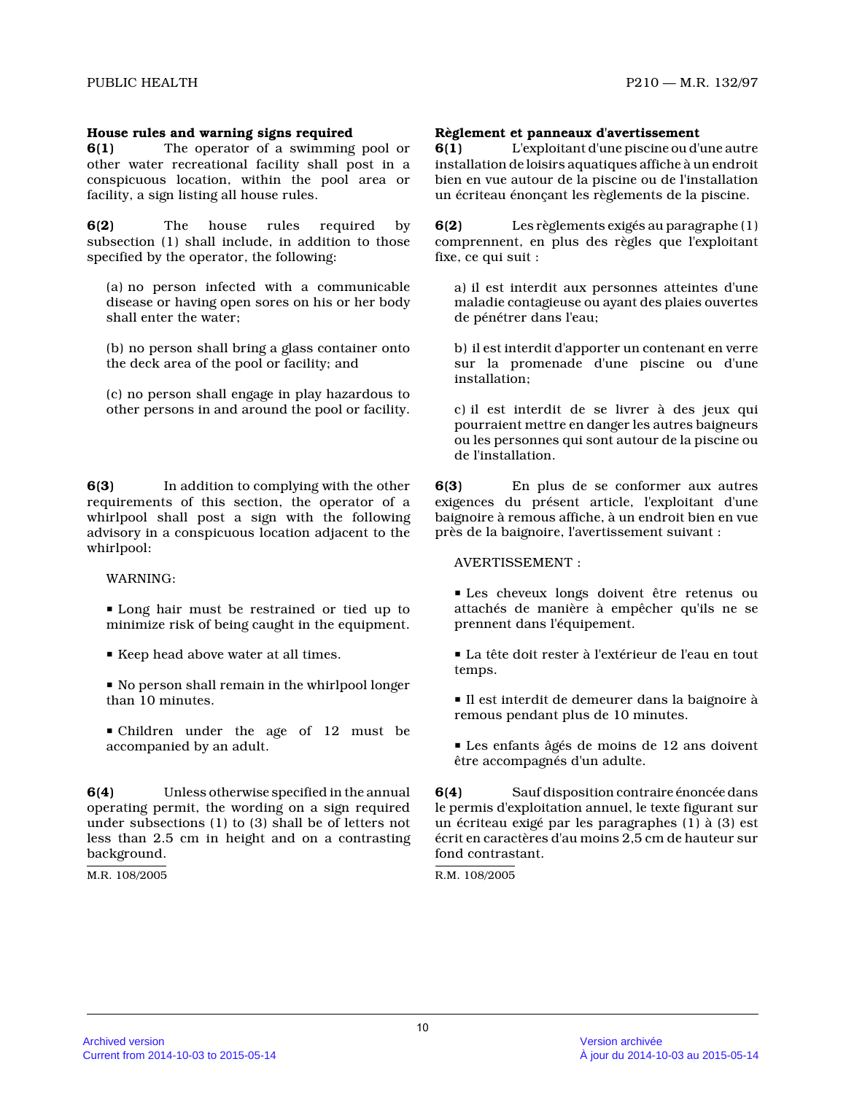#### **House rules and warning signs required**

**6(1)** The operator of a swimming pool or other water recreational facility shall post in a conspicuous location, within the pool area or facility, a sign listing all house rules.

**6(2)** The house rules required by subsection (1) shall include, in addition to those specified by the operator, the following:

(a) no person infected with a communicable disease or having open sores on his or her body shall enter the water;

(b) no person shall bring a glass container onto the deck area of the pool or facility; and

(c) no person shall engage in play hazardous to other persons in and around the pool or facility.

**6(3)** In addition to complying with the other requirements of this section, the operator of a whirlpool shall post a sign with the following advisory in a conspicuous location adjacent to the whirlpool:

WARNING:

**I** Long hair must be restrained or tied up to minimize risk of being caught in the equipment.

Keep head above water at all times.

No person shall remain in the whirlpool longer than 10 minutes.

• Children under the age of 12 must be accompanied by an adult.

**6(4)** Unless otherwise specified in the annual operating permit, the wording on a sign required under subsections (1) to (3) shall be of letters no t less than 2.5 cm in height and on a contrasting background.

M.R. 108/2005

#### **Règlement et panneaux d'avertissement**

**6(1)** L'exploitant d'une piscine ou d'une autre installation de loisirs aquatiques affiche à un endroit bien en vue autour de la piscine ou de l'installation un écriteau énonçant les règlements de la piscine.

**6(2)** Les règlements exigés au paragraphe (1) comprennent, en plus des règles que l'exploitant fixe, ce qui suit :

a) il est interdit aux personnes atteintes d'une maladie contagieuse ou ayant des plaies ouvertes de pénétrer dans l'eau;

b) il est interdit d'apporter un contenant en verre sur la promenade d'une piscine ou d'une installation;

c) il est interdit de se livrer à des jeux qui pourraient mettre en danger les autres baigneurs ou les personnes qui sont autour de la piscine ou de l'installation.

**6(3)** En plus de se conformer aux autres exigences du présent article, l'exploitant d'une baignoire à remous affiche, à un endroit bien en vu e près de la baignoire, l'avertissement suivant :

AVERTISSEMENT :

P Les cheveux longs doivent être retenus ou attachés de manière à empêcher qu'ils ne se prennent dans l'équipement.

P La tête doit rester à l'extérieur de l'eau en tout temps.

P Il est interdit de demeurer dans la baignoire à remous pendant plus de 10 minutes.

P Les enfants âgés de moins de 12 ans doivent être accompagnés d'un adulte.

**6(4)** Sauf disposition contraire énoncée dans le permis d'exploitation annuel, le texte figurant sur un écriteau exigé par les paragraphes (1) à (3) est écrit en caractères d'au moins 2,5 cm de hauteur su r fond contrastant.

R.M. 108/2005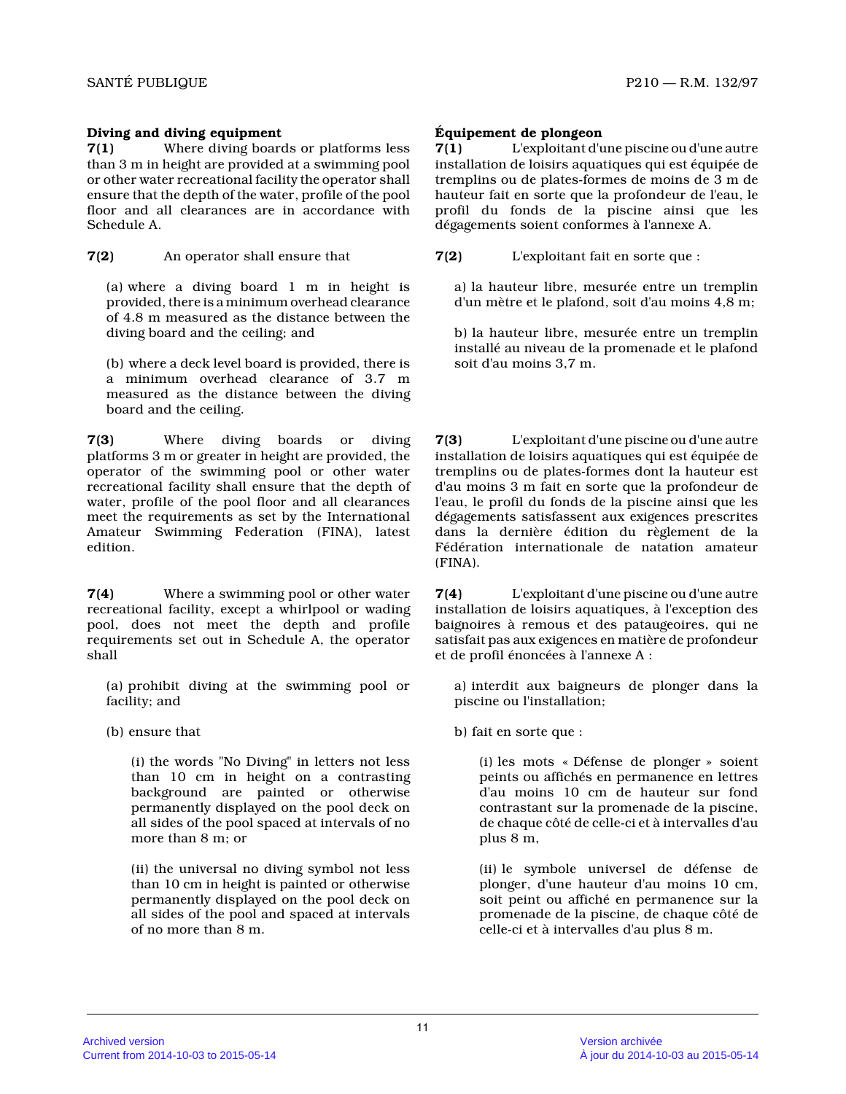# **Diving and diving equipment**

**7(1)** Where diving boards or platforms less than 3 m in height are provided at a swimming pool or other water recreational facility the operator shall ensure that the depth of the water, profile of the pool floor and all clearances are in accordance with Schedule A.

**7(2)** An operator shall ensure that

(a) where a diving board 1 m in height is provided, there is a minimum overhead clearance of 4.8 m measured as the distance between the diving board and the ceiling; and

(b) where a deck level board is provided, there is a minimum overhead clearance of 3.7 m measured as the distance between the diving board and the ceiling.

**7(3)** Where diving boards or diving platforms 3 m or greater in height are provided, th e operator of the swimming pool or other water recreational facility shall ensure that the depth o f water, profile of the pool floor and all clearances meet the requirements as set by the International Amateur Swimming Federation (FINA), latest edition.

**7(4)** Where a swimming pool or other water recreational facility, except a whirlpool or wading pool, does not meet the depth and profile requirements set out in Schedule A, the operator shall

(a) prohibit diving at the swimming pool or facility; and

(b) ensure that

(i) the words "No Diving" in letters not less than 10 cm in height on a contrasting background are painted or otherwise permanently displayed on the pool deck on all sides of the pool spaced at intervals of no more than 8 m; or

(ii) the universal no diving symbol not less than 10 cm in height is painted or otherwise permanently displayed on the pool deck on all sides of the pool and spaced at intervals of no more than 8 m.

# **Équipement de plongeon**

**7(1)** L'exploitant d'une piscine ou d'une autre installation de loisirs aquatiques qui est équipée de tremplins ou de plates-formes de moins de 3 m de hauteur fait en sorte que la profondeur de l'eau, l e profil du fonds de la piscine ainsi que les dégagements soient conformes à l'annexe A.

**7(2)** L'exploitant fait en sorte que :

a) la hauteur libre, mesurée entre un tremplin d'un mètre et le plafond, soit d'au moins 4,8 m;

b) la hauteur libre, mesurée entre un tremplin installé au niveau de la promenade et le plafond soit d'au moins 3,7 m.

**7(3)** L'exploitant d'une piscine ou d'une autre installation de loisirs aquatiques qui est équipée de tremplins ou de plates-formes dont la hauteur est d'au moins 3 m fait en sorte que la profondeur de l'eau, le profil du fonds de la piscine ainsi que les dégagements satisfassent aux exigences prescrites dans la dernière édition du règlement de la Fédération internationale de natation amateur (FINA).

**7(4)** L'exploitant d'une piscine ou d'une autre installation de loisirs aquatiques, à l'exception des baignoires à remous et des pataugeoires, qui ne satisfait pas aux exigences en matière de profondeu r et de profil énoncées à l'annexe A :

a) interdit aux baigneurs de plonger dans la piscine ou l'installation;

b) fait en sorte que :

(i) les mots « Défense de plonger » soient peints ou affichés en permanence en lettres d'au moins 10 cm de hauteur sur fond contrastant sur la promenade de la piscine, de chaque côté de celle-ci et à intervalles d'au plus 8 m,

(ii) le symbole universel de défense de plonger, d'une hauteur d'au moins 10 cm, soit peint ou affiché en permanence sur la promenade de la piscine, de chaque côté de celle-ci et à intervalles d'au plus 8 m.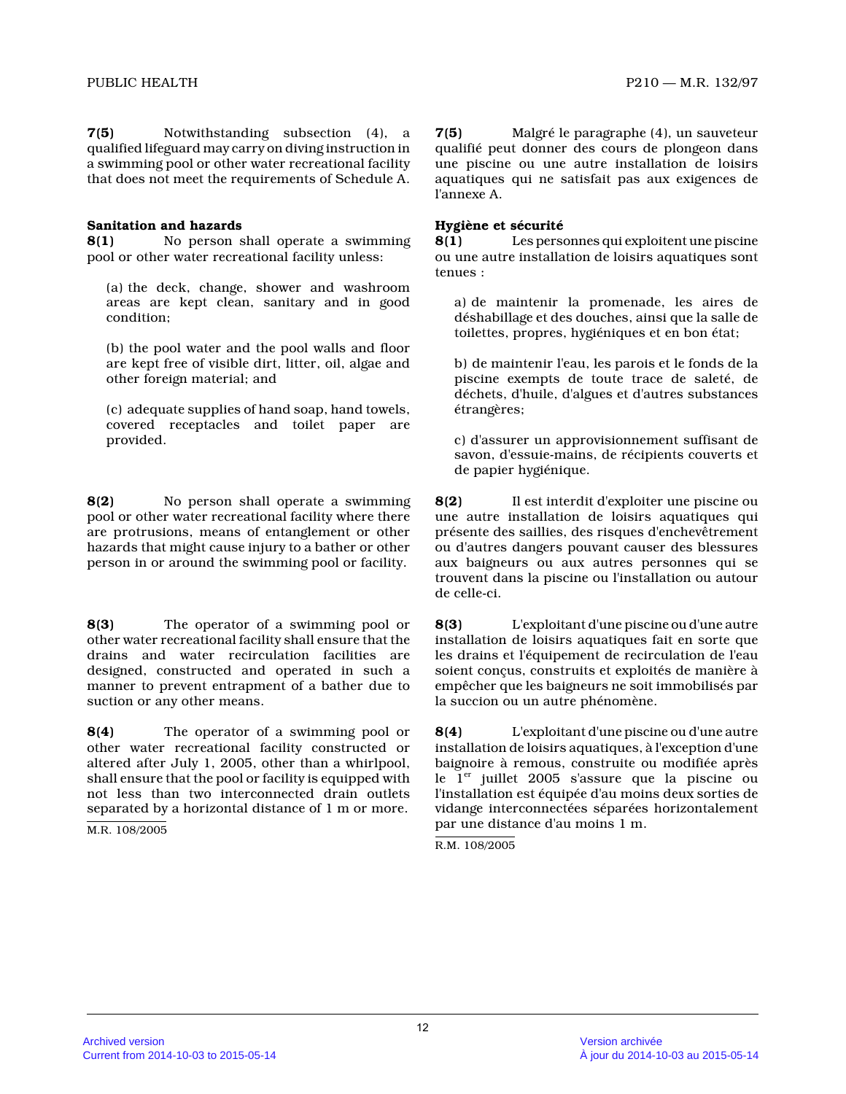**7(5)** Notwithstanding subsection (4), a qualified lifeguard may carry on diving instruction in a swimming pool or other water recreational facilit y that does not meet the requirements of Schedule A.

### **Sanitation and hazards**

**8(1)** No person shall operate a swimming pool or other water recreational facility unless:

(a) the deck, change, shower and washroom areas are kept clean, sanitary and in good condition;

(b) the pool water and the pool walls and floor are kept free of visible dirt, litter, oil, algae and other foreign material; and

(c) adequate supplies of hand soap, hand towels, covered receptacles and toilet paper are provided.

**8(2)** No person shall operate a swimming pool or other water recreational facility where there are protrusions, means of entanglement or other hazards that might cause injury to a bather or othe r person in or around the swimming pool or facility.

**8(3)** The operator of a swimming pool or other water recreational facility shall ensure that the drains and water recirculation facilities are designed, constructed and operated in such a manner to prevent entrapment of a bather due to suction or any other means.

**8(4)** The operator of a swimming pool or other water recreational facility constructed or altered after July 1, 2005, other than a whirlpool, shall ensure that the pool or facility is equipped with not less than two interconnected drain outlets separated by a horizontal distance of 1 m or more.

M.R. 108/2005

**7(5)** Malgré le paragraphe (4), un sauveteur qualifié peut donner des cours de plongeon dans une piscine ou une autre installation de loisirs aquatiques qui ne satisfait pas aux exigences de l'annexe A.

# **Hygiène et sécurité**

**8(1)** Les personnes qui exploitent une piscine ou une autre installation de loisirs aquatiques son t tenues :

a) de maintenir la promenade, les aires de déshabillage et des douches, ainsi que la salle de toilettes, propres, hygiéniques et en bon état;

b) de maintenir l'eau, les parois et le fonds de la piscine exempts de toute trace de saleté, de déchets, d'huile, d'algues et d'autres substances étrangères;

c) d'assurer un approvisionnement suffisant de savon, d'essuie-mains, de récipients couverts et de papier hygiénique.

**8(2)** Il est interdit d'exploiter une piscine ou une autre installation de loisirs aquatiques qui présente des saillies, des risques d'enchevêtrement ou d'autres dangers pouvant causer des blessures aux baigneurs ou aux autres personnes qui se trouvent dans la piscine ou l'installation ou autou r de celle-ci.

**8(3)** L'exploitant d'une piscine ou d'une autre installation de loisirs aquatiques fait en sorte qu e les drains et l'équipement de recirculation de l'ea u soient conçus, construits et exploités de manière à empêcher que les baigneurs ne soit immobilisés par la succion ou un autre phénomène.

**8(4)** L'exploitant d'une piscine ou d'une autre installation de loisirs aquatiques, à l'exception d'une baignoire à remous, construite ou modifiée après le  $1<sup>er</sup>$  juillet 2005 s'assure que la piscine ou l'installation est équipée d'au moins deux sorties de vidange interconnectées séparées horizontalement par une distance d'au moins 1 m.

R.M. 108/2005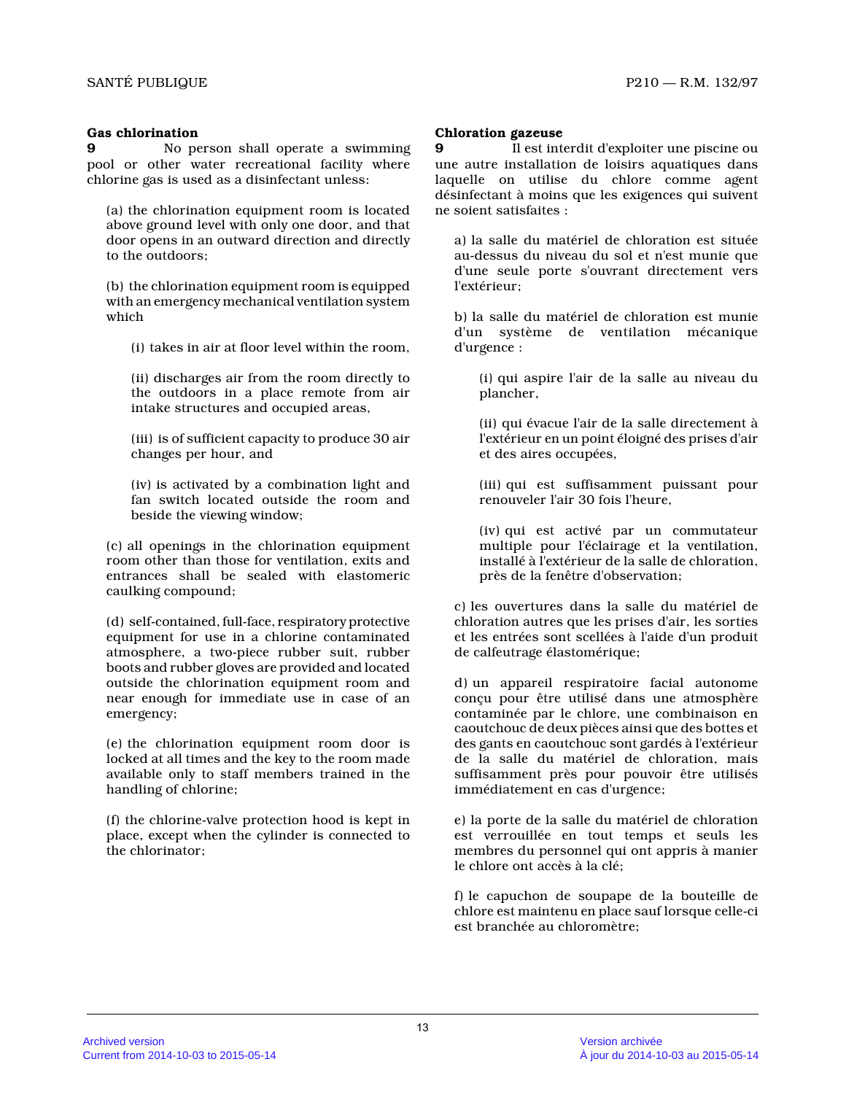### **Gas chlorination**

**9** No person shall operate a swimming pool or other water recreational facility where chlorine gas is used as a disinfectant unless:

(a) the chlorination equipment room is located above ground level with only one door, and that door opens in an outward direction and directly to the outdoors;

(b) the chlorination equipment room is equipped with an emergency mechanical ventilation system which

(i) takes in air at floor level within the room,

(ii) discharges air from the room directly to the outdoors in a place remote from air intake structures and occupied areas,

(iii) is of sufficient capacity to produce 30 air changes per hour, and

(iv) is activated by a combination light and fan switch located outside the room and beside the viewing window;

(c) all openings in the chlorination equipment room other than those for ventilation, exits and entrances shall be sealed with elastomeric caulking compound;

(d) self-contained, full-face, respiratory protective equipment for use in a chlorine contaminated atmosphere, a two-piece rubber suit, rubber boots and rubber gloves are provided and located outside the chlorination equipment room and near enough for immediate use in case of an emergency;

(e) the chlorination equipment room door is locked at all times and the key to the room made available only to staff members trained in the handling of chlorine;

(f) the chlorine-valve protection hood is kept in place, except when the cylinder is connected to the chlorinator;

#### **Chloration gazeuse**

**9** Il est interdit d'exploiter une piscine ou une autre installation de loisirs aquatiques dans laquelle on utilise du chlore comme agent désinfectant à moins que les exigences qui suivent ne soient satisfaites :

a) la salle du matériel de chloration est située au-dessus du niveau du sol et n'est munie que d'une seule porte s'ouvrant directement vers l'extérieur;

b) la salle du matériel de chloration est munie d'un système de ventilation mécanique d'urgence :

(i) qui aspire l'air de la salle au niveau du plancher,

(ii) qui évacue l'air de la salle directement à l'extérieur en un point éloigné des prises d'air et des aires occupées,

(iii) qui est suffisamment puissant pour renouveler l'air 30 fois l'heure,

(iv) qui est activé par un commutateur multiple pour l'éclairage et la ventilation, installé à l'extérieur de la salle de chloration, près de la fenêtre d'observation;

c) les ouvertures dans la salle du matériel de chloration autres que les prises d'air, les sorties et les entrées sont scellées à l'aide d'un produit de calfeutrage élastomérique;

d) un appareil respiratoire facial autonome conçu pour être utilisé dans une atmosphère contaminée par le chlore, une combinaison en caoutchouc de deux pièces ainsi que des bottes et des gants en caoutchouc sont gardés à l'extérieur de la salle du matériel de chloration, mais suffisamment près pour pouvoir être utilisés immédiatement en cas d'urgence;

e) la porte de la salle du matériel de chloration est verrouillée en tout temps et seuls les membres du personnel qui ont appris à manier le chlore ont accès à la clé;

f) le capuchon de soupape de la bouteille de chlore est maintenu en place sauf lorsque celle-ci est branchée au chloromètre;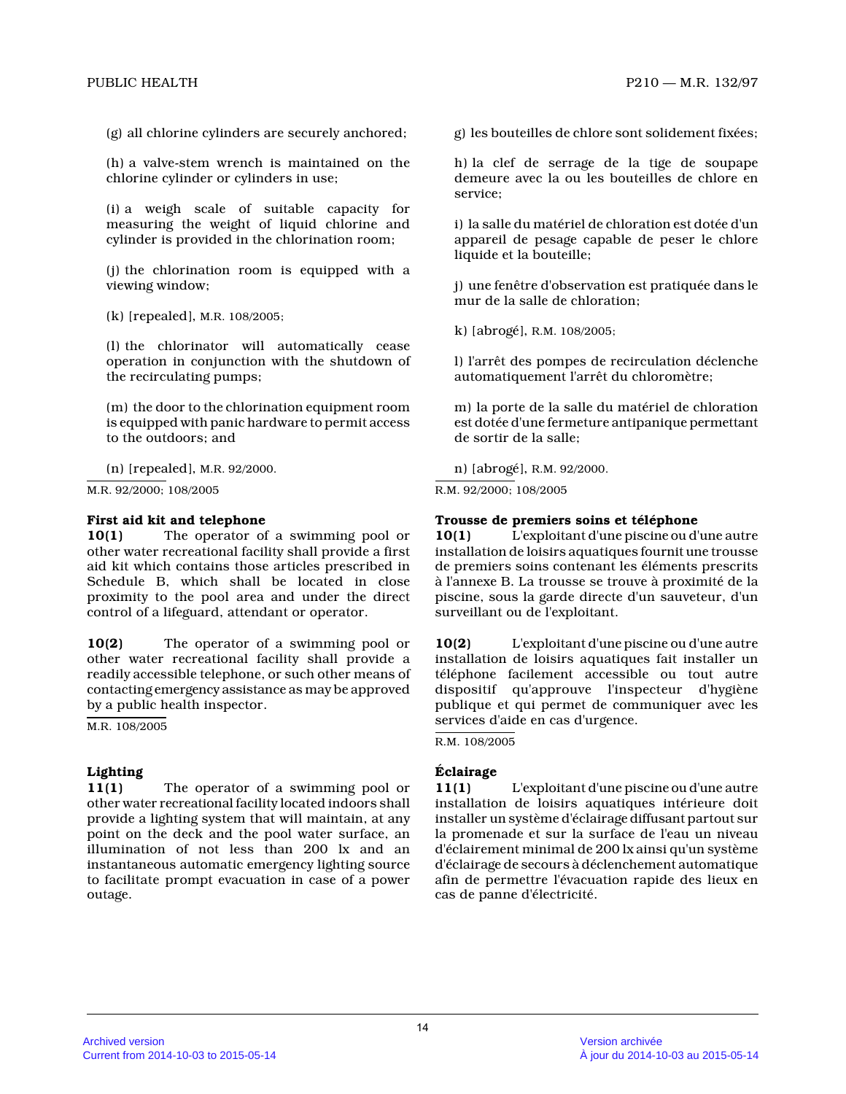(g) all chlorine cylinders are securely anchored;

(h) a valve-stem wrench is maintained on the chlorine cylinder or cylinders in use;

(i) a weigh scale of suitable capacity for measuring the weight of liquid chlorine and cylinder is provided in the chlorination room;

(j) the chlorination room is equipped with a viewing window;

(k) [repealed], M.R. 108/2005;

(l) the chlorinator will automatically cease operation in conjunction with the shutdown of the recirculating pumps;

(m) the door to the chlorination equipment room is equipped with panic hardware to permit access to the outdoors; and

(n) [repealed], M.R. 92/2000.

M.R. 92/2000; 108/2005

#### **First aid kit and telephone**

**10(1)** The operator of a swimming pool or other water recreational facility shall provide a first aid kit which contains those articles prescribed in Schedule B, which shall be located in close proximity to the pool area and under the direct control of a lifeguard, attendant or operator.

**10(2)** The operator of a swimming pool or other water recreational facility shall provide a readily accessible telephone, or such other means o f contacting emergency assistance as may be approved by a public health inspector.

M.R. 108/2005

# **Lighting**

**11(1)** The operator of a swimming pool or other water recreational facility located indoors shall provide a lighting system that will maintain, at an y point on the deck and the pool water surface, an illumination of not less than 200 lx and an instantaneous automatic emergency lighting source to facilitate prompt evacuation in case of a power outage.

g) les bouteilles de chlore sont solidement fixées;

h) la clef de serrage de la tige de soupape demeure avec la ou les bouteilles de chlore en service;

i) la salle du matériel de chloration est dotée d'un appareil de pesage capable de peser le chlore liquide et la bouteille;

j) une fenêtre d'observation est pratiquée dans le mur de la salle de chloration;

k) [abrogé], R.M. 108/2005;

l) l'arrêt des pompes de recirculation déclenche automatiquement l'arrêt du chloromètre;

m) la porte de la salle du matériel de chloration est dotée d'une fermeture antipanique permettant de sortir de la salle;

n) [abrogé], R.M. 92/2000.

R.M. 92/2000; 108/2005

#### **Trousse de premiers soins et téléphone**

**10(1)** L'exploitant d'une piscine ou d'une autre installation de loisirs aquatiques fournit une trousse de premiers soins contenant les éléments prescrits à l'annexe B. La trousse se trouve à proximité de l a piscine, sous la garde directe d'un sauveteur, d'un surveillant ou de l'exploitant.

**10(2)** L'exploitant d'une piscine ou d'une autre installation de loisirs aquatiques fait installer u n téléphone facilement accessible ou tout autre dispositif qu'approuve l'inspecteur d'hygiène publique et qui permet de communiquer avec les services d'aide en cas d'urgence.

R.M. 108/2005

# **Éclairage**

**11(1)** L'exploitant d'une piscine ou d'une autre installation de loisirs aquatiques intérieure doit installer un système d'éclairage diffusant partout sur la promenade et sur la surface de l'eau un niveau d'éclairement minimal de 200 lx ainsi qu'un système d'éclairage de secours à déclenchement automatique afin de permettre l'évacuation rapide des lieux en cas de panne d'électricité.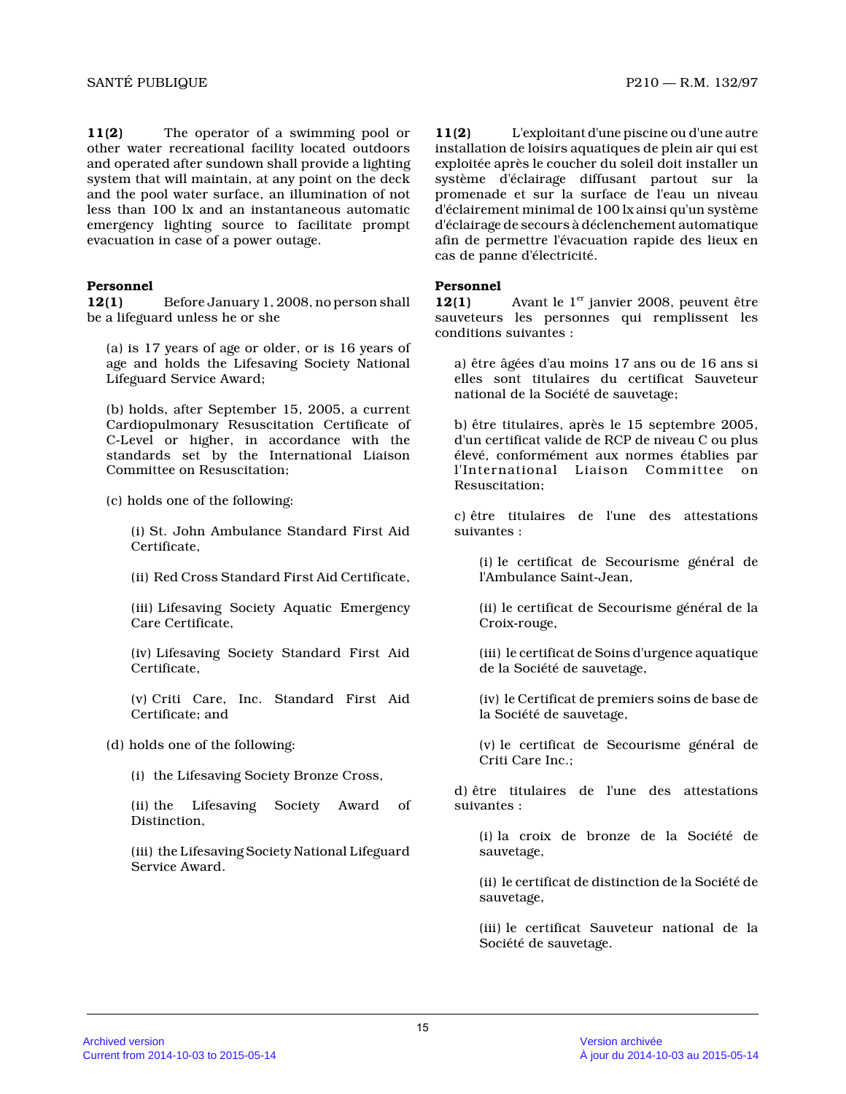**11(2)** The operator of a swimming pool or other water recreational facility located outdoors and operated after sundown shall provide a lighting system that will maintain, at any point on the deck and the pool water surface, an illumination of not less than 100 lx and an instantaneous automatic emergency lighting source to facilitate prompt evacuation in case of a power outage.

# **Personnel**

**12(1)** Before January 1, 2008, no person shall be a lifeguard unless he or she

(a) is 17 years of age or older, or is 16 years of age and holds the Lifesaving Society National Lifeguard Service Award;

(b) holds, after September 15, 2005, a current Cardiopulmonary Resuscitation Certificate of C-Level or higher, in accordance with the standards set by the International Liaison Committee on Resuscitation;

(c) holds one of the following:

(i) St. John Ambulance Standard First Aid Certificate,

(ii) Red Cross Standard First Aid Certificate,

(iii) Lifesaving Society Aquatic Emergency Care Certificate,

(iv) Lifesaving Society Standard First Aid Certificate,

(v) Criti Care, Inc. Standard First Aid Certificate; and

(d) holds one of the following:

(i) the Lifesaving Society Bronze Cross,

(ii) the Lifesaving Society Award of Distinction,

(iii) the Lifesaving Society National Lifeguard Service Award.

**11(2)** L'exploitant d'une piscine ou d'une autre installation de loisirs aquatiques de plein air qui est exploitée après le coucher du soleil doit installer un système d'éclairage diffusant partout sur la promenade et sur la surface de l'eau un niveau d'éclairement minimal de 100 lx ainsi qu'un système d'éclairage de secours à déclenchement automatique afin de permettre l'évacuation rapide des lieux en cas de panne d'électricité.

# **Personnel**

**12(1)** Avant le 1<sup>er</sup> janvier 2008, peuvent être sauveteurs les personnes qui remplissent les conditions suivantes :

a) être âgées d'au moins 17 ans ou de 16 ans si elles sont titulaires du certificat Sauveteur national de la Société de sauvetage;

b) être titulaires, après le 15 septembre 2005, d'un certificat valide de RCP de niveau C ou plus élevé, conformément aux normes établies par l'International Liaison Committee on Resuscitation;

c) être titulaires de l'une des attestations suivantes :

(i) le certificat de Secourisme général de l'Ambulance Saint-Jean,

(ii) le certificat de Secourisme général de la Croix-rouge,

(iii) le certificat de Soins d'urgence aquatique de la Société de sauvetage,

(iv) le Certificat de premiers soins de base de la Société de sauvetage,

(v) le certificat de Secourisme général de Criti Care Inc.;

d) être titulaires de l'une des attestations suivantes :

(i) la croix de bronze de la Société de sauvetage,

(ii) le certificat de distinction de la Société de sauvetage,

(iii) le certificat Sauveteur national de la Société de sauvetage.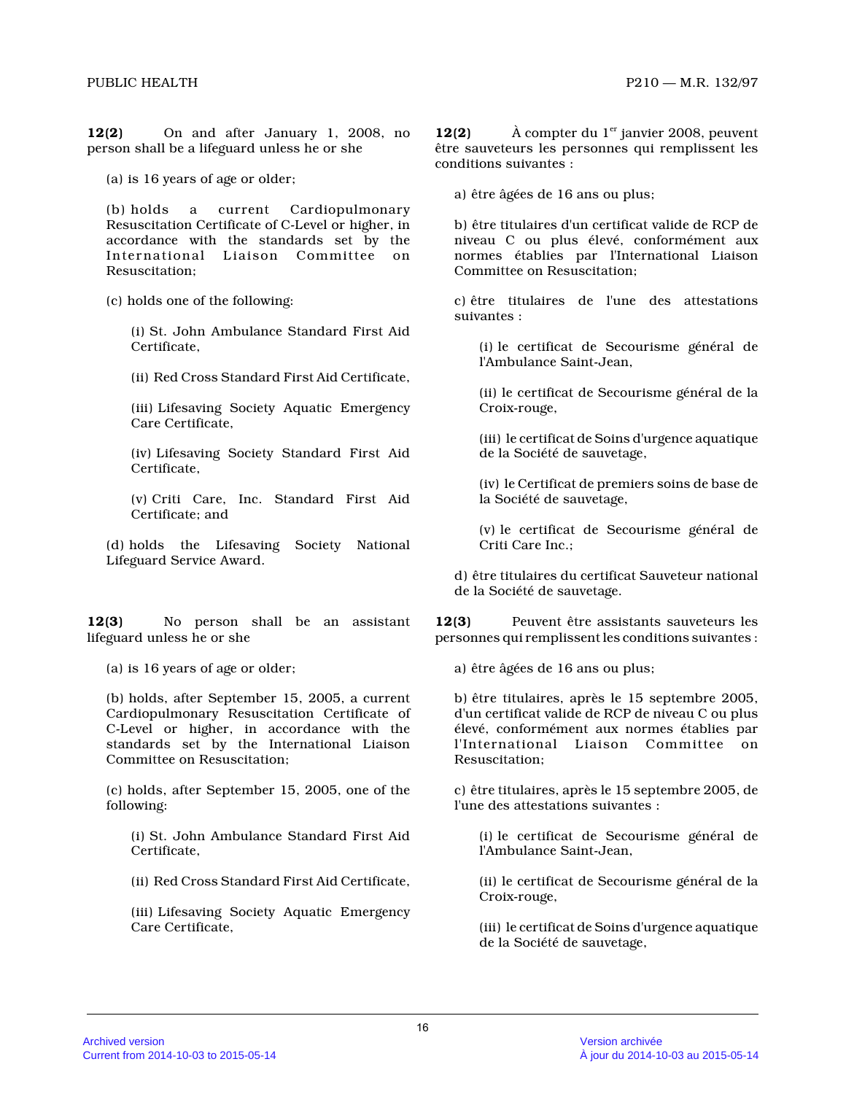**12(2)** On and after January 1, 2008, no person shall be a lifeguard unless he or she

(a) is 16 years of age or older;

(b) holds a current Cardiopulmonary Resuscitation Certificate of C-Level or higher, in accordance with the standards set by the International Liaison Committee on Resuscitation;

(c) holds one of the following:

(i) St. John Ambulance Standard First Aid Certificate,

(ii) Red Cross Standard First Aid Certificate,

(iii) Lifesaving Society Aquatic Emergency Care Certificate,

(iv) Lifesaving Society Standard First Aid Certificate,

(v) Criti Care, Inc. Standard First Aid Certificate; and

(d) holds the Lifesaving Society National Lifeguard Service Award.

**12(3)** No person shall be an assistant lifeguard unless he or she

(a) is 16 years of age or older;

(b) holds, after September 15, 2005, a current Cardiopulmonary Resuscitation Certificate of C-Level or higher, in accordance with the standards set by the International Liaison Committee on Resuscitation;

(c) holds, after September 15, 2005, one of the following:

(i) St. John Ambulance Standard First Aid Certificate,

(ii) Red Cross Standard First Aid Certificate,

(iii) Lifesaving Society Aquatic Emergency Care Certificate,

**12(2)**  $\hat{A}$  compter du 1<sup>er</sup> janvier 2008, peuvent être sauveteurs les personnes qui remplissent les conditions suivantes :

a) être âgées de 16 ans ou plus;

b) être titulaires d'un certificat valide de RCP de niveau C ou plus élevé, conformément aux normes établies par l'International Liaison Committee on Resuscitation;

c) être titulaires de l'une des attestations suivantes :

(i) le certificat de Secourisme général de l'Ambulance Saint-Jean,

(ii) le certificat de Secourisme général de la Croix-rouge,

(iii) le certificat de Soins d'urgence aquatique de la Société de sauvetage,

(iv) le Certificat de premiers soins de base de la Société de sauvetage,

(v) le certificat de Secourisme général de Criti Care Inc.;

d) être titulaires du certificat Sauveteur national de la Société de sauvetage.

**12(3)** Peuvent être assistants sauveteurs les personnes qui remplissent les conditions suivantes :

a) être âgées de 16 ans ou plus;

b) être titulaires, après le 15 septembre 2005, d'un certificat valide de RCP de niveau C ou plus élevé, conformément aux normes établies par l'International Liaison Committee Resuscitation;

c) être titulaires, après le 15 septembre 2005, de l'une des attestations suivantes :

(i) le certificat de Secourisme général de l'Ambulance Saint-Jean,

(ii) le certificat de Secourisme général de la Croix-rouge,

(iii) le certificat de Soins d'urgence aquatique de la Société de sauvetage,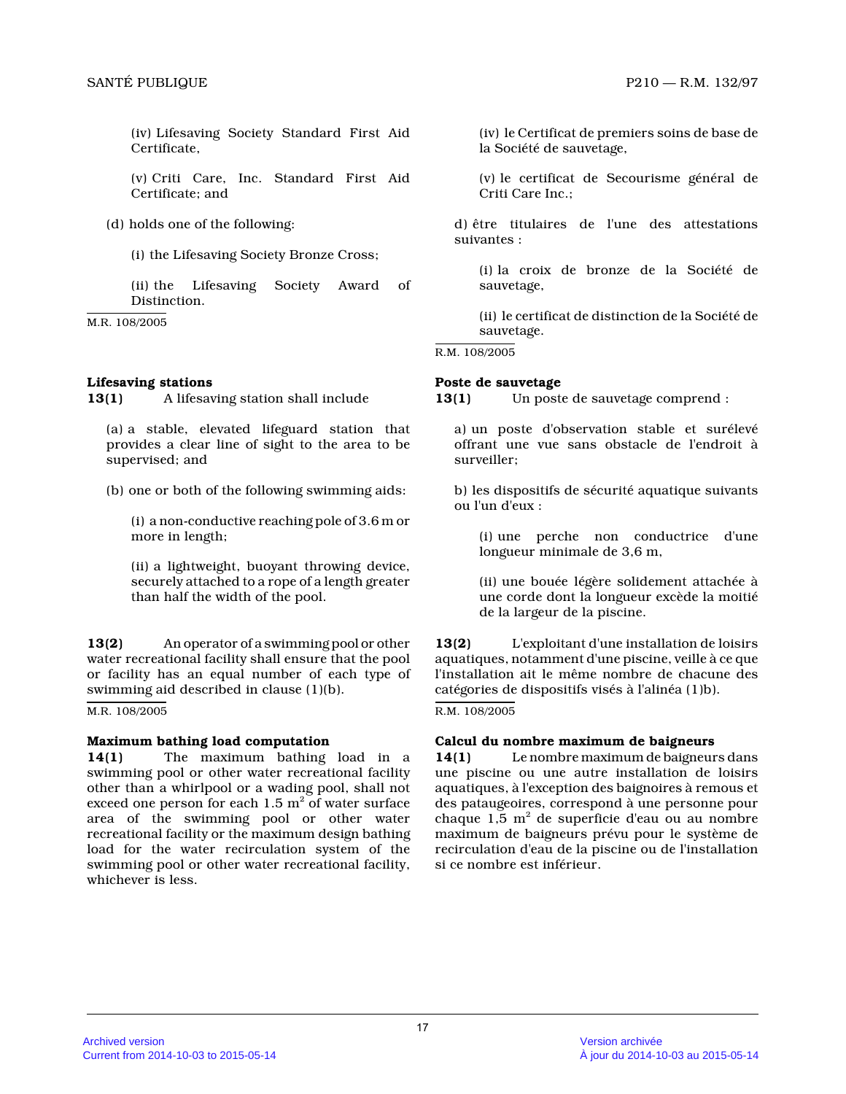(iv) Lifesaving Society Standard First Aid Certificate,

(v) Criti Care, Inc. Standard First Aid Certificate; and

(d) holds one of the following:

(i) the Lifesaving Society Bronze Cross;

(ii) the Lifesaving Society Award of Distinction.

M.R. 108/2005

# **Lifesaving stations**

**13(1)** A lifesaving station shall include

(a) a stable, elevated lifeguard station that provides a clear line of sight to the area to be supervised; and

(b) one or both of the following swimming aids:

(i) a non-conductive reaching pole of 3.6 m or more in length;

(ii) a lightweight, buoyant throwing device, securely attached to a rope of a length greater than half the width of the pool.

**13(2)** An operator of a swimming pool or other water recreational facility shall ensure that the pool or facility has an equal number of each type of swimming aid described in clause (1)(b).

M.R. 108/2005

#### **Maximum bathing load computation**

**14(1)** The maximum bathing load in a swimming pool or other water recreational facility other than a whirlpool or a wading pool, shall not exceed one person for each  $1.5\ \mathrm{m}^{2}$  of water surface area of the swimming pool or other water recreational facility or the maximum design bathing load for the water recirculation system of the swimming pool or other water recreational facility, whichever is less.

(iv) le Certificat de premiers soins de base de la Société de sauvetage,

(v) le certificat de Secourisme général de Criti Care Inc.;

d) être titulaires de l'une des attestations suivantes :

(i) la croix de bronze de la Société de sauvetage,

(ii) le certificat de distinction de la Société de sauvetage.

R.M. 108/2005

# **Poste de sauvetage**

**13(1)** Un poste de sauvetage comprend :

a) un poste d'observation stable et surélevé offrant une vue sans obstacle de l'endroit à surveiller;

b) les dispositifs de sécurité aquatique suivants ou l'un d'eux :

(i) une perche non conductrice d'une longueur minimale de 3,6 m,

(ii) une bouée légère solidement attachée à une corde dont la longueur excède la moitié de la largeur de la piscine.

**13(2)** L'exploitant d'une installation de loisirs aquatiques, notamment d'une piscine, veille à ce qu e l'installation ait le même nombre de chacune des catégories de dispositifs visés à l'alinéa (1)b).

R.M. 108/2005

# **Calcul du nombre maximum de baigneurs**

**14(1)** Le nombre maximum de baigneurs dans une piscine ou une autre installation de loisirs aquatiques, à l'exception des baignoires à remous e t des pataugeoires, correspond à une personne pour chaque 1,5  $\mathrm{m}^2$  de superficie d'eau ou au nombre maximum de baigneurs prévu pour le système de recirculation d'eau de la piscine ou de l'installation si ce nombre est inférieur.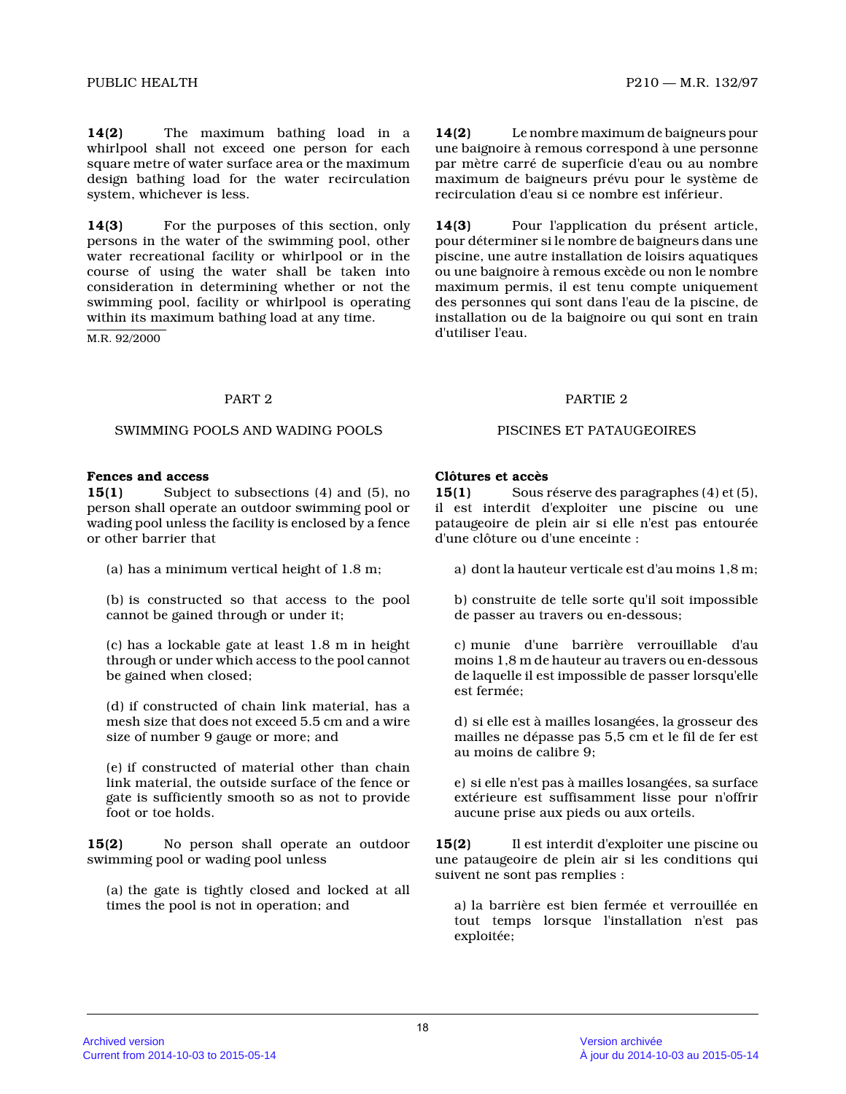**14(2)** The maximum bathing load in a whirlpool shall not exceed one person for each square metre of water surface area or the maximum design bathing load for the water recirculation system, whichever is less.

**14(3)** For the purposes of this section, only persons in the water of the swimming pool, other water recreational facility or whirlpool or in the course of using the water shall be taken into consideration in determining whether or not the swimming pool, facility or whirlpool is operating within its maximum bathing load at any time.

M.R. 92/2000

**14(2)** Le nombre maximum de baigneurs pour une baignoire à remous correspond à une personne par mètre carré de superficie d'eau ou au nombre maximum de baigneurs prévu pour le système de recirculation d'eau si ce nombre est inférieur.

**14(3)** Pour l'application du présent article, pour déterminer si le nombre de baigneurs dans une piscine, une autre installation de loisirs aquatiques ou une baignoire à remous excède ou non le nombre maximum permis, il est tenu compte uniquement des personnes qui sont dans l'eau de la piscine, de installation ou de la baignoire ou qui sont en trai n d'utiliser l'eau.

#### PART 2 PARTIE 2

#### SWIMMING POOLS AND WADING POOLS PISCINES ET PATAUGEOIRES

#### **Fences and access**

**15(1)** Subject to subsections (4) and (5), no person shall operate an outdoor swimming pool or wading pool unless the facility is enclosed by a fence or other barrier that

(a) has a minimum vertical height of 1.8 m;

(b) is constructed so that access to the pool cannot be gained through or under it;

(c) has a lockable gate at least 1.8 m in height through or under which access to the pool cannot be gained when closed;

(d) if constructed of chain link material, has a mesh size that does not exceed 5.5 cm and a wire size of number 9 gauge or more; and

(e) if constructed of material other than chain link material, the outside surface of the fence or gate is sufficiently smooth so as not to provide foot or toe holds.

**15(2)** No person shall operate an outdoor swimming pool or wading pool unless

(a) the gate is tightly closed and locked at all times the pool is not in operation; and

# **Clôtures et accès**

**15(1)** Sous réserve des paragraphes (4) et (5), il est interdit d'exploiter une piscine ou une pataugeoire de plein air si elle n'est pas entourée d'une clôture ou d'une enceinte :

a) dont la hauteur verticale est d'au moins 1,8 m;

b) construite de telle sorte qu'il soit impossible de passer au travers ou en-dessous;

c) munie d'une barrière verrouillable d'au moins 1,8 m de hauteur au travers ou en-dessous de laquelle il est impossible de passer lorsqu'elle est fermée;

d) si elle est à mailles losangées, la grosseur des mailles ne dépasse pas 5,5 cm et le fil de fer est au moins de calibre 9;

e) si elle n'est pas à mailles losangées, sa surface extérieure est suffisamment lisse pour n'offrir aucune prise aux pieds ou aux orteils.

**15(2)** Il est interdit d'exploiter une piscine ou une pataugeoire de plein air si les conditions qui suivent ne sont pas remplies :

a) la barrière est bien fermée et verrouillée en tout temps lorsque l'installation n'est pas exploitée;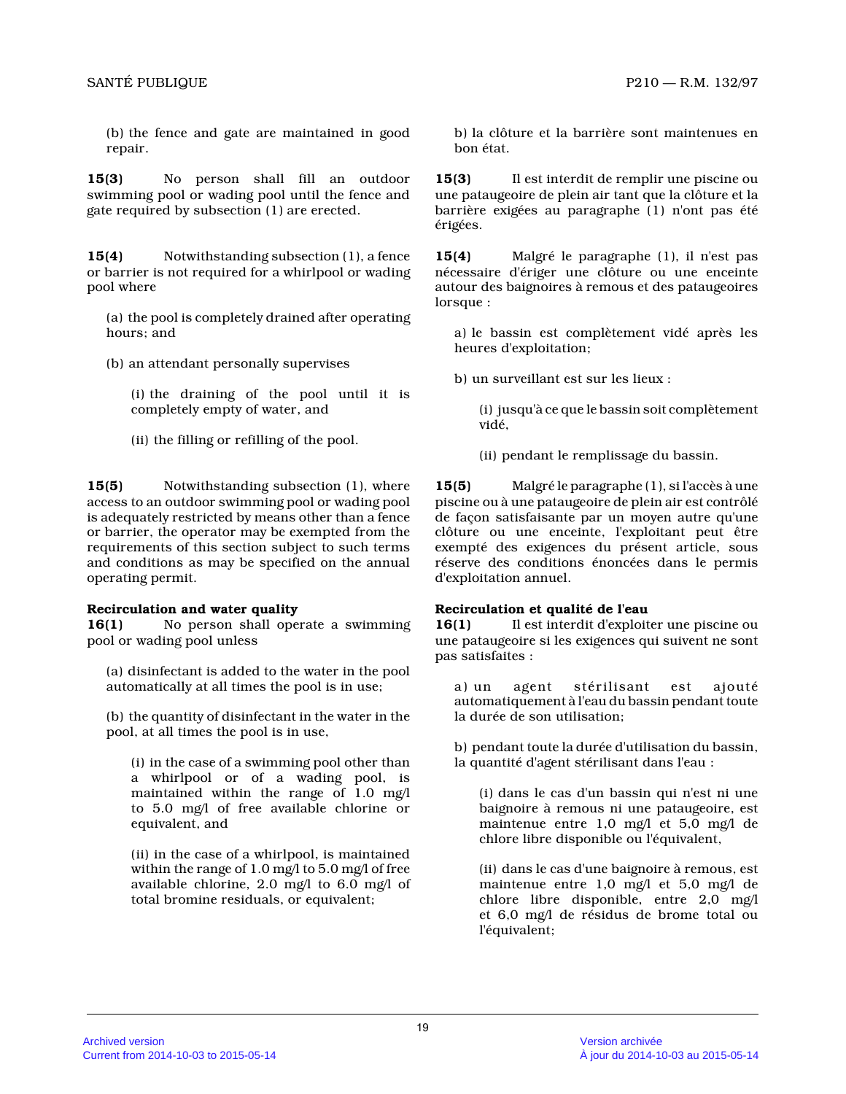(b) the fence and gate are maintained in good repair.

**15(3)** No person shall fill an outdoor swimming pool or wading pool until the fence and gate required by subsection (1) are erected.

**15(4)** Notwithstanding subsection (1), a fence or barrier is not required for a whirlpool or wadin g pool where

(a) the pool is completely drained after operating hours; and

(b) an attendant personally supervises

(i) the draining of the pool until it is completely empty of water, and

(ii) the filling or refilling of the pool.

**15(5)** Notwithstanding subsection (1), where access to an outdoor swimming pool or wading pool is adequately restricted by means other than a fenc e or barrier, the operator may be exempted from the requirements of this section subject to such terms and conditions as may be specified on the annual operating permit.

#### **Recirculation and water quality**

**16(1)** No person shall operate a swimming pool or wading pool unless

(a) disinfectant is added to the water in the pool automatically at all times the pool is in use;

(b) the quantity of disinfectant in the water in the pool, at all times the pool is in use,

(i) in the case of a swimming pool other than a whirlpool or of a wading pool, is maintained within the range of 1.0 mg/l to 5.0 mg/l of free available chlorine or equivalent, and

(ii) in the case of a whirlpool, is maintained within the range of 1.0 mg/l to 5.0 mg/l of free available chlorine, 2.0 mg/l to 6.0 mg/l of total bromine residuals, or equivalent;

b) la clôture et la barrière sont maintenues en bon état.

**15(3)** Il est interdit de remplir une piscine ou une pataugeoire de plein air tant que la clôture et la barrière exigées au paragraphe (1) n'ont pas été érigées.

**15(4)** Malgré le paragraphe (1), il n'est pas nécessaire d'ériger une clôture ou une enceinte autour des baignoires à remous et des pataugeoires lorsque :

a) le bassin est complètement vidé après les heures d'exploitation;

b) un surveillant est sur les lieux :

(i) jusqu'à ce que le bassin soit complètement vidé,

(ii) pendant le remplissage du bassin.

**15(5)** Malgré le paragraphe (1), si l'accès à une piscine ou à une pataugeoire de plein air est contrôlé de façon satisfaisante par un moyen autre qu'une clôture ou une enceinte, l'exploitant peut être exempté des exigences du présent article, sous réserve des conditions énoncées dans le permis d'exploitation annuel.

# **Recirculation et qualité de l'eau**

**16(1)** Il est interdit d'exploiter une piscine ou une pataugeoire si les exigences qui suivent ne son t pas satisfaites :

a) un agent stérilisant est ajouté automatiquement à l'eau du bassin pendant toute la durée de son utilisation;

b) pendant toute la durée d'utilisation du bassin, la quantité d'agent stérilisant dans l'eau :

(i) dans le cas d'un bassin qui n'est ni une baignoire à remous ni une pataugeoire, est maintenue entre 1,0 mg/l et 5,0 mg/l de chlore libre disponible ou l'équivalent,

(ii) dans le cas d'une baignoire à remous, est maintenue entre 1,0 mg/l et 5,0 mg/l de chlore libre disponible, entre 2,0 mg/l et 6,0 mg/l de résidus de brome total ou l'équivalent;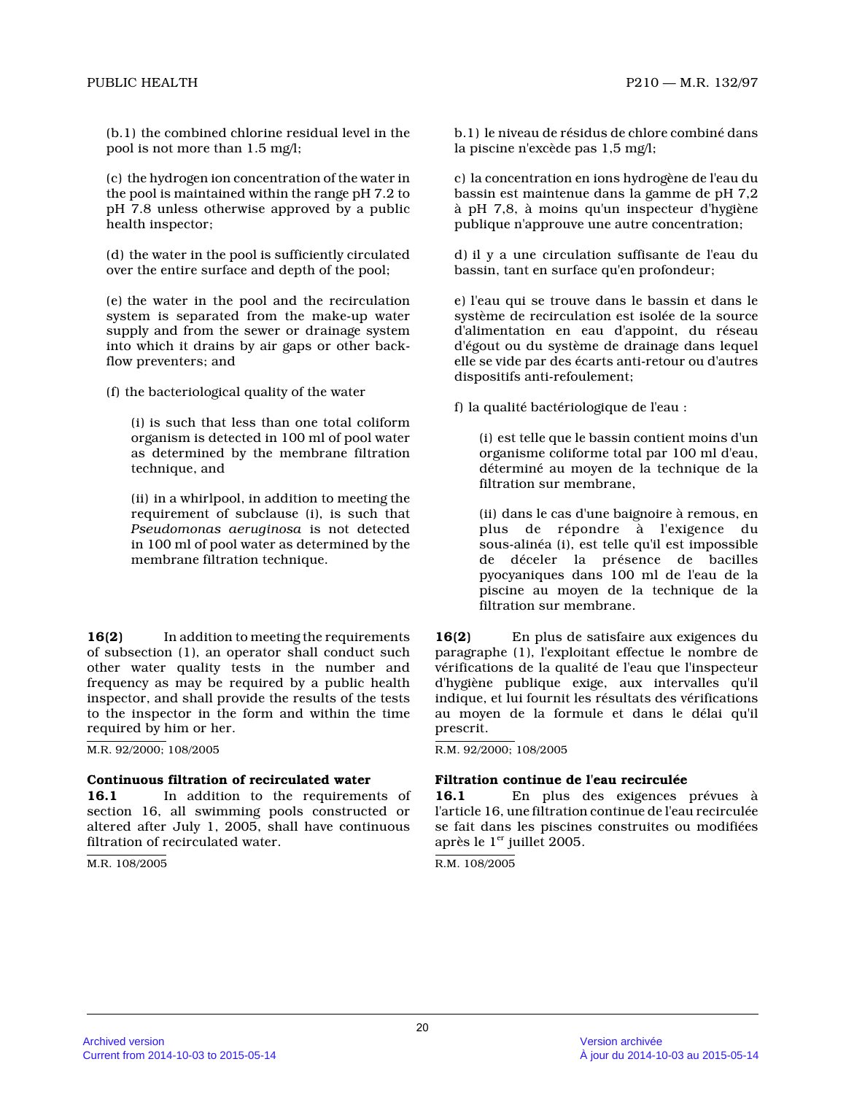(b.1) the combined chlorine residual level in the pool is not more than 1.5 mg/l;

(c) the hydrogen ion concentration of the water in the pool is maintained within the range pH 7.2 to pH 7.8 unless otherwise approved by a public health inspector;

(d) the water in the pool is sufficiently circulated over the entire surface and depth of the pool;

(e) the water in the pool and the recirculation system is separated from the make-up water supply and from the sewer or drainage system into which it drains by air gaps or other backflow preventers; and

(f) the bacteriological quality of the water

(i) is such that less than one total coliform organism is detected in 100 ml of pool water as determined by the membrane filtration technique, and

(ii) in a whirlpool, in addition to meeting the requirement of subclause (i), is such that *Pseudomonas aeruginosa* is not detected in 100 ml of pool water as determined by the membrane filtration technique.

**16(2)** In addition to meeting the requirements of subsection (1), an operator shall conduct such other water quality tests in the number and frequency as may be required by a public health inspector, and shall provide the results of the tests to the inspector in the form and within the time required by him or her.

M.R. 92/2000; 108/2005

#### **Continuous filtration of recirculated water**

16.1 In addition to the requirements of section 16, all swimming pools constructed or altered after July 1, 2005, shall have continuous filtration of recirculated water.

M.R. 108/2005

b.1) le niveau de résidus de chlore combiné dans la piscine n'excède pas 1,5 mg/l;

c) la concentration en ions hydrogène de l'eau du bassin est maintenue dans la gamme de pH 7,2 à pH 7,8, à moins qu'un inspecteur d'hygiène publique n'approuve une autre concentration;

d) il y a une circulation suffisante de l'eau du bassin, tant en surface qu'en profondeur;

e) l'eau qui se trouve dans le bassin et dans le système de recirculation est isolée de la source d'alimentation en eau d'appoint, du réseau d'égout ou du système de drainage dans lequel elle se vide par des écarts anti-retour ou d'autres dispositifs anti-refoulement;

f) la qualité bactériologique de l'eau :

(i) est telle que le bassin contient moins d'un organisme coliforme total par 100 ml d'eau, déterminé au moyen de la technique de la filtration sur membrane,

(ii) dans le cas d'une baignoire à remous, en plus de répondre à l'exigence du sous-alinéa (i), est telle qu'il est impossible de déceler la présence de bacilles pyocyaniques dans 100 ml de l'eau de la piscine au moyen de la technique de la filtration sur membrane.

**16(2)** En plus de satisfaire aux exigences du paragraphe (1), l'exploitant effectue le nombre de vérifications de la qualité de l'eau que l'inspecteur d'hygiène publique exige, aux intervalles qu'il indique, et lui fournit les résultats des vérifications au moyen de la formule et dans le délai qu'il prescrit.

R.M. 92/2000; 108/2005

#### **Filtration continue de l'eau recirculée**

**16.1** En plus des exigences prévues à l'article 16, une filtration continue de l'eau recirculée se fait dans les piscines construites ou modifiées après le  $1<sup>er</sup>$  juillet 2005.

R.M. 108/2005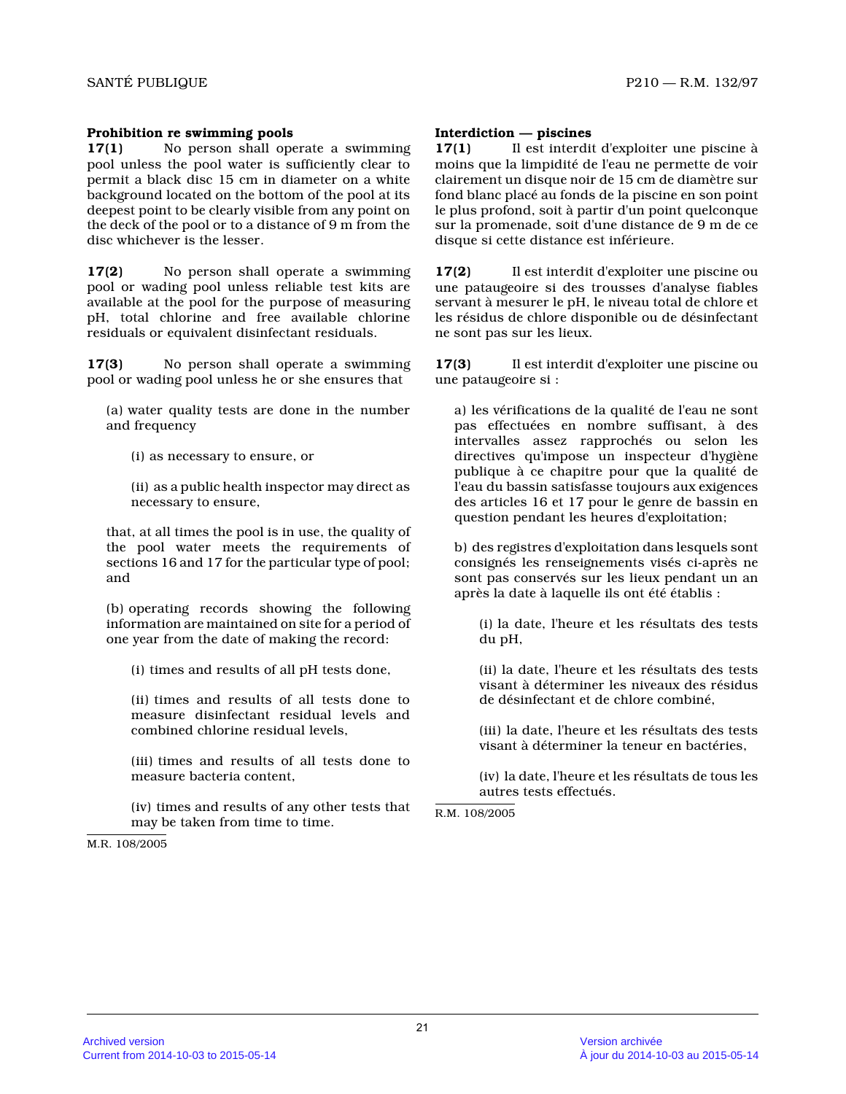### **Prohibition re swimming pools**

**17(1)** No person shall operate a swimming pool unless the pool water is sufficiently clear to permit a black disc 15 cm in diameter on a white background located on the bottom of the pool at its deepest point to be clearly visible from any point on the deck of the pool or to a distance of 9 m from the disc whichever is the lesser.

**17(2)** No person shall operate a swimming pool or wading pool unless reliable test kits are available at the pool for the purpose of measuring pH, total chlorine and free available chlorine residuals or equivalent disinfectant residuals.

**17(3)** No person shall operate a swimming pool or wading pool unless he or she ensures that

(a) water quality tests are done in the number and frequency

(i) as necessary to ensure, or

(ii) as a public health inspector may direct as necessary to ensure,

that, at all times the pool is in use, the quality of the pool water meets the requirements of sections 16 and 17 for the particular type of pool; and

(b) operating records showing the following information are maintained on site for a period of one year from the date of making the record:

(i) times and results of all pH tests done,

(ii) times and results of all tests done to measure disinfectant residual levels and combined chlorine residual levels,

(iii) times and results of all tests done to measure bacteria content,

(iv) times and results of any other tests that may be taken from time to time.

M.R. 108/2005

#### **Interdiction — piscines**

**17(1)** Il est interdit d'exploiter une piscine à moins que la limpidité de l'eau ne permette de voir clairement un disque noir de 15 cm de diamètre sur fond blanc placé au fonds de la piscine en son poin t le plus profond, soit à partir d'un point quelconqu e sur la promenade, soit d'une distance de 9 m de ce disque si cette distance est inférieure.

**17(2)** Il est interdit d'exploiter une piscine ou une pataugeoire si des trousses d'analyse fiables servant à mesurer le pH, le niveau total de chlore et les résidus de chlore disponible ou de désinfectant ne sont pas sur les lieux.

**17(3)** Il est interdit d'exploiter une piscine ou une pataugeoire si :

a) les vérifications de la qualité de l'eau ne sont pas effectuées en nombre suffisant, à des intervalles assez rapprochés ou selon les directives qu'impose un inspecteur d'hygiène publique à ce chapitre pour que la qualité de l'eau du bassin satisfasse toujours aux exigences des articles 16 et 17 pour le genre de bassin en question pendant les heures d'exploitation;

b) des registres d'exploitation dans lesquels sont consignés les renseignements visés ci-après ne sont pas conservés sur les lieux pendant un an après la date à laquelle ils ont été établis :

(i) la date, l'heure et les résultats des tests du pH,

(ii) la date, l'heure et les résultats des tests visant à déterminer les niveaux des résidus de désinfectant et de chlore combiné,

(iii) la date, l'heure et les résultats des tests visant à déterminer la teneur en bactéries,

(iv) la date, l'heure et les résultats de tous les autres tests effectués.

R.M. 108/2005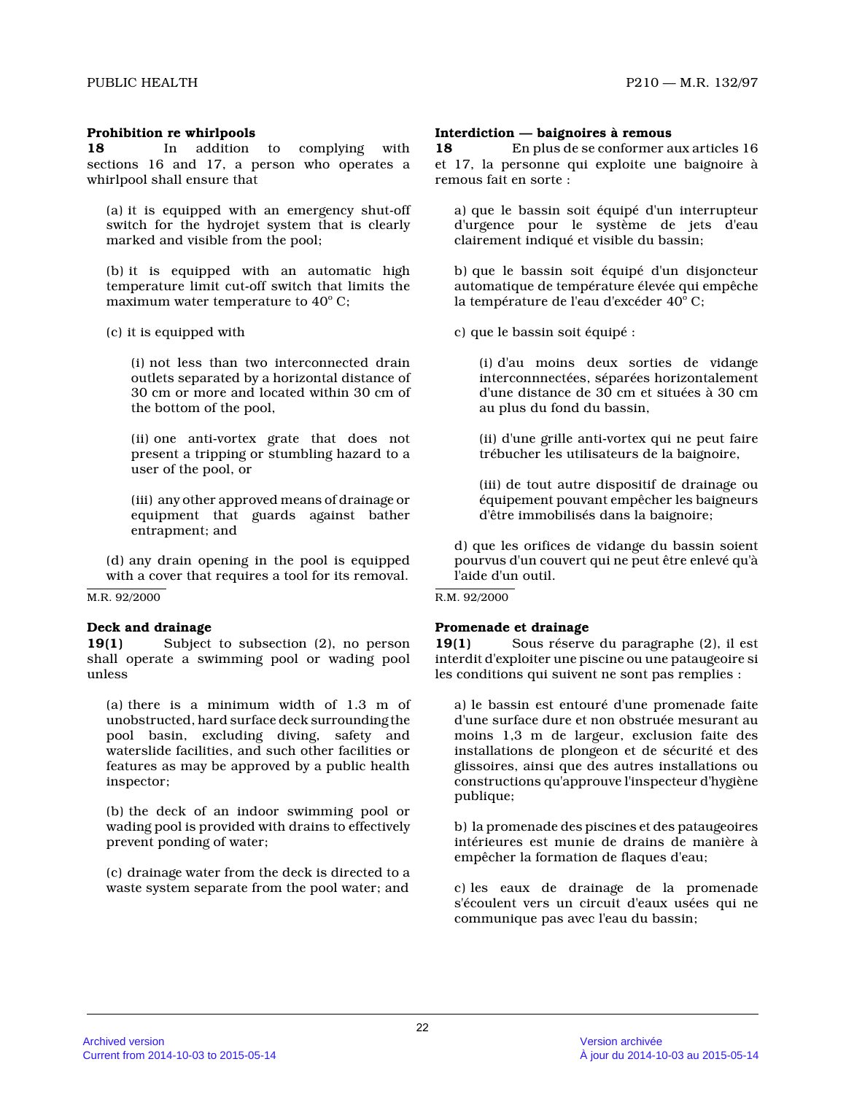#### **Prohibition re whirlpools**

**18** In addition to complying with sections 16 and 17, a person who operates a whirlpool shall ensure that

(a) it is equipped with an emergency shut-off switch for the hydrojet system that is clearly marked and visible from the pool;

(b) it is equipped with an automatic high temperature limit cut-off switch that limits the maximum water temperature to  $40^{\circ}$  C;

(c) it is equipped with

(i) not less than two interconnected drain outlets separated by a horizontal distance of 30 cm or more and located within 30 cm of the bottom of the pool,

(ii) one anti-vortex grate that does not present a tripping or stumbling hazard to a user of the pool, or

(iii) any other approved means of drainage or equipment that guards against bather entrapment; and

(d) any drain opening in the pool is equipped with a cover that requires a tool for its removal.

#### M.R. 92/2000

#### **Deck and drainage**

**19(1)** Subject to subsection (2), no person shall operate a swimming pool or wading pool unless

(a) there is a minimum width of 1.3 m of unobstructed, hard surface deck surrounding the pool basin, excluding diving, safety and waterslide facilities, and such other facilities or features as may be approved by a public health inspector;

(b) the deck of an indoor swimming pool or wading pool is provided with drains to effectively prevent ponding of water;

(c) drainage water from the deck is directed to a waste system separate from the pool water; and

# **Interdiction — baignoires à remous**

**18** En plus de se conformer aux articles 16 et 17, la personne qui exploite une baignoire à remous fait en sorte :

a) que le bassin soit équipé d'un interrupteur d'urgence pour le système de jets d'eau clairement indiqué et visible du bassin;

b) que le bassin soit équipé d'un disjoncteur automatique de température élevée qui empêche la température de l'eau d'excéder 40<mark>°</mark> C;

c) que le bassin soit équipé :

(i) d'au moins deux sorties de vidange interconnnectées, séparées horizontalement d'une distance de 30 cm et situées à 30 cm au plus du fond du bassin,

(ii) d'une grille anti-vortex qui ne peut faire trébucher les utilisateurs de la baignoire,

(iii) de tout autre dispositif de drainage ou équipement pouvant empêcher les baigneurs d'être immobilisés dans la baignoire;

d) que les orifices de vidange du bassin soient pourvus d'un couvert qui ne peut être enlevé qu'à l'aide d'un outil.

#### R.M. 92/2000

#### **Promenade et drainage**

**19(1)** Sous réserve du paragraphe (2), il est interdit d'exploiter une piscine ou une pataugeoire si les conditions qui suivent ne sont pas remplies :

a) le bassin est entouré d'une promenade faite d'une surface dure et non obstruée mesurant au moins 1,3 m de largeur, exclusion faite des installations de plongeon et de sécurité et des glissoires, ainsi que des autres installations ou constructions qu'approuve l'inspecteur d'hygiène publique;

b) la promenade des piscines et des pataugeoires intérieures est munie de drains de manière à empêcher la formation de flaques d'eau;

c) les eaux de drainage de la promenade s'écoulent vers un circuit d'eaux usées qui ne communique pas avec l'eau du bassin;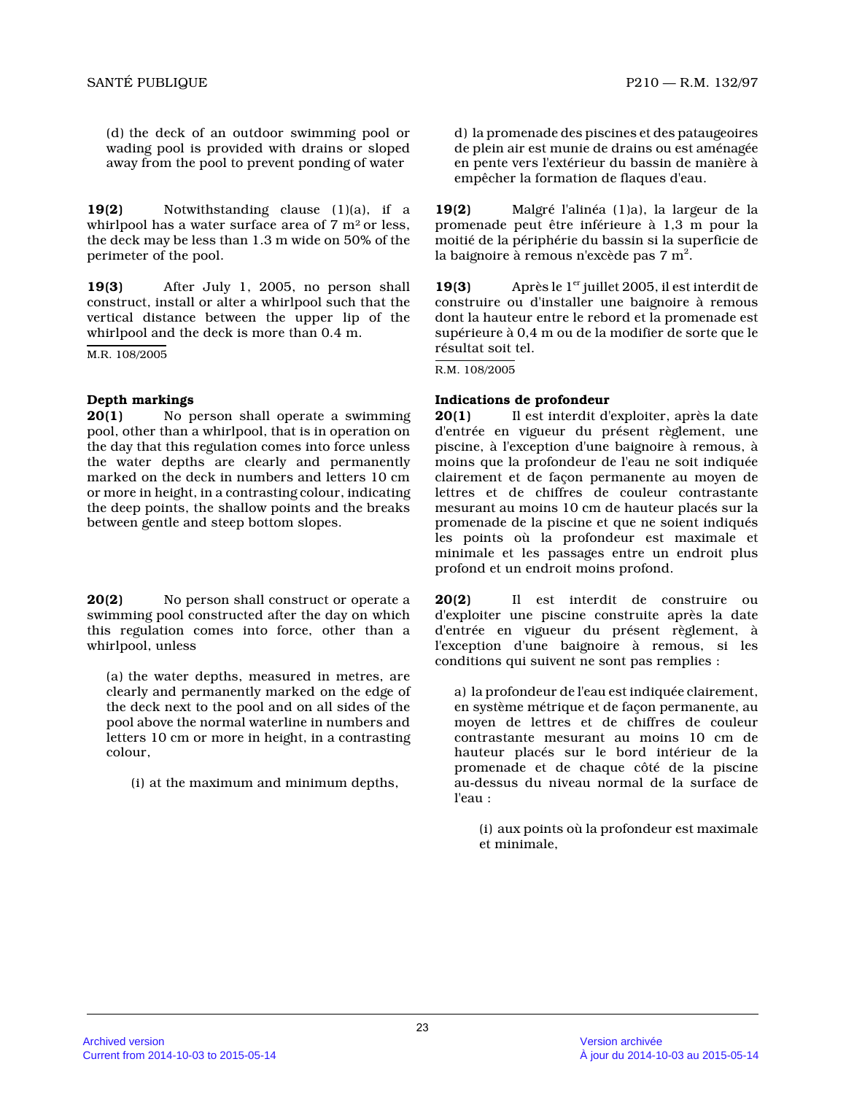(d) the deck of an outdoor swimming pool or wading pool is provided with drains or sloped away from the pool to prevent ponding of water

**19(2)** Notwithstanding clause (1)(a), if a whirlpool has a water surface area of  $7 \text{ m}^2$  or less, the deck may be less than 1.3 m wide on 50% of the perimeter of the pool.

**19(3)** After July 1, 2005, no person shall construct, install or alter a whirlpool such that the vertical distance between the upper lip of the whirlpool and the deck is more than 0.4 m.

M.R. 108/2005

# **Depth markings**

**20(1)** No person shall operate a swimming pool, other than a whirlpool, that is in operation on the day that this regulation comes into force unles s the water depths are clearly and permanently marked on the deck in numbers and letters 10 cm or more in height, in a contrasting colour, indicating the deep points, the shallow points and the breaks between gentle and steep bottom slopes.

**20(2)** No person shall construct or operate a swimming pool constructed after the day on which this regulation comes into force, other than a whirlpool, unless

(a) the water depths, measured in metres, are clearly and permanently marked on the edge of the deck next to the pool and on all sides of the pool above the normal waterline in numbers and letters 10 cm or more in height, in a contrasting colour,

(i) at the maximum and minimum depths,

d) la promenade des piscines et des pataugeoires de plein air est munie de drains ou est aménagée en pente vers l'extérieur du bassin de manière à empêcher la formation de flaques d'eau.

**19(2)** Malgré l'alinéa (1)a), la largeur de la promenade peut être inférieure à 1,3 m pour la moitié de la périphérie du bassin si la superficie de la baignoire à remous n'excède pas 7 m $^{\rm 2}.$ 

**19(3)** Après le  $1<sup>er</sup>$  juillet 2005, il est interdit de construire ou d'installer une baignoire à remous dont la hauteur entre le rebord et la promenade est supérieure à 0,4 m ou de la modifier de sorte que l e résultat soit tel.

R.M. 108/2005

# **Indications de profondeur**

**20(1)** Il est interdit d'exploiter, après la date d'entrée en vigueur du présent règlement, une piscine, à l'exception d'une baignoire à remous, à moins que la profondeur de l'eau ne soit indiquée clairement et de façon permanente au moyen de lettres et de chiffres de couleur contrastante mesurant au moins 10 cm de hauteur placés sur la promenade de la piscine et que ne soient indiqués les points où la profondeur est maximale et minimale et les passages entre un endroit plus profond et un endroit moins profond.

**20(2)** Il est interdit de construire ou d'exploiter une piscine construite après la date d'entrée en vigueur du présent règlement, à l'exception d'une baignoire à remous, si les conditions qui suivent ne sont pas remplies :

a) la profondeur de l'eau est indiquée clairement, en système métrique et de façon permanente, au moyen de lettres et de chiffres de couleur contrastante mesurant au moins 10 cm de hauteur placés sur le bord intérieur de la promenade et de chaque côté de la piscine au-dessus du niveau normal de la surface de l'eau :

(i) aux points où la profondeur est maximale et minimale,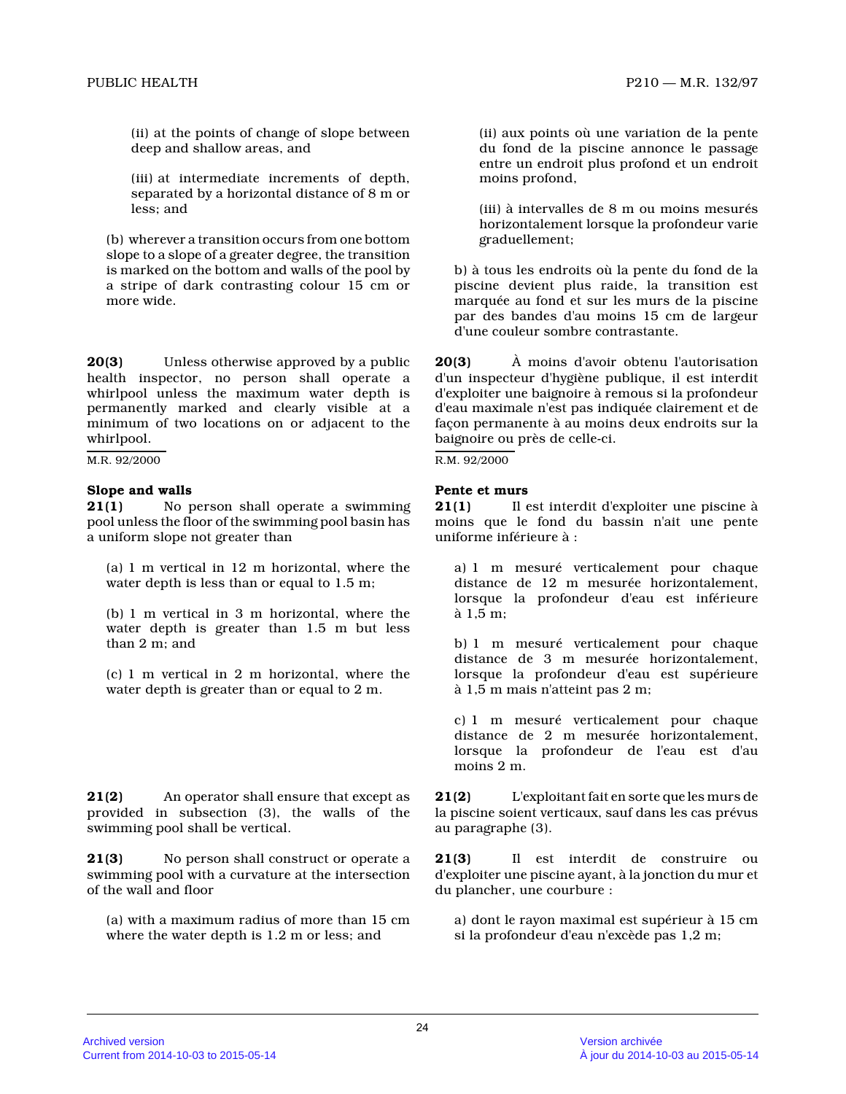(ii) at the points of change of slope between deep and shallow areas, and

(iii) at intermediate increments of depth, separated by a horizontal distance of 8 m or less; and

(b) wherever a transition occurs from one bottom slope to a slope of a greater degree, the transitio n is marked on the bottom and walls of the pool by a stripe of dark contrasting colour 15 cm or more wide.

**20(3)** Unless otherwise approved by a public health inspector, no person shall operate a whirlpool unless the maximum water depth is permanently marked and clearly visible at a minimum of two locations on or adjacent to the whirlpool.

M.R. 92/2000

# **Slope and walls**

**21(1)** No person shall operate a swimming pool unless the floor of the swimming pool basin ha s a uniform slope not greater than

(a) 1 m vertical in 12 m horizontal, where the water depth is less than or equal to 1.5 m;

(b) 1 m vertical in 3 m horizontal, where the water depth is greater than 1.5 m but less than 2 m; and

(c) 1 m vertical in 2 m horizontal, where the water depth is greater than or equal to 2 m.

**21(2)** An operator shall ensure that except as provided in subsection (3), the walls of the swimming pool shall be vertical.

**21(3)** No person shall construct or operate a swimming pool with a curvature at the intersection of the wall and floor

(a) with a maximum radius of more than 15 cm where the water depth is 1.2 m or less; and

(ii) aux points où une variation de la pente du fond de la piscine annonce le passage entre un endroit plus profond et un endroit moins profond,

(iii) à intervalles de 8 m ou moins mesurés horizontalement lorsque la profondeur varie graduellement;

b) à tous les endroits où la pente du fond de la piscine devient plus raide, la transition est marquée au fond et sur les murs de la piscine par des bandes d'au moins 15 cm de largeur d'une couleur sombre contrastante.

**20(3)** À moins d'avoir obtenu l'autorisation d'un inspecteur d'hygiène publique, il est interdit d'exploiter une baignoire à remous si la profondeur d'eau maximale n'est pas indiquée clairement et de façon permanente à au moins deux endroits sur la baignoire ou près de celle-ci.

R.M. 92/2000

# **Pente et murs**

**21(1)** Il est interdit d'exploiter une piscine à moins que le fond du bassin n'ait une pente uniforme inférieure à :

a) 1 m mesuré verticalement pour chaque distance de 12 m mesurée horizontalement, lorsque la profondeur d'eau est inférieure à 1,5 m;

b) 1 m mesuré verticalement pour chaque distance de 3 m mesurée horizontalement, lorsque la profondeur d'eau est supérieure à 1,5 m mais n'atteint pas 2 m;

c) 1 m mesuré verticalement pour chaque distance de 2 m mesurée horizontalement, lorsque la profondeur de l'eau est d'au moins 2 m.

**21(2)** L'exploitant fait en sorte que les murs de la piscine soient verticaux, sauf dans les cas prévus au paragraphe (3).

**21(3)** Il est interdit de construire ou d'exploiter une piscine ayant, à la jonction du mur et du plancher, une courbure :

a) dont le rayon maximal est supérieur à 15 cm si la profondeur d'eau n'excède pas 1,2 m;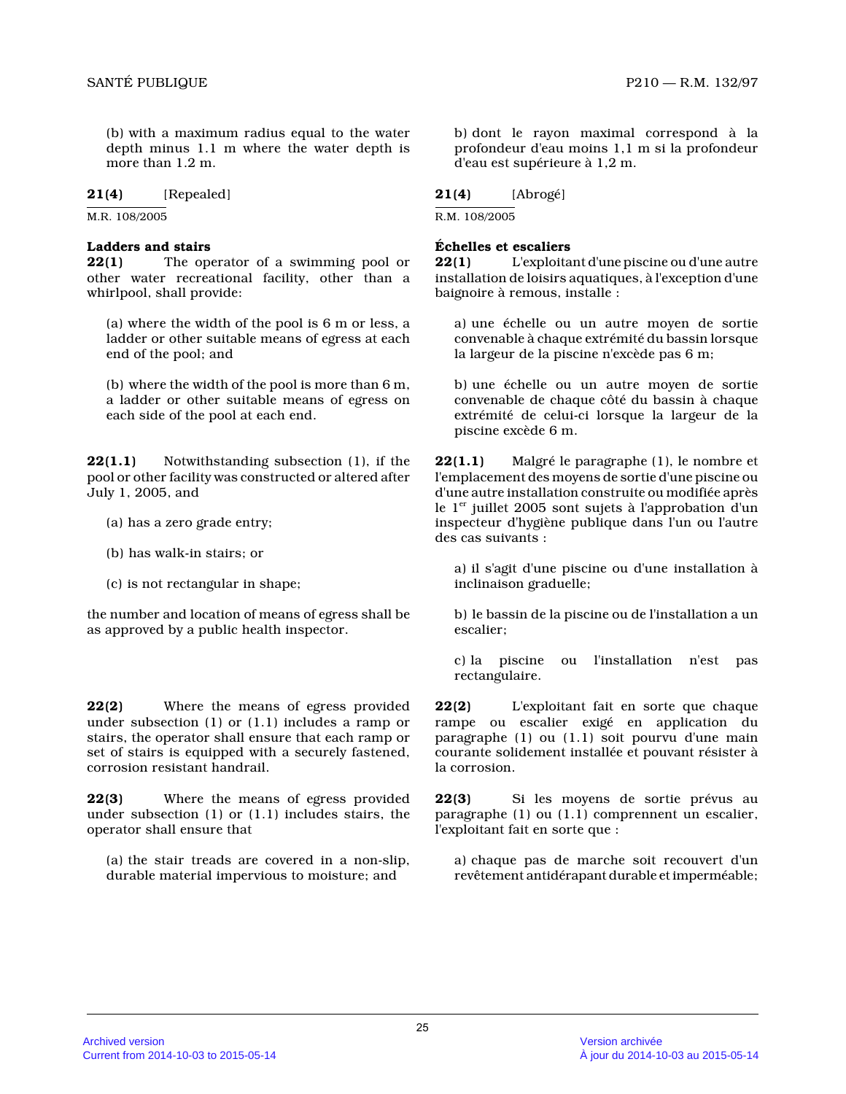(b) with a maximum radius equal to the water depth minus 1.1 m where the water depth is more than 1.2 m.

# **21(4)** [Repealed]

M.R. 108/2005

### **Ladders and stairs**

**22(1)** The operator of a swimming pool or other water recreational facility, other than a whirlpool, shall provide:

(a) where the width of the pool is 6 m or less, a ladder or other suitable means of egress at each end of the pool; and

(b) where the width of the pool is more than 6 m, a ladder or other suitable means of egress on each side of the pool at each end.

**22(1.1)** Notwithstanding subsection (1), if the pool or other facility was constructed or altered after July 1, 2005, and

- (a) has a zero grade entry;
- (b) has walk-in stairs; or
- (c) is not rectangular in shape;

the number and location of means of egress shall be as approved by a public health inspector.

**22(2)** Where the means of egress provided under subsection (1) or (1.1) includes a ramp or stairs, the operator shall ensure that each ramp or set of stairs is equipped with a securely fastened, corrosion resistant handrail.

**22(3)** Where the means of egress provided under subsection (1) or (1.1) includes stairs, the operator shall ensure that

(a) the stair treads are covered in a non-slip, durable material impervious to moisture; and

b) dont le rayon maximal correspond à la profondeur d'eau moins 1,1 m si la profondeur d'eau est supérieure à 1,2 m.

# **21(4)** [Abrogé]

R.M. 108/2005

# **Échelles et escaliers**

**22(1)** L'exploitant d'une piscine ou d'une autre installation de loisirs aquatiques, à l'exception d'une baignoire à remous, installe :

a) une échelle ou un autre moyen de sortie convenable à chaque extrémité du bassin lorsque la largeur de la piscine n'excède pas 6 m;

b) une échelle ou un autre moyen de sortie convenable de chaque côté du bassin à chaque extrémité de celui-ci lorsque la largeur de la piscine excède 6 m.

**22(1.1)** Malgré le paragraphe (1), le nombre et l'emplacement des moyens de sortie d'une piscine ou d'une autre installation construite ou modifiée après le  $1<sup>er</sup>$  juillet 2005 sont sujets à l'approbation d'un inspecteur d'hygiène publique dans l'un ou l'autre des cas suivants :

a) il s'agit d'une piscine ou d'une installation à inclinaison graduelle;

b) le bassin de la piscine ou de l'installation a un escalier;

c) la piscine ou l'installation n'est pas rectangulaire.

**22(2)** L'exploitant fait en sorte que chaque rampe ou escalier exigé en application du paragraphe (1) ou (1.1) soit pourvu d'une main courante solidement installée et pouvant résister à la corrosion.

**22(3)** Si les moyens de sortie prévus au paragraphe (1) ou (1.1) comprennent un escalier, l'exploitant fait en sorte que :

a) chaque pas de marche soit recouvert d'un revêtement antidérapant durable et imperméable;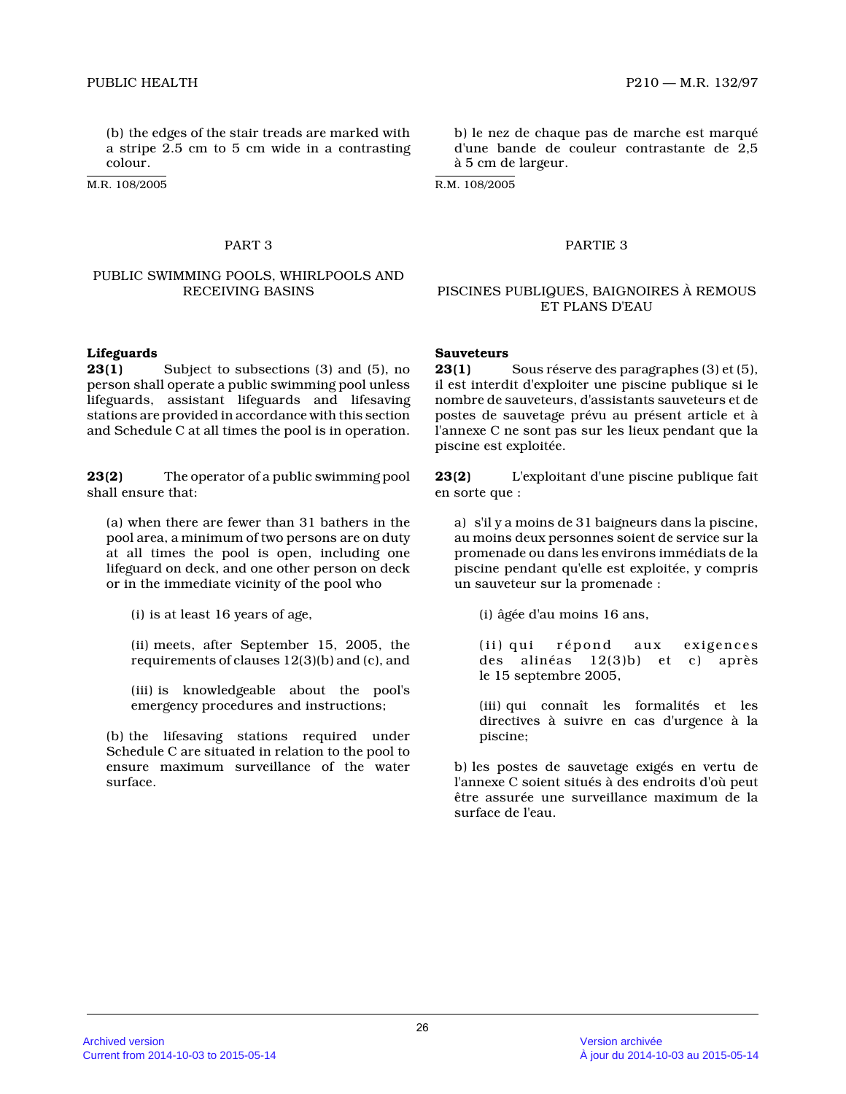(b) the edges of the stair treads are marked with a stripe  $2.5$  cm to 5 cm wide in a contrasting colour.

M.R. 108/2005

# PUBLIC SWIMMING POOLS, WHIRLPOOLS AND

#### **Lifeguards**

**23(1)** Subject to subsections (3) and (5), no person shall operate a public swimming pool unless lifeguards, assistant lifeguards and lifesaving stations are provided in accordance with this section and Schedule C at all times the pool is in operation.

**23(2)** The operator of a public swimming pool shall ensure that:

(a) when there are fewer than 31 bathers in the pool area, a minimum of two persons are on duty at all times the pool is open, including one lifeguard on deck, and one other person on deck or in the immediate vicinity of the pool who

(i) is at least 16 years of age,

(ii) meets, after September 15, 2005, the requirements of clauses 12(3)(b) and (c), and

(iii) is knowledgeable about the pool's emergency procedures and instructions;

(b) the lifesaving stations required under Schedule C are situated in relation to the pool to ensure maximum surveillance of the water surface.

b) le nez de chaque pas de marche est marqué d'une bande de couleur contrastante de 2,5 à 5 cm de largeur.

R.M. 108/2005

#### PART 3 PARTIE 3

#### RECEIVING BASINS PISCINES PUBLIQUES, BAIGNOIRES À REMOUS ET PLANS D'EAU

#### **Sauveteurs**

**23(1)** Sous réserve des paragraphes (3) et (5), il est interdit d'exploiter une piscine publique si le nombre de sauveteurs, d'assistants sauveteurs et de postes de sauvetage prévu au présent article et à l'annexe C ne sont pas sur les lieux pendant que la piscine est exploitée.

**23(2)** L'exploitant d'une piscine publique fait en sorte que :

a) s'il y a moins de 31 baigneurs dans la piscine, au moins deux personnes soient de service sur la promenade ou dans les environs immédiats de la piscine pendant qu'elle est exploitée, y compris un sauveteur sur la promenade :

(i) âgée d'au moins 16 ans,

(ii) qui répond aux exigences des alinéas 12(3)b) et c) après le 15 septembre 2005,

(iii) qui connaît les formalités et les directives à suivre en cas d'urgence à la piscine;

b) les postes de sauvetage exigés en vertu de l'annexe C soient situés à des endroits d'où peut être assurée une surveillance maximum de la surface de l'eau.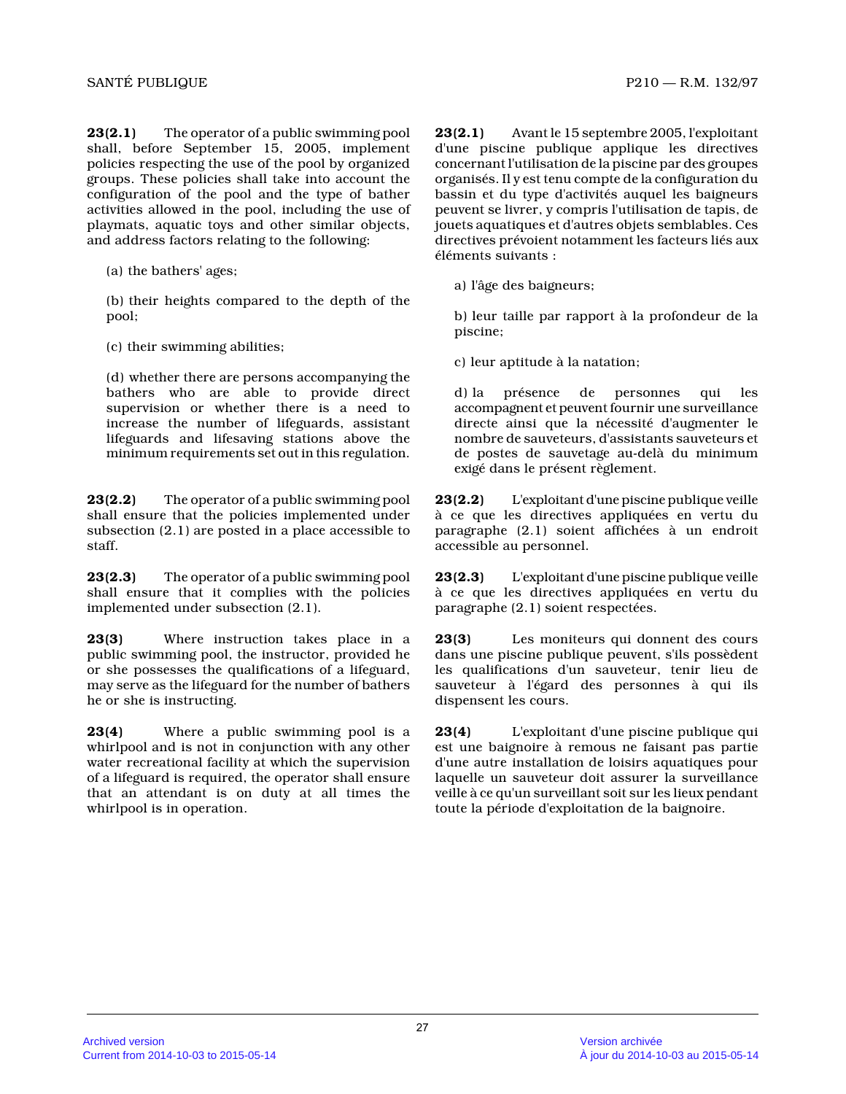**23(2.1)** The operator of a public swimming pool shall, before September 15, 2005, implement policies respecting the use of the pool by organize d groups. These policies shall take into account the configuration of the pool and the type of bather activities allowed in the pool, including the use o f playmats, aquatic toys and other similar objects, and address factors relating to the following:

(a) the bathers' ages;

(b) their heights compared to the depth of the pool;

(c) their swimming abilities;

(d) whether there are persons accompanying the bathers who are able to provide direct supervision or whether there is a need to increase the number of lifeguards, assistant lifeguards and lifesaving stations above the minimum requirements set out in this regulation.

**23(2.2)** The operator of a public swimming pool shall ensure that the policies implemented under subsection (2.1) are posted in a place accessible t o staff.

**23(2.3)** The operator of a public swimming pool shall ensure that it complies with the policies implemented under subsection (2.1).

**23(3)** Where instruction takes place in a public swimming pool, the instructor, provided he or she possesses the qualifications of a lifeguard, may serve as the lifeguard for the number of bather s he or she is instructing.

**23(4)** Where a public swimming pool is a whirlpool and is not in conjunction with any other water recreational facility at which the supervisio n of a lifeguard is required, the operator shall ensure that an attendant is on duty at all times the whirlpool is in operation.

**23(2.1)** Avant le 15 septembre 2005, l'exploitant d'une piscine publique applique les directives concernant l'utilisation de la piscine par des groupes organisés. Il y est tenu compte de la configuration du bassin et du type d'activités auquel les baigneurs peuvent se livrer, y compris l'utilisation de tapis, de jouets aquatiques et d'autres objets semblables. Ce s directives prévoient notamment les facteurs liés au x éléments suivants :

a) l'âge des baigneurs;

b) leur taille par rapport à la profondeur de la piscine;

c) leur aptitude à la natation;

d) la présence de personnes qui les accompagnent et peuvent fournir une surveillance directe ainsi que la nécessité d'augmenter le nombre de sauveteurs, d'assistants sauveteurs et de postes de sauvetage au-delà du minimum exigé dans le présent règlement.

**23(2.2)** L'exploitant d'une piscine publique veille à ce que les directives appliquées en vertu du paragraphe (2.1) soient affichées à un endroit accessible au personnel.

**23(2.3)** L'exploitant d'une piscine publique veille à ce que les directives appliquées en vertu du paragraphe (2.1) soient respectées.

**23(3)** Les moniteurs qui donnent des cours dans une piscine publique peuvent, s'ils possèdent les qualifications d'un sauveteur, tenir lieu de sauveteur à l'égard des personnes à qui ils dispensent les cours.

**23(4)** L'exploitant d'une piscine publique qui est une baignoire à remous ne faisant pas partie d'une autre installation de loisirs aquatiques pour laquelle un sauveteur doit assurer la surveillance veille à ce qu'un surveillant soit sur les lieux pendant toute la période d'exploitation de la baignoire.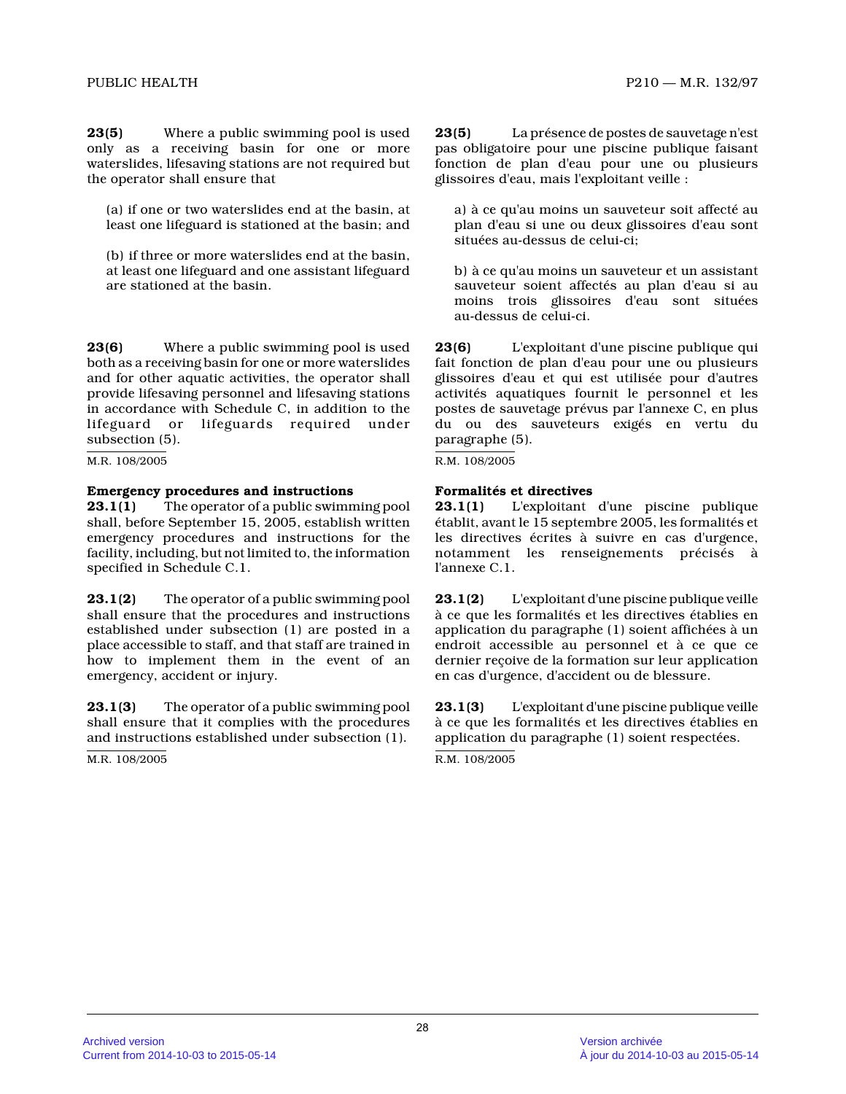**23(5)** Where a public swimming pool is used only as a receiving basin for one or more waterslides, lifesaving stations are not required but the operator shall ensure that

(a) if one or two waterslides end at the basin, at least one lifeguard is stationed at the basin; and

(b) if three or more waterslides end at the basin, at least one lifeguard and one assistant lifeguard are stationed at the basin.

**23(6)** Where a public swimming pool is used both as a receiving basin for one or more waterslides and for other aquatic activities, the operator shal l provide lifesaving personnel and lifesaving station s in accordance with Schedule C, in addition to the lifeguard or lifeguards required under subsection (5).

M.R. 108/2005

# **Emergency procedures and instructions**

**23.1(1)** The operator of a public swimming pool shall, before September 15, 2005, establish written emergency procedures and instructions for the facility, including, but not limited to, the information specified in Schedule C.1.

**23.1(2)** The operator of a public swimming pool shall ensure that the procedures and instructions established under subsection (1) are posted in a place accessible to staff, and that staff are trained in how to implement them in the event of an emergency, accident or injury.

**23.1(3)** The operator of a public swimming pool shall ensure that it complies with the procedures and instructions established under subsection (1).

M.R. 108/2005

**23(5)** La présence de postes de sauvetage n'est pas obligatoire pour une piscine publique faisant fonction de plan d'eau pour une ou plusieurs glissoires d'eau, mais l'exploitant veille :

a) à ce qu'au moins un sauveteur soit affecté au plan d'eau si une ou deux glissoires d'eau sont situées au-dessus de celui-ci;

b) à ce qu'au moins un sauveteur et un assistant sauveteur soient affectés au plan d'eau si au moins trois glissoires d'eau sont situées au-dessus de celui-ci.

**23(6)** L'exploitant d'une piscine publique qui fait fonction de plan d'eau pour une ou plusieurs glissoires d'eau et qui est utilisée pour d'autres activités aquatiques fournit le personnel et les postes de sauvetage prévus par l'annexe C, en plus du ou des sauveteurs exigés en vertu du paragraphe (5).

R.M. 108/2005

# **Formalités et directives**

**23.1(1)** L'exploitant d'une piscine publique établit, avant le 15 septembre 2005, les formalités et les directives écrites à suivre en cas d'urgence, notamment les renseignements précisés à l'annexe C.1.

**23.1(2)** L'exploitant d'une piscine publique veille à ce que les formalités et les directives établies en application du paragraphe (1) soient affichées à un endroit accessible au personnel et à ce que ce dernier reçoive de la formation sur leur applicatio n en cas d'urgence, d'accident ou de blessure.

**23.1(3)** L'exploitant d'une piscine publique veille à ce que les formalités et les directives établies en application du paragraphe (1) soient respectées.

R.M. 108/2005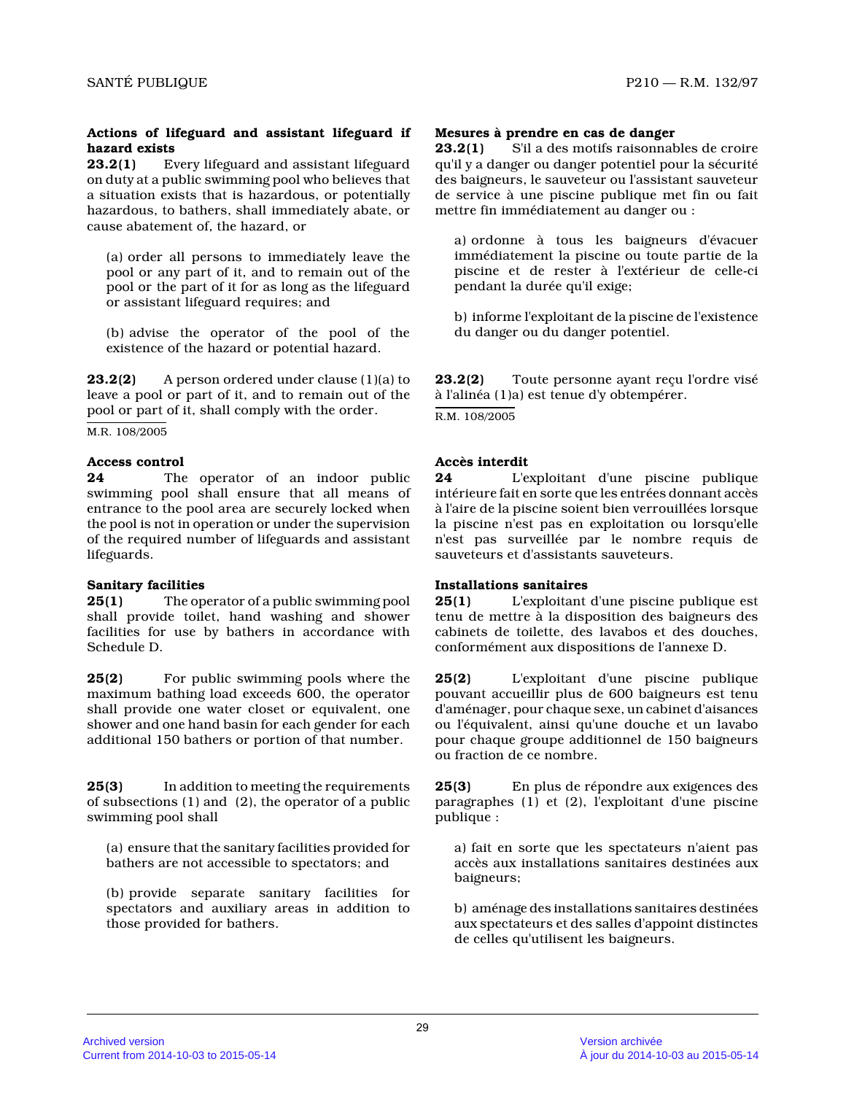# **Actions of lifeguard and assistant lifeguard if hazard exists**

**23.2(1)** Every lifeguard and assistant lifeguard on duty at a public swimming pool who believes that a situation exists that is hazardous, or potentiall y hazardous, to bathers, shall immediately abate, or cause abatement of, the hazard, or

(a) order all persons to immediately leave the pool or any part of it, and to remain out of the pool or the part of it for as long as the lifeguard or assistant lifeguard requires; and

(b) advise the operator of the pool of the existence of the hazard or potential hazard.

**23.2(2)** A person ordered under clause (1)(a) to leave a pool or part of it, and to remain out of th e pool or part of it, shall comply with the order.

M.R. 108/2005

# **Access control**

**24** The operator of an indoor public swimming pool shall ensure that all means of entrance to the pool area are securely locked when the pool is not in operation or under the supervision of the required number of lifeguards and assistant lifeguards.

# **Sanitary facilities**

**25(1)** The operator of a public swimming pool shall provide toilet, hand washing and shower facilities for use by bathers in accordance with Schedule D.

**25(2)** For public swimming pools where the maximum bathing load exceeds 600, the operator shall provide one water closet or equivalent, one shower and one hand basin for each gender for each additional 150 bathers or portion of that number.

**25(3)** In addition to meeting the requirements of subsections (1) and (2), the operator of a public swimming pool shall

(a) ensure that the sanitary facilities provided for bathers are not accessible to spectators; and

(b) provide separate sanitary facilities for spectators and auxiliary areas in addition to those provided for bathers.

# **Mesures à prendre en cas de danger**

**23.2(1)** S'il a des motifs raisonnables de croire qu'il y a danger ou danger potentiel pour la sécurité des baigneurs, le sauveteur ou l'assistant sauveteu r de service à une piscine publique met fin ou fait mettre fin immédiatement au danger ou :

a) ordonne à tous les baigneurs d'évacuer immédiatement la piscine ou toute partie de la piscine et de rester à l'extérieur de celle-ci pendant la durée qu'il exige;

b) informe l'exploitant de la piscine de l'existence du danger ou du danger potentiel.

**23.2(2)** Toute personne ayant reçu l'ordre visé à l'alinéa (1)a) est tenue d'y obtempérer. R.M. 108/2005

# **Accès interdit**

**24** L'exploitant d'une piscine publique intérieure fait en sorte que les entrées donnant accès à l'aire de la piscine soient bien verrouillées lorsque la piscine n'est pas en exploitation ou lorsqu'elle n'est pas surveillée par le nombre requis de sauveteurs et d'assistants sauveteurs.

# **Installations sanitaires**

**25(1)** L'exploitant d'une piscine publique est tenu de mettre à la disposition des baigneurs des cabinets de toilette, des lavabos et des douches, conformément aux dispositions de l'annexe D.

**25(2)** L'exploitant d'une piscine publique pouvant accueillir plus de 600 baigneurs est tenu d'aménager, pour chaque sexe, un cabinet d'aisances ou l'équivalent, ainsi qu'une douche et un lavabo pour chaque groupe additionnel de 150 baigneurs ou fraction de ce nombre.

**25(3)** En plus de répondre aux exigences des paragraphes (1) et (2), l'exploitant d'une piscine publique :

a) fait en sorte que les spectateurs n'aient pas accès aux installations sanitaires destinées aux baigneurs;

b) aménage des installations sanitaires destinées aux spectateurs et des salles d'appoint distinctes de celles qu'utilisent les baigneurs.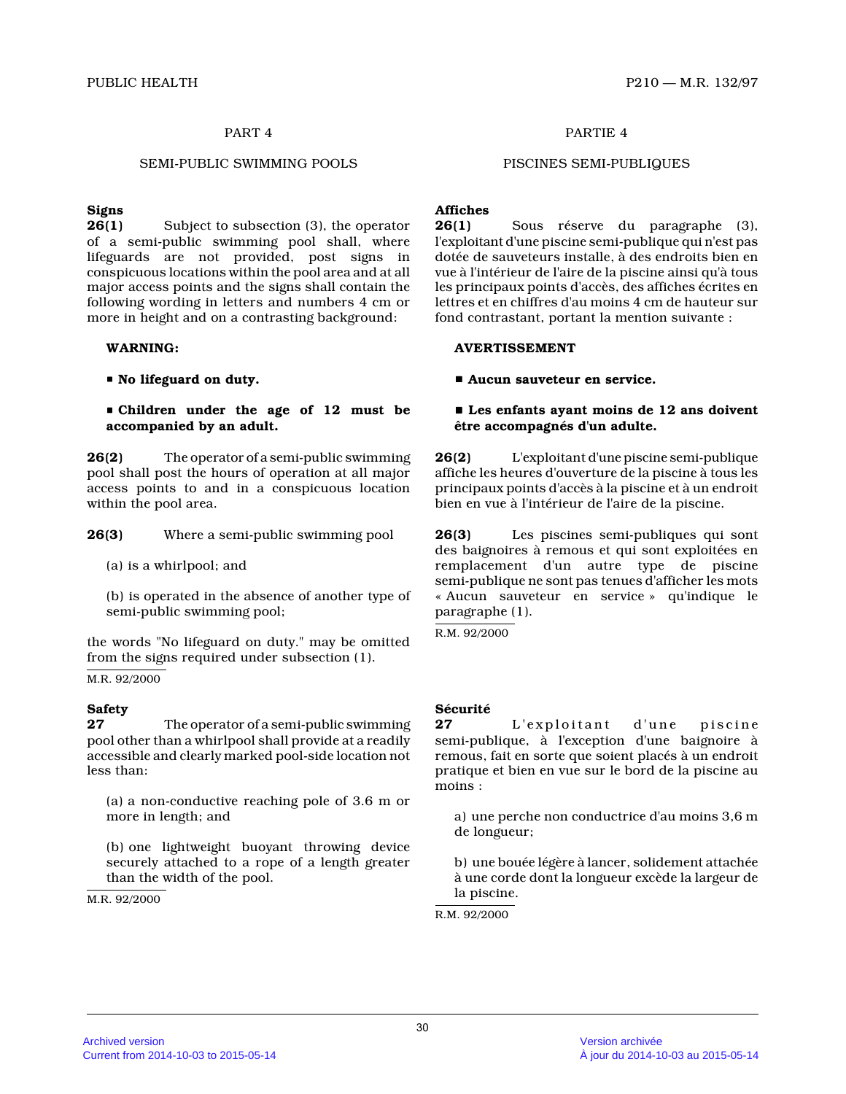# SEMI-PUBLIC SWIMMING POOLS PISCINES SEMI-PUBLIQUES

#### **Signs**

**26(1)** Subject to subsection (3), the operator of a semi-public swimming pool shall, where lifeguards are not provided, post signs in conspicuous locations within the pool area and at all major access points and the signs shall contain the following wording in letters and numbers 4 cm or more in height and on a contrasting background:

#### **WARNING:**

P **No lifeguard on duty.**

 $\blacksquare$  **Children under the age of 12 must be accompanied by an adult.**

**26(2)** The operator of a semi-public swimming pool shall post the hours of operation at all major access points to and in a conspicuous location within the pool area.

**26(3)** Where a semi-public swimming pool

(a) is a whirlpool; and

(b) is operated in the absence of another type of semi-public swimming pool;

the words "No lifeguard on duty." may be omitted from the signs required under subsection (1).

M.R. 92/2000

#### **Safety**

**27** The operator of a semi-public swimming pool other than a whirlpool shall provide at a readily accessible and clearly marked pool-side location no t less than:

(a) a non-conductive reaching pole of 3.6 m or more in length; and

(b) one lightweight buoyant throwing device securely attached to a rope of a length greater than the width of the pool.

M.R. 92/2000

# PART 4 PARTIE 4

#### **Affiches**

**26(1)** Sous réserve du paragraphe (3), l'exploitant d'une piscine semi-publique qui n'est pas dotée de sauveteurs installe, à des endroits bien e n vue à l'intérieur de l'aire de la piscine ainsi qu'à tous les principaux points d'accès, des affiches écrites en lettres et en chiffres d'au moins 4 cm de hauteur sur fond contrastant, portant la mention suivante :

#### **AVERTISSEMENT**

# $\blacksquare$  Aucun sauveteur en service.

# $\blacksquare$  Les enfants ayant moins de 12 ans doivent **être accompagnés d'un adulte.**

**26(2)** L'exploitant d'une piscine semi-publique affiche les heures d'ouverture de la piscine à tous les principaux points d'accès à la piscine et à un endroit bien en vue à l'intérieur de l'aire de la piscine.

**26(3)** Les piscines semi-publiques qui sont des baignoires à remous et qui sont exploitées en remplacement d'un autre type de piscine semi-publique ne sont pas tenues d'afficher les mot s « Aucun sauveteur en service » qu'indique le paragraphe (1).

R.M. 92/2000

#### **Sécurité**

27 L'exploitant d'une piscine semi-publique, à l'exception d'une baignoire à remous, fait en sorte que soient placés à un endroi t pratique et bien en vue sur le bord de la piscine a u moins :

a) une perche non conductrice d'au moins 3,6 m de longueur;

b) une bouée légère à lancer, solidement attachée à une corde dont la longueur excède la largeur de la piscine.

R.M. 92/2000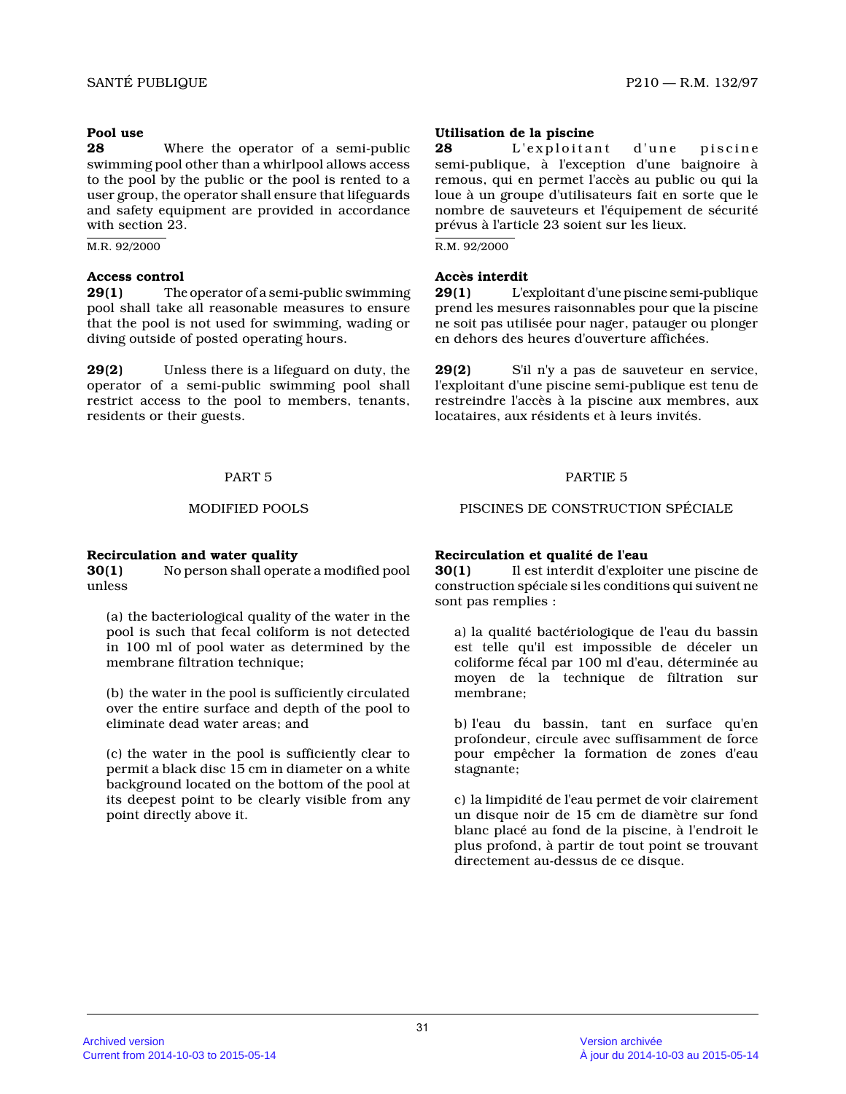# **Pool use**

**28** Where the operator of a semi-public swimming pool other than a whirlpool allows access to the pool by the public or the pool is rented to a user group, the operator shall ensure that lifeguards and safety equipment are provided in accordance with section 23.

M.R. 92/2000

# **Access control**

**29(1)** The operator of a semi-public swimming pool shall take all reasonable measures to ensure that the pool is not used for swimming, wading or diving outside of posted operating hours.

**29(2)** Unless there is a lifeguard on duty, the operator of a semi-public swimming pool shall restrict access to the pool to members, tenants, residents or their guests.

# **Recirculation and water quality**

**30(1)** No person shall operate a modified pool unless

(a) the bacteriological quality of the water in the pool is such that fecal coliform is not detected in 100 ml of pool water as determined by the membrane filtration technique;

(b) the water in the pool is sufficiently circulated over the entire surface and depth of the pool to eliminate dead water areas; and

(c) the water in the pool is sufficiently clear to permit a black disc 15 cm in diameter on a white background located on the bottom of the pool at its deepest point to be clearly visible from any point directly above it.

# **Utilisation de la piscine**

**28** L'exploitant d'une piscine semi-publique, à l'exception d'une baignoire à remous, qui en permet l'accès au public ou qui la loue à un groupe d'utilisateurs fait en sorte que l e nombre de sauveteurs et l'équipement de sécurité prévus à l'article 23 soient sur les lieux.

R.M. 92/2000

# **Accès interdit**

**29(1)** L'exploitant d'une piscine semi-publique prend les mesures raisonnables pour que la piscine ne soit pas utilisée pour nager, patauger ou plonge r en dehors des heures d'ouverture affichées.

**29(2)** S'il n'y a pas de sauveteur en service, l'exploitant d'une piscine semi-publique est tenu d e restreindre l'accès à la piscine aux membres, aux locataires, aux résidents et à leurs invités.

# PART 5 PARTIE 5

MODIFIED POOLS PISCINES DE CONSTRUCTION SPÉCIALE

# **Recirculation et qualité de l'eau**

**30(1)** Il est interdit d'exploiter une piscine de construction spéciale si les conditions qui suivent ne sont pas remplies :

a) la qualité bactériologique de l'eau du bassin est telle qu'il est impossible de déceler un coliforme fécal par 100 ml d'eau, déterminée au moyen de la technique de filtration sur membrane;

b) l'eau du bassin, tant en surface qu'en profondeur, circule avec suffisamment de force pour empêcher la formation de zones d'eau stagnante;

c) la limpidité de l'eau permet de voir clairement un disque noir de 15 cm de diamètre sur fond blanc placé au fond de la piscine, à l'endroit le plus profond, à partir de tout point se trouvant directement au-dessus de ce disque.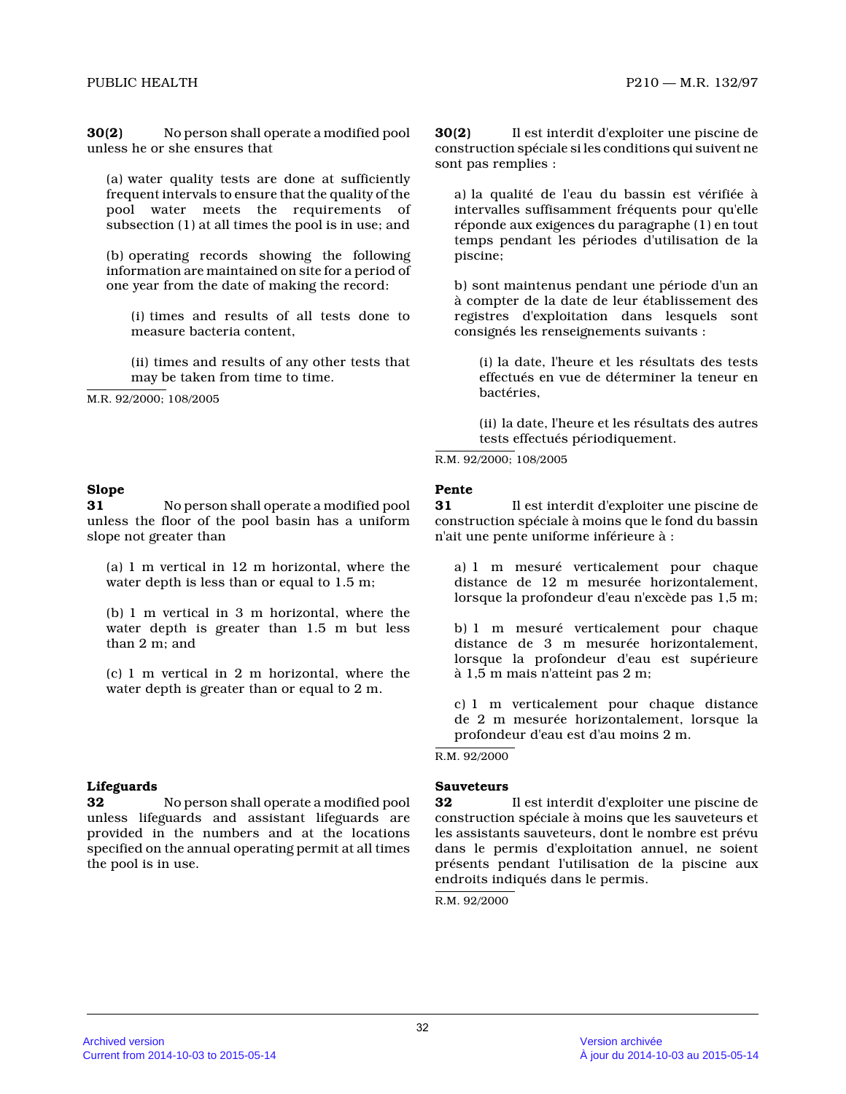**30(2)** No person shall operate a modified pool unless he or she ensures that

(a) water quality tests are done at sufficiently frequent intervals to ensure that the quality of th e pool water meets the requirements of subsection (1) at all times the pool is in use; and

(b) operating records showing the following information are maintained on site for a period of one year from the date of making the record:

(i) times and results of all tests done to measure bacteria content,

(ii) times and results of any other tests that may be taken from time to time.

M.R. 92/2000; 108/2005

#### **Slope**

**31** No person shall operate a modified pool unless the floor of the pool basin has a uniform slope not greater than

(a) 1 m vertical in 12 m horizontal, where the water depth is less than or equal to 1.5 m;

(b) 1 m vertical in 3 m horizontal, where the water depth is greater than 1.5 m but less than 2 m; and

(c) 1 m vertical in 2 m horizontal, where the water depth is greater than or equal to 2 m.

#### **Lifeguards**

**32** No person shall operate a modified pool unless lifeguards and assistant lifeguards are provided in the numbers and at the locations specified on the annual operating permit at all times the pool is in use.

**30(2)** Il est interdit d'exploiter une piscine de construction spéciale si les conditions qui suivent ne sont pas remplies :

a) la qualité de l'eau du bassin est vérifiée à intervalles suffisamment fréquents pour qu'elle réponde aux exigences du paragraphe (1) en tout temps pendant les périodes d'utilisation de la piscine;

b) sont maintenus pendant une période d'un an à compter de la date de leur établissement des registres d'exploitation dans lesquels sont consignés les renseignements suivants :

(i) la date, l'heure et les résultats des tests effectués en vue de déterminer la teneur en bactéries,

(ii) la date, l'heure et les résultats des autres tests effectués périodiquement.

R.M. 92/2000; 108/2005

#### **Pente**

**31** Il est interdit d'exploiter une piscine de construction spéciale à moins que le fond du bassin n'ait une pente uniforme inférieure à :

a) 1 m mesuré verticalement pour chaque distance de 12 m mesurée horizontalement, lorsque la profondeur d'eau n'excède pas 1,5 m;

b) 1 m mesuré verticalement pour chaque distance de 3 m mesurée horizontalement, lorsque la profondeur d'eau est supérieure à 1,5 m mais n'atteint pas 2 m;

c) 1 m verticalement pour chaque distance de 2 m mesurée horizontalement, lorsque la profondeur d'eau est d'au moins 2 m.

#### R.M. 92/2000

#### **Sauveteurs**

**32** Il est interdit d'exploiter une piscine de construction spéciale à moins que les sauveteurs et les assistants sauveteurs, dont le nombre est prévu dans le permis d'exploitation annuel, ne soient présents pendant l'utilisation de la piscine aux endroits indiqués dans le permis.

R.M. 92/2000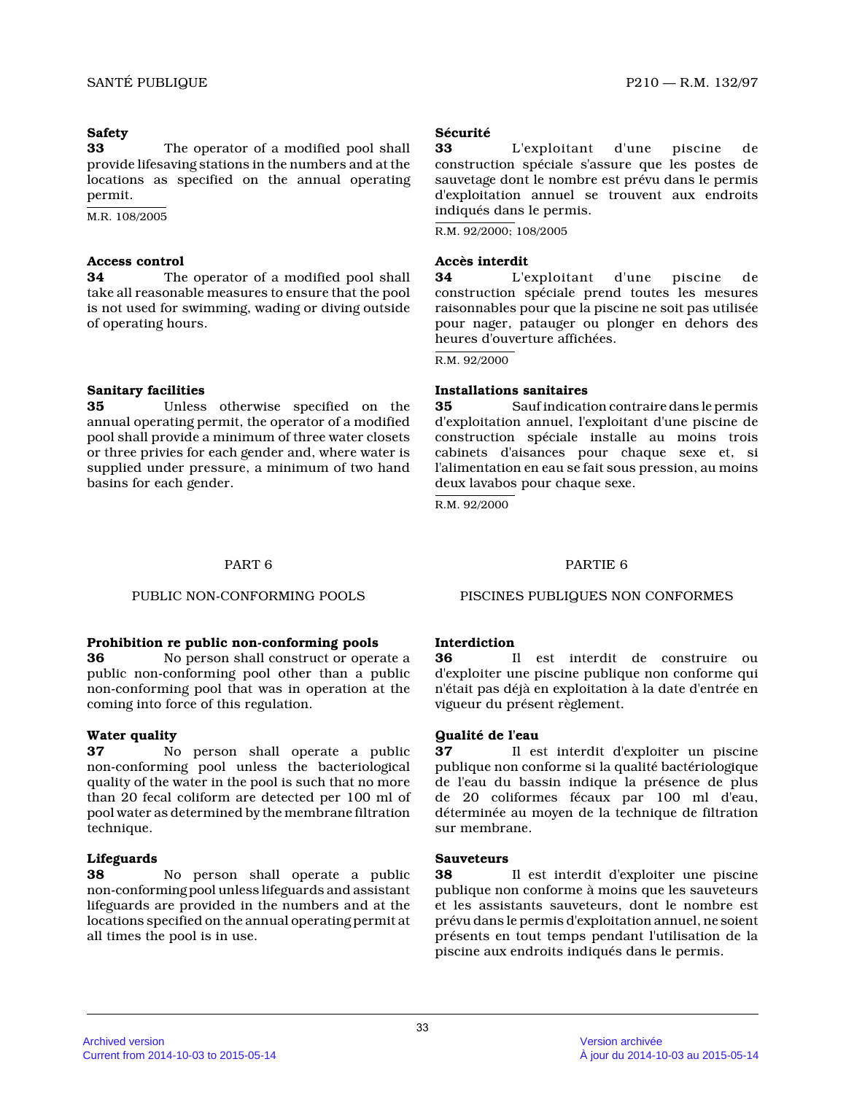# **Safety**

**33** The operator of a modified pool shall provide lifesaving stations in the numbers and at the locations as specified on the annual operating permit.

M.R. 108/2005

# **Access control**

**34** The operator of a modified pool shall take all reasonable measures to ensure that the poo l is not used for swimming, wading or diving outside of operating hours.

# **Sanitary facilities**

**35** Unless otherwise specified on the annual operating permit, the operator of a modified pool shall provide a minimum of three water closets or three privies for each gender and, where water i s supplied under pressure, a minimum of two hand basins for each gender.

# **Sécurité**

**33** L'exploitant d'une piscine de construction spéciale s'assure que les postes de sauvetage dont le nombre est prévu dans le permis d'exploitation annuel se trouvent aux endroits indiqués dans le permis.

R.M. 92/2000; 108/2005

# **Accès interdit**

**34** L'exploitant d'une piscine de construction spéciale prend toutes les mesures raisonnables pour que la piscine ne soit pas utilisée pour nager, patauger ou plonger en dehors des heures d'ouverture affichées.

R.M. 92/2000

# **Installations sanitaires**

**35** Sauf indication contraire dans le permis d'exploitation annuel, l'exploitant d'une piscine d e construction spéciale installe au moins trois cabinets d'aisances pour chaque sexe et, si l'alimentation en eau se fait sous pression, au moins deux lavabos pour chaque sexe.

R.M. 92/2000

# PART 6 PARTIE 6

# **Prohibition re public non-conforming pools**

**36** No person shall construct or operate a public non-conforming pool other than a public non-conforming pool that was in operation at the coming into force of this regulation.

# **Water quality**

**37** No person shall operate a public non-conforming pool unless the bacteriological quality of the water in the pool is such that no more than 20 fecal coliform are detected per 100 ml of pool water as determined by the membrane filtration technique.

# **Lifeguards**

**38** No person shall operate a public non-conforming pool unless lifeguards and assistant lifeguards are provided in the numbers and at the locations specified on the annual operating permit at all times the pool is in use.

PUBLIC NON-CONFORMING POOLS PISCINES PUBLIQUES NON CONFORMES

# **Interdiction**

**36** Il est interdit de construire ou d'exploiter une piscine publique non conforme qui n'était pas déjà en exploitation à la date d'entrée en vigueur du présent règlement.

# **Qualité de l'eau**

**37** Il est interdit d'exploiter un piscine publique non conforme si la qualité bactériologique de l'eau du bassin indique la présence de plus de 20 coliformes fécaux par 100 ml d'eau, déterminée au moyen de la technique de filtration sur membrane.

# **Sauveteurs**

**38** Il est interdit d'exploiter une piscine publique non conforme à moins que les sauveteurs et les assistants sauveteurs, dont le nombre est prévu dans le permis d'exploitation annuel, ne soient présents en tout temps pendant l'utilisation de la piscine aux endroits indiqués dans le permis.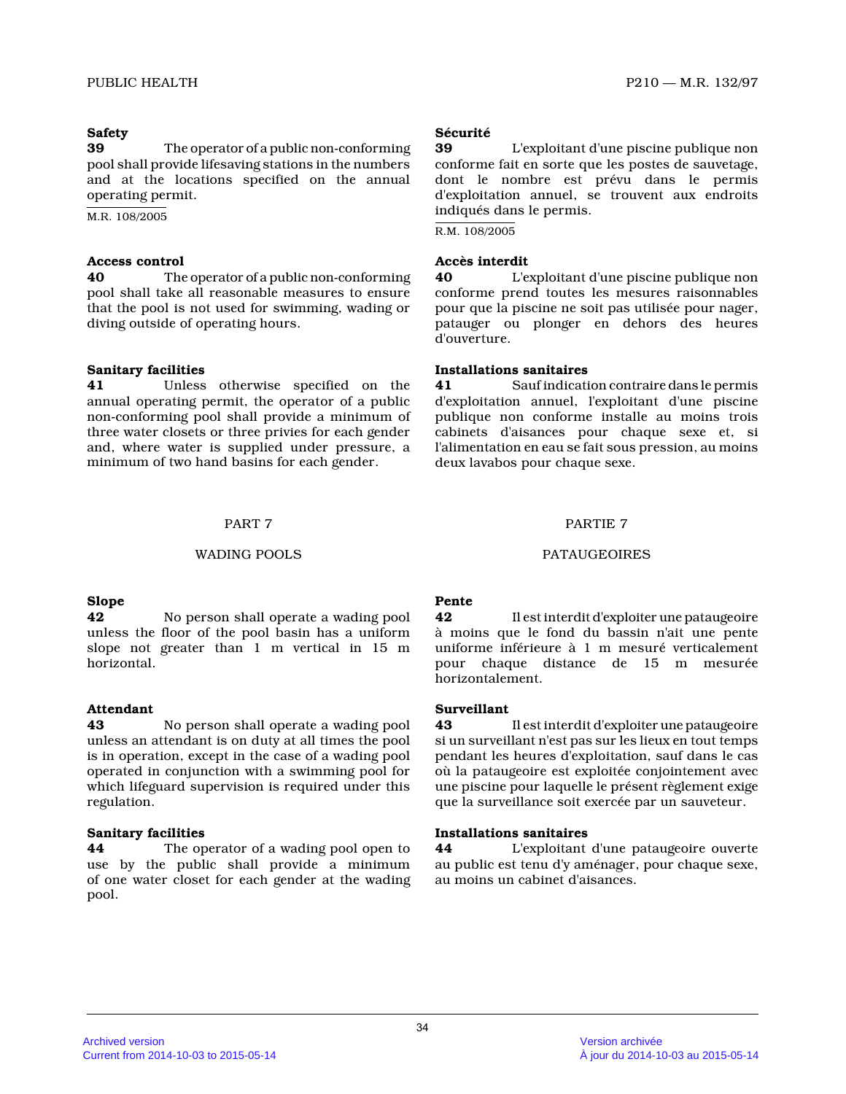# **Safety**

**39** The operator of a public non-conforming pool shall provide lifesaving stations in the numbers and at the locations specified on the annual operating permit.

M.R. 108/2005

# **Access control**

**40** The operator of a public non-conforming pool shall take all reasonable measures to ensure that the pool is not used for swimming, wading or diving outside of operating hours.

# **Sanitary facilities**

**41** Unless otherwise specified on the annual operating permit, the operator of a public non-conforming pool shall provide a minimum of three water closets or three privies for each gende r and, where water is supplied under pressure, a minimum of two hand basins for each gender.

#### WADING POOLS **PATAUGEOIRES**

#### **Slope**

**42** No person shall operate a wading pool unless the floor of the pool basin has a uniform slope not greater than 1 m vertical in 15 m horizontal.

# **Attendant**

**43** No person shall operate a wading pool unless an attendant is on duty at all times the poo l is in operation, except in the case of a wading poo l operated in conjunction with a swimming pool for which lifeguard supervision is required under this regulation.

#### **Sanitary facilities**

**44** The operator of a wading pool open to use by the public shall provide a minimum of one water closet for each gender at the wading pool.

# **Sécurité**

**39** L'exploitant d'une piscine publique non conforme fait en sorte que les postes de sauvetage, dont le nombre est prévu dans le permis d'exploitation annuel, se trouvent aux endroits indiqués dans le permis.

R.M. 108/2005

#### **Accès interdit**

**40** L'exploitant d'une piscine publique non conforme prend toutes les mesures raisonnables pour que la piscine ne soit pas utilisée pour nager , patauger ou plonger en dehors des heures d'ouverture.

#### **Installations sanitaires**

**41** Sauf indication contraire dans le permis d'exploitation annuel, l'exploitant d'une piscine publique non conforme installe au moins trois cabinets d'aisances pour chaque sexe et, si l'alimentation en eau se fait sous pression, au moins deux lavabos pour chaque sexe.

# PART 7 PARTIE 7

#### **Pente**

**42** Il est interdit d'exploiter une pataugeoire à moins que le fond du bassin n'ait une pente uniforme inférieure à 1 m mesuré verticalement pour chaque distance de 15 m mesurée horizontalement.

# **Surveillant**

**43** Il est interdit d'exploiter une pataugeoire si un surveillant n'est pas sur les lieux en tout temps pendant les heures d'exploitation, sauf dans le cas où la pataugeoire est exploitée conjointement avec une piscine pour laquelle le présent règlement exig e que la surveillance soit exercée par un sauveteur.

#### **Installations sanitaires**

**44** L'exploitant d'une pataugeoire ouverte au public est tenu d'y aménager, pour chaque sexe, au moins un cabinet d'aisances.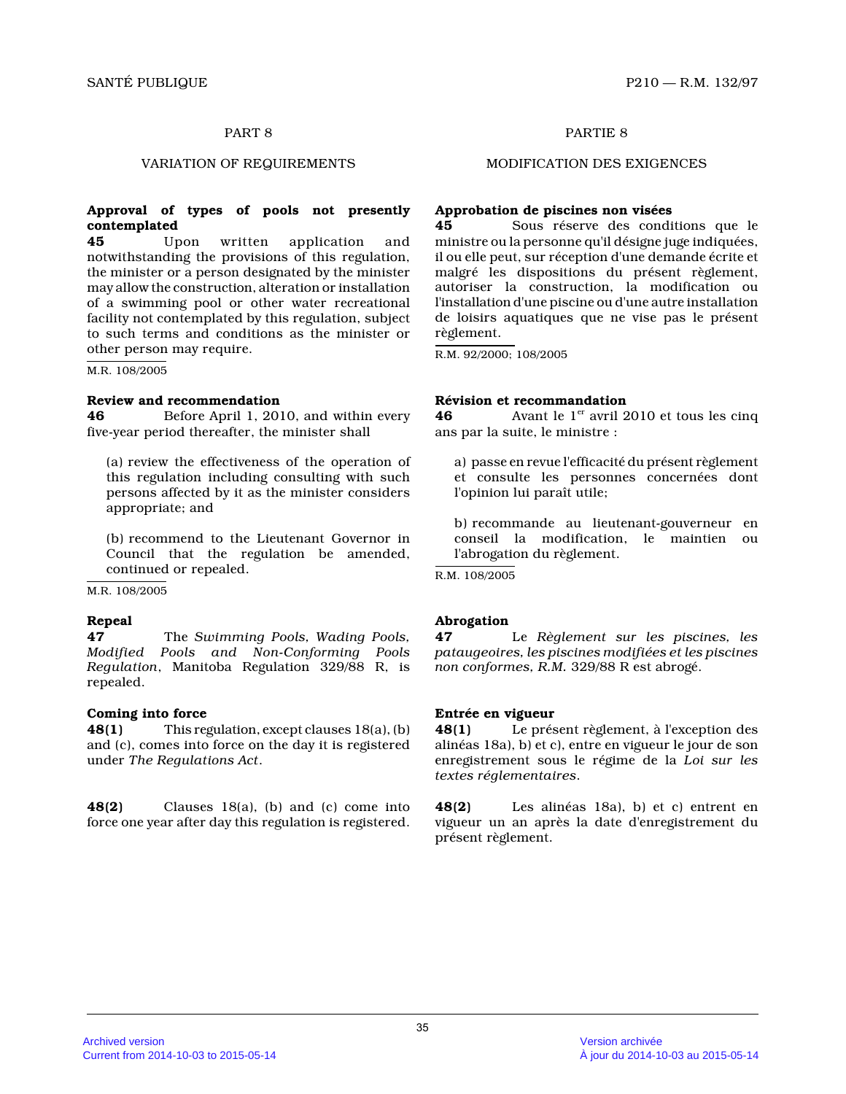### **Approval of types of pools not presently contemplated**

**45** Upon written application and notwithstanding the provisions of this regulation, the minister or a person designated by the minister may allow the construction, alteration or installation of a swimming pool or other water recreational facility not contemplated by this regulation, subject to such terms and conditions as the minister or other person may require.

M.R. 108/2005

#### **Review and recommendation**

**46** Before April 1, 2010, and within every five-year period thereafter, the minister shall

(a) review the effectiveness of the operation of this regulation including consulting with such persons affected by it as the minister considers appropriate; and

(b) recommend to the Lieutenant Governor in Council that the regulation be amended, continued or repealed.

M.R. 108/2005

#### **Repeal**

**47** The *Swimming Pools, Wading Pools, Modified Pools and Non-Conforming Pools Regulation*, Manitoba Regulation 329/88 R, is repealed.

#### **Coming into force**

**48(1)** This regulation, except clauses 18(a), (b) and (c), comes into force on the day it is registered under *The Regulations Act* .

**48(2)** Clauses 18(a), (b) and (c) come into force one year after day this regulation is registered.

# PART 8 PARTIE 8

#### VARIATION OF REQUIREMENTS MODIFICATION DES EXIGENCES

#### **Approbation de piscines non visées**

**45** Sous réserve des conditions que le ministre ou la personne qu'il désigne juge indiquées, il ou elle peut, sur réception d'une demande écrite et malgré les dispositions du présent règlement, autoriser la construction, la modification ou l'installation d'une piscine ou d'une autre installation de loisirs aquatiques que ne vise pas le présent règlement.

R.M. 92/2000; 108/2005

#### **Révision et recommandation**

**46** Avant le 1<sup>er</sup> avril 2010 et tous les cinq ans par la suite, le ministre :

a) passe en revue l'efficacité du présent règlement et consulte les personnes concernées dont l'opinion lui paraît utile;

b) recommande au lieutenant-gouverneur en conseil la modification, le maintien ou l'abrogation du règlement.

R.M. 108/2005

#### **Abrogation**

**47** Le *Règlement sur les piscines, les pataugeoires, les piscines modifiées et les piscine s non conformes, R.M.* 329/88 R est abrogé.

**Entrée en vigueur 48(1)** Le présent règlement, à l'exception des alinéas 18a), b) et c), entre en vigueur le jour de son enregistrement sous le régime de la *Loi sur les textes réglementaires* .

**48(2)** Les alinéas 18a), b) et c) entrent en vigueur un an après la date d'enregistrement du présent règlement.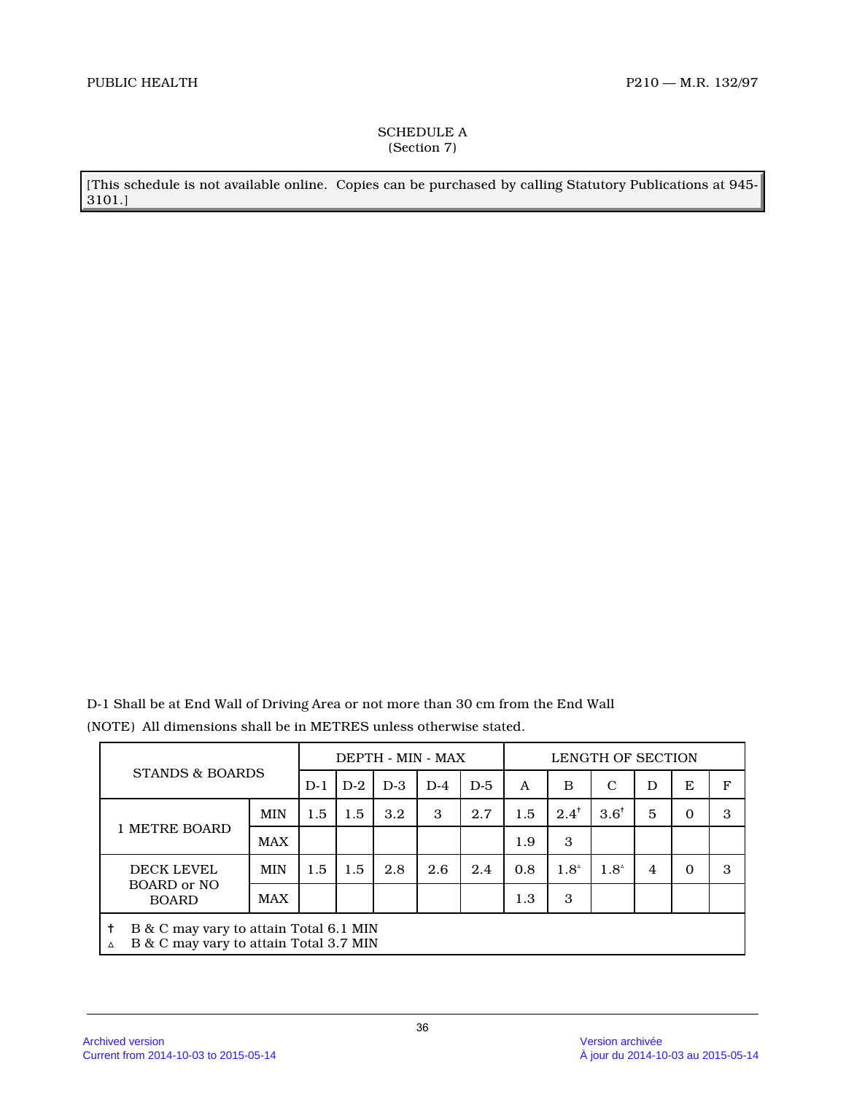# SCHEDULE A (Section 7)

[This schedule is not available online. Copies can be purchased by calling Statutory Publications at 945- 3101.]

D-1 Shall be at End Wall of Driving Area or not more than 30 cm from the End Wall (NOTE) All dimensions shall be in METRES unless otherwise stated.

| STANDS & BOARDS                                                                            |            | DEPTH - MIN - MAX |       |       |       |       | LENGTH OF SECTION |                 |                 |   |          |   |
|--------------------------------------------------------------------------------------------|------------|-------------------|-------|-------|-------|-------|-------------------|-----------------|-----------------|---|----------|---|
|                                                                                            |            | $D-1$             | $D-2$ | $D-3$ | $D-4$ | $D-5$ | A                 | B               | C               | D | E        | F |
| 1 METRE BOARD                                                                              | <b>MIN</b> | 1.5               | 1.5   | 3.2   | 3     | 2.7   | 1.5               | $2.4^{\dagger}$ | $3.6^{\dagger}$ | 5 | $\Omega$ | 3 |
|                                                                                            | <b>MAX</b> |                   |       |       |       |       | 1.9               | 3               |                 |   |          |   |
| <b>DECK LEVEL</b><br>BOARD or NO<br><b>BOARD</b>                                           | <b>MIN</b> | 1.5               | 1.5   | 2.8   | 2.6   | 2.4   | 0.8               | $1.8^{\circ}$   | $1.8^{\circ}$   | 4 | $\Omega$ | 3 |
|                                                                                            | <b>MAX</b> |                   |       |       |       |       | 1.3               | 3               |                 |   |          |   |
| t<br>B & C may vary to attain Total 6.1 MIN<br>B & C may vary to attain Total 3.7 MIN<br>Δ |            |                   |       |       |       |       |                   |                 |                 |   |          |   |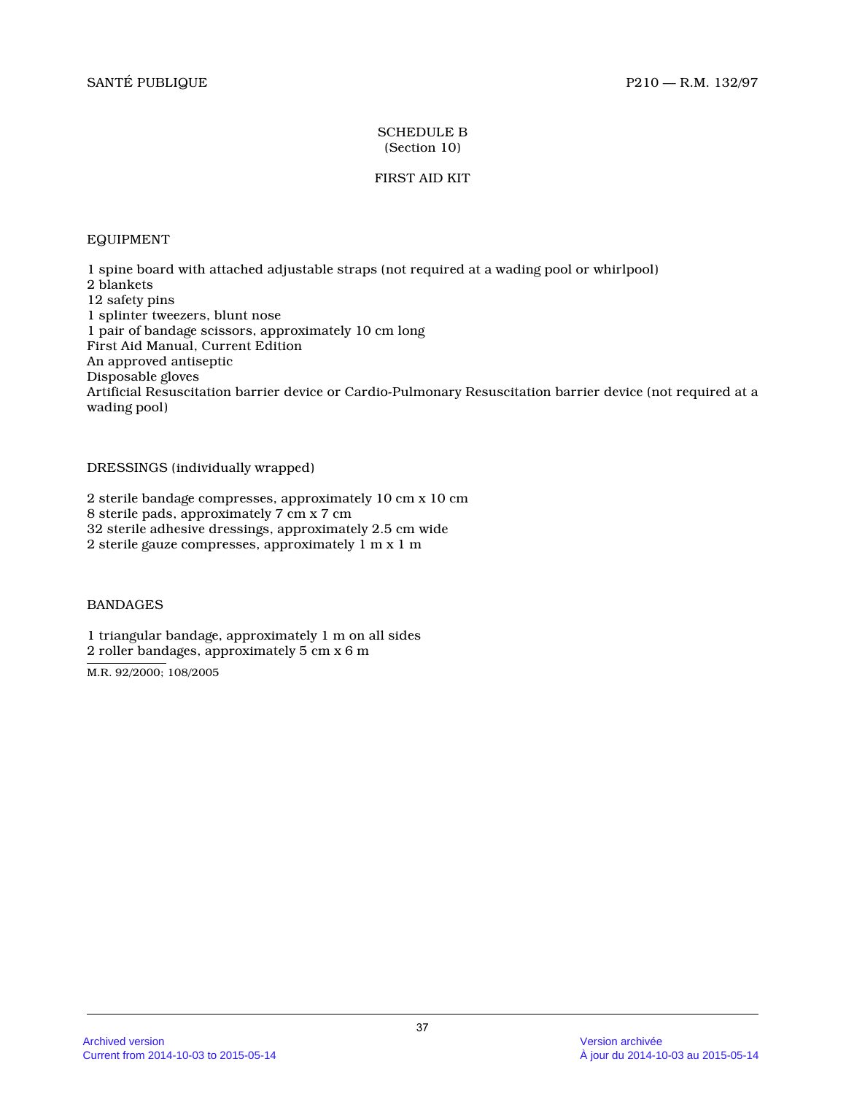# SCHEDULE B (Section 10)

# FIRST AID KIT

# EQUIPMENT

1 spine board with attached adjustable straps (not required at a wading pool or whirlpool) 2 blankets 12 safety pins 1 splinter tweezers, blunt nose 1 pair of bandage scissors, approximately 10 cm lon g First Aid Manual, Current Edition An approved antiseptic Disposable gloves Artificial Resuscitation barrier device or Cardio-Pulmonary Resuscitation barrier device (not required at a wading pool)

DRESSINGS (individually wrapped)

2 sterile bandage compresses, approximately 10 cm x 10 cm 8 sterile pads, approximately 7 cm x 7 cm 32 sterile adhesive dressings, approximately 2.5 cm wide 2 sterile gauze compresses, approximately 1 m x 1 m

BANDAGES

1 triangular bandage, approximately 1 m on all side s 2 roller bandages, approximately 5 cm x 6 m

M.R. 92/2000; 108/2005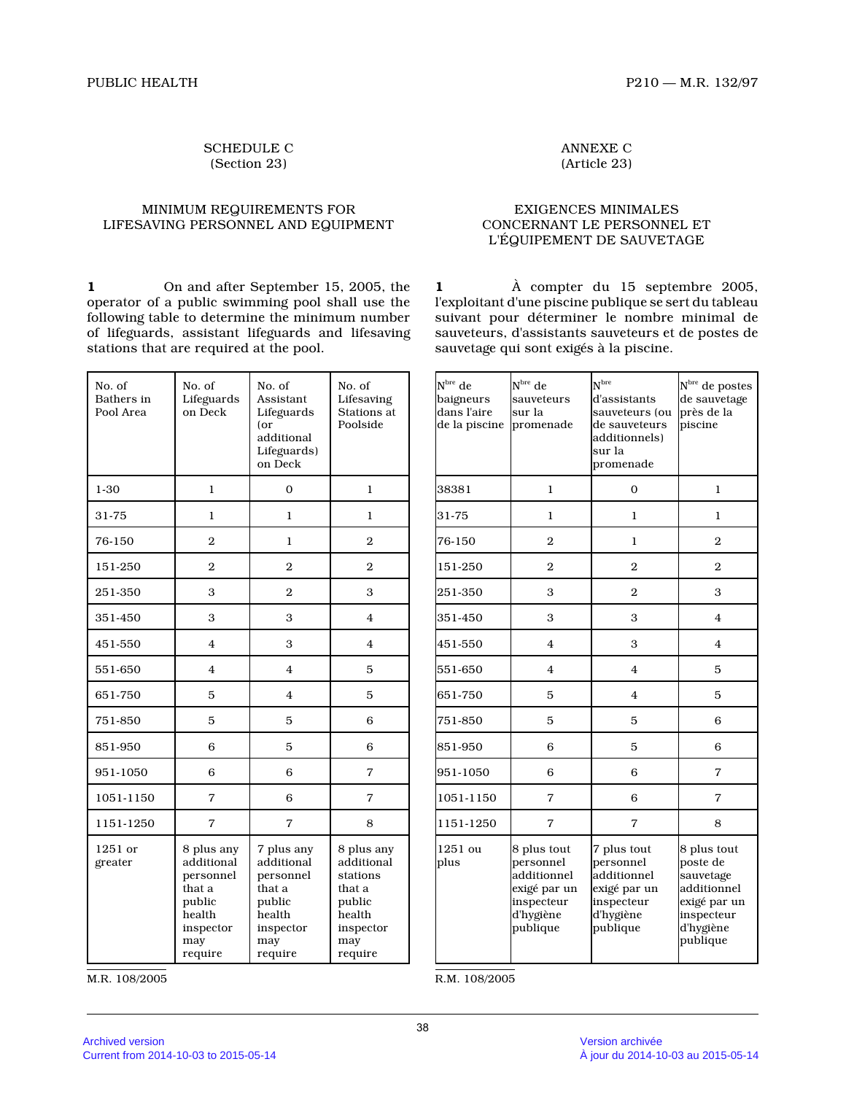# SCHEDULE C (Section 23)

#### MINIMUM REQUIREMENTS FOR LIFESAVING PERSONNEL AND EQUIPMENT

**1** On and after September 15, 2005, the operator of a public swimming pool shall use the following table to determine the minimum number of lifeguards, assistant lifeguards and lifesaving stations that are required at the pool.

| No. of<br>Bathers in<br>Pool Area | No. of<br>Lifeguards<br>on Deck                                                                    | No. of<br>Assistant<br>Lifeguards<br>(or<br>additional<br>Lifeguards)<br>on Deck                   | No. of<br>Lifesaving<br>Stations at<br>Poolside                                                   |  |  |
|-----------------------------------|----------------------------------------------------------------------------------------------------|----------------------------------------------------------------------------------------------------|---------------------------------------------------------------------------------------------------|--|--|
| 1-30                              | 1                                                                                                  | $\overline{0}$                                                                                     | 1                                                                                                 |  |  |
| 31-75                             | 1                                                                                                  | 1                                                                                                  | 1                                                                                                 |  |  |
| 76-150                            | $\overline{2}$                                                                                     | 1                                                                                                  | $\mathbf{2}$                                                                                      |  |  |
| 151-250                           | $\overline{2}$                                                                                     | 2                                                                                                  | $\mathbf{2}$                                                                                      |  |  |
| 251-350                           | 3                                                                                                  | $\overline{2}$                                                                                     | 3                                                                                                 |  |  |
| 351-450                           | 3                                                                                                  | 3                                                                                                  | 4                                                                                                 |  |  |
| 451-550                           | $\overline{4}$                                                                                     | 3                                                                                                  | $\overline{4}$                                                                                    |  |  |
| 551-650                           | $\overline{4}$                                                                                     |                                                                                                    | 5                                                                                                 |  |  |
| 651-750                           | 5                                                                                                  | 4                                                                                                  | 5                                                                                                 |  |  |
| 751-850                           | 5                                                                                                  | 5                                                                                                  | 6                                                                                                 |  |  |
| 851-950                           | 6                                                                                                  |                                                                                                    | 6                                                                                                 |  |  |
| 951-1050                          | 6                                                                                                  | 6                                                                                                  | $\overline{7}$                                                                                    |  |  |
| 1051-1150                         | 7                                                                                                  | 6                                                                                                  | 7                                                                                                 |  |  |
| 1151-1250                         | $\overline{7}$                                                                                     | 7                                                                                                  | 8                                                                                                 |  |  |
| 1251 or<br>greater                | 8 plus any<br>additional<br>personnel<br>that a<br>public<br>health<br>inspector<br>may<br>require | 7 plus any<br>additional<br>personnel<br>that a<br>public<br>health<br>inspector<br>may<br>require | 8 plus any<br>additional<br>stations<br>that a<br>public<br>health<br>inspector<br>may<br>require |  |  |

M.R. 108/2005

ANNEXE C (Article 23)

# EXIGENCES MINIMALES CONCERNANT LE PERSONNEL ET L'ÉQUIPEMENT DE SAUVETAGE

**1** À compter du 15 septembre 2005, l'exploitant d'une piscine publique se sert du tableau suivant pour déterminer le nombre minimal de sauveteurs, d'assistants sauveteurs et de postes de sauvetage qui sont exigés à la piscine.

| $N^{\rm bre}$ de<br>baigneurs<br>dans l'aire<br>de la piscine | $Nbre$ de<br>sauveteurs<br>sur la<br>promenade                                                 | N <sup>bre</sup><br>d'assistants<br>sauveteurs (ou<br>de sauveteurs<br>additionnels)<br>sur la<br>promenade | $N^{\rm bre}$ de postes<br>de sauvetage<br>près de la<br>piscine                                           |  |
|---------------------------------------------------------------|------------------------------------------------------------------------------------------------|-------------------------------------------------------------------------------------------------------------|------------------------------------------------------------------------------------------------------------|--|
| 38381                                                         | 1                                                                                              | $\Omega$                                                                                                    | 1                                                                                                          |  |
| 31-75                                                         | 1                                                                                              | 1                                                                                                           | 1                                                                                                          |  |
| 76-150                                                        | $\overline{2}$                                                                                 | 1                                                                                                           | $\overline{2}$                                                                                             |  |
| 151-250                                                       | $\overline{2}$                                                                                 | 2                                                                                                           | $\overline{2}$                                                                                             |  |
| 251-350                                                       | 3                                                                                              | $\overline{2}$                                                                                              | 3                                                                                                          |  |
| 351-450                                                       | 3                                                                                              | 3                                                                                                           | $\overline{4}$                                                                                             |  |
| 451-550                                                       | 4                                                                                              | 3                                                                                                           | 4                                                                                                          |  |
| 551-650                                                       | 4                                                                                              | $\overline{4}$                                                                                              | 5                                                                                                          |  |
| 651-750                                                       | 5                                                                                              | 4                                                                                                           | 5                                                                                                          |  |
| 751-850                                                       | 5                                                                                              | 5                                                                                                           | 6                                                                                                          |  |
| 851-950                                                       | 6                                                                                              | 5                                                                                                           | 6                                                                                                          |  |
| 951-1050                                                      | 6                                                                                              | 6                                                                                                           | 7                                                                                                          |  |
| 1051-1150                                                     | 7                                                                                              | 6                                                                                                           | 7                                                                                                          |  |
| 1151-1250                                                     | 7                                                                                              | 7                                                                                                           | 8                                                                                                          |  |
| 1251 ou<br>plus                                               | 8 plus tout<br>personnel<br>additionnel<br>exigé par un<br>inspecteur<br>d'hygiène<br>publique | 7 plus tout<br>personnel<br>additionnel<br>exigé par un<br>inspecteur<br>d'hygiène<br>publique              | 8 plus tout<br>poste de<br>sauvetage<br>additionnel<br>exigé par un<br>inspecteur<br>d'hygiène<br>publique |  |

R.M. 108/2005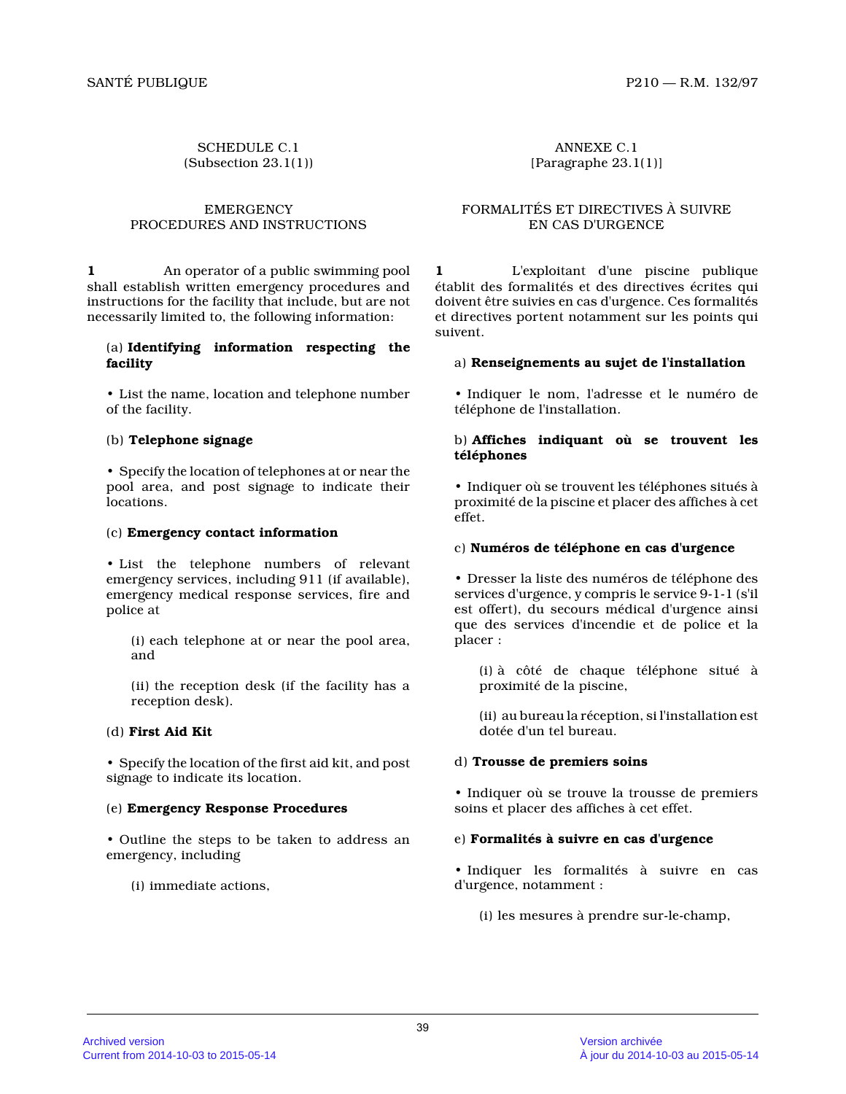SCHEDULE C.1 (Subsection 23.1(1))

#### **EMERGENCY** PROCEDURES AND INSTRUCTIONS

**1** An operator of a public swimming pool shall establish written emergency procedures and instructions for the facility that include, but are not necessarily limited to, the following information:

### (a) **Identifying information respecting the facility**

• List the name, location and telephone number of the facility.

# (b) **Telephone signage**

• Specify the location of telephones at or near the pool area, and post signage to indicate their locations.

#### (c) **Emergency contact information**

• List the telephone numbers of relevant emergency services, including 911 (if available), emergency medical response services, fire and police at

(i) each telephone at or near the pool area, and

(ii) the reception desk (if the facility has a reception desk).

#### (d) **First Aid Kit**

• Specify the location of the first aid kit, and pos t signage to indicate its location.

# (e) **Emergency Response Procedures**

• Outline the steps to be taken to address an emergency, including

(i) immediate actions,

ANNEXE C.1 [Paragraphe 23.1(1)]

# FORMALITÉS ET DIRECTIVES À SUIVRE EN CAS D'URGENCE

**1** L'exploitant d'une piscine publique établit des formalités et des directives écrites qu i doivent être suivies en cas d'urgence. Ces formalités et directives portent notamment sur les points qui suivent.

#### a) **Renseignements au sujet de l'installation**

• Indiquer le nom, l'adresse et le numéro de téléphone de l'installation.

### b) **Affiches indiquant où se trouvent les téléphones**

• Indiquer où se trouvent les téléphones situés à proximité de la piscine et placer des affiches à ce t effet.

### c) **Numéros de téléphone en cas d'urgence**

• Dresser la liste des numéros de téléphone des services d'urgence, y compris le service 9-1-1 (s'i l est offert), du secours médical d'urgence ainsi que des services d'incendie et de police et la placer :

(i) à côté de chaque téléphone situé à proximité de la piscine,

(ii) au bureau la réception, si l'installation est dotée d'un tel bureau.

# d) **Trousse de premiers soins**

• Indiquer où se trouve la trousse de premiers soins et placer des affiches à cet effet.

# e) **Formalités à suivre en cas d'urgence**

• Indiquer les formalités à suivre en cas d'urgence, notamment :

(i) les mesures à prendre sur-le-champ,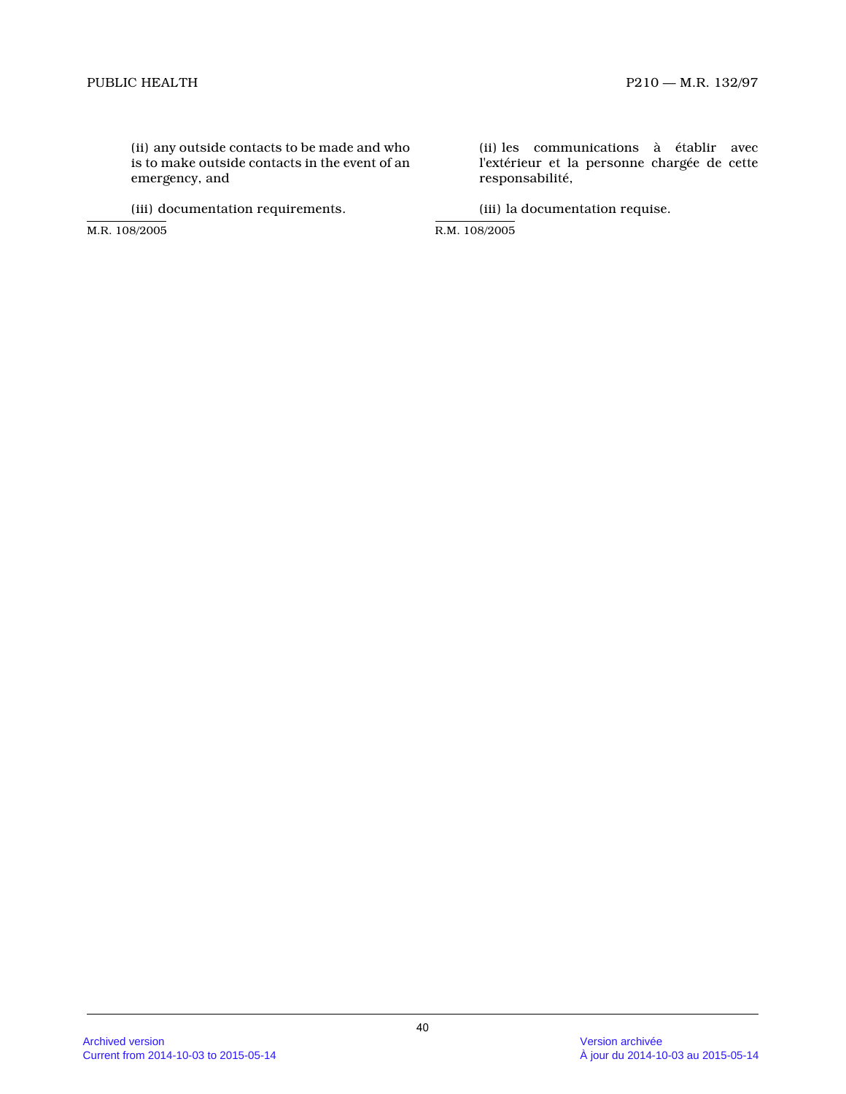(ii) any outside contacts to be made and who is to make outside contacts in the event of an emergency, and

(iii) documentation requirements.

M.R. 108/2005

(ii) les communications à établir avec l'extérieur et la personne chargée de cette responsabilité,

(iii) la documentation requise.

R.M. 108/2005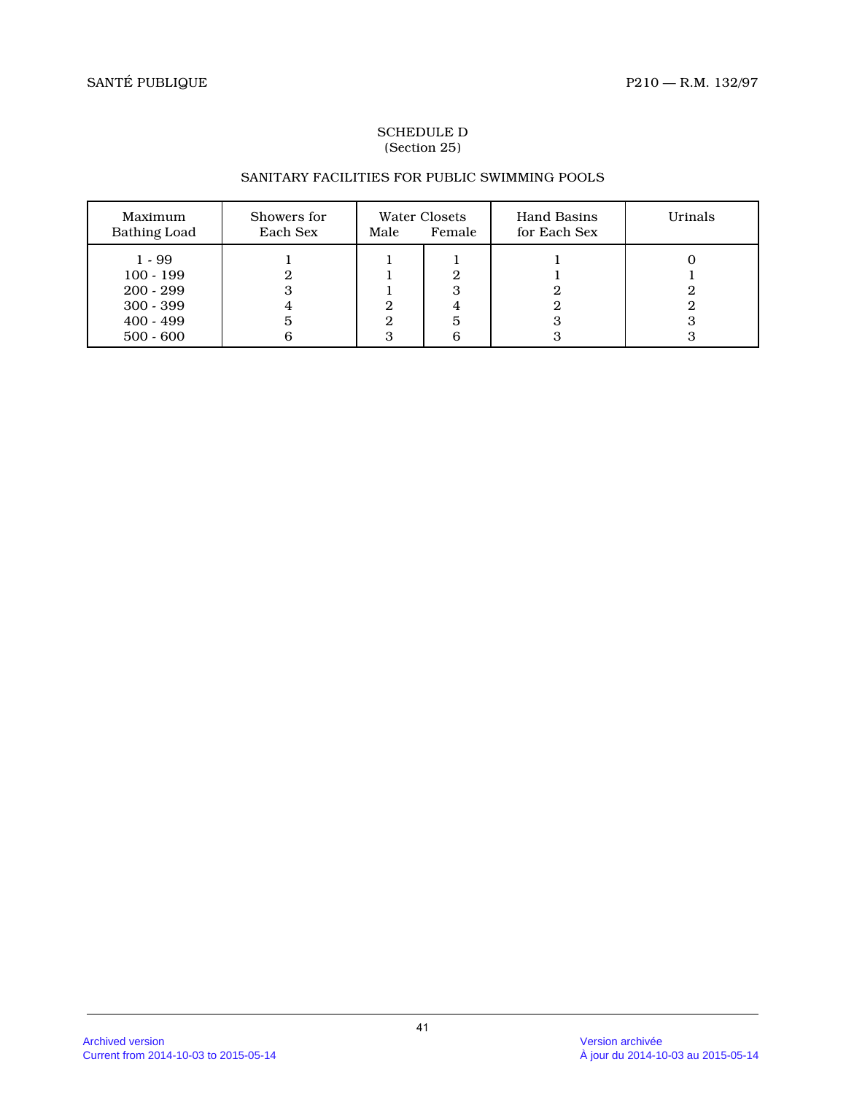# SCHEDULE D (Section 25)

# SANITARY FACILITIES FOR PUBLIC SWIMMING POOLS

| Maximum<br><b>Bathing Load</b>                                                      | Showers for<br>Each Sex | Male   | Water Closets<br>Female | <b>Hand Basins</b><br>for Each Sex | Urinals |
|-------------------------------------------------------------------------------------|-------------------------|--------|-------------------------|------------------------------------|---------|
| $1 - 99$<br>$100 - 199$<br>$200 - 299$<br>$300 - 399$<br>$400 - 499$<br>$500 - 600$ | 3<br>5<br>6             | 2<br>3 | 3<br>5<br>6             |                                    |         |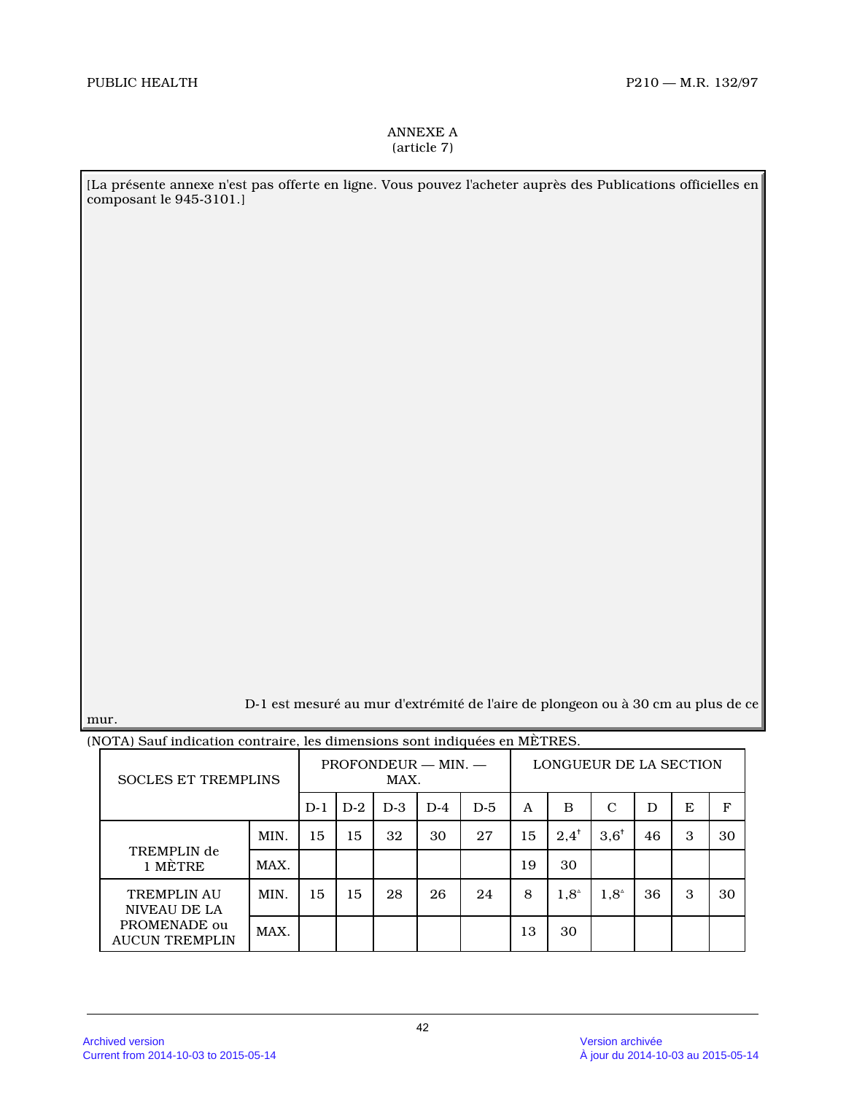# ANNEXE A (article 7)

[La présente annexe n'est pas offerte en ligne. Vous pouvez l'acheter auprès des Publications officielles en composant le 945-3101.]

D-1 est mesuré au mur d'extrémité de l'aire de plongeon ou à 30 cm au plus de ce

mur.

|  | $\mathbf{W}$ is a set indication contraint, its dimensions some indiquets on METREO. |      |                               |       |       |       |                        |    |                 |                 |    |   |    |
|--|--------------------------------------------------------------------------------------|------|-------------------------------|-------|-------|-------|------------------------|----|-----------------|-----------------|----|---|----|
|  | <b>SOCLES ET TREMPLINS</b>                                                           |      | $PROFONDEUR - MIN. -$<br>MAX. |       |       |       | LONGUEUR DE LA SECTION |    |                 |                 |    |   |    |
|  |                                                                                      | D-1  | $D-2$                         | $D-3$ | $D-4$ | $D-5$ | A                      | B  | C               | D               | E  | F |    |
|  | TREMPLIN de<br>1 MÉTRE                                                               | MIN. | 15                            | 15    | 32    | 30    | 27                     | 15 | $2.4^{\dagger}$ | $3.6^{\dagger}$ | 46 | 3 | 30 |
|  |                                                                                      | MAX. |                               |       |       |       |                        | 19 | 30              |                 |    |   |    |
|  | <b>TREMPLIN AU</b><br>NIVEAU DE LA<br>PROMENADE ou<br><b>AUCUN TREMPLIN</b>          | MIN. | 15                            | 15    | 28    | 26    | 24                     | 8  | $1.8^{\circ}$   | $1.8^{\circ}$   | 36 | 3 | 30 |
|  |                                                                                      | MAX. |                               |       |       |       |                        | 13 | 30              |                 |    |   |    |

(NOTA) Sauf indication contraire, les dimensions sont indiquées en MÈTRES.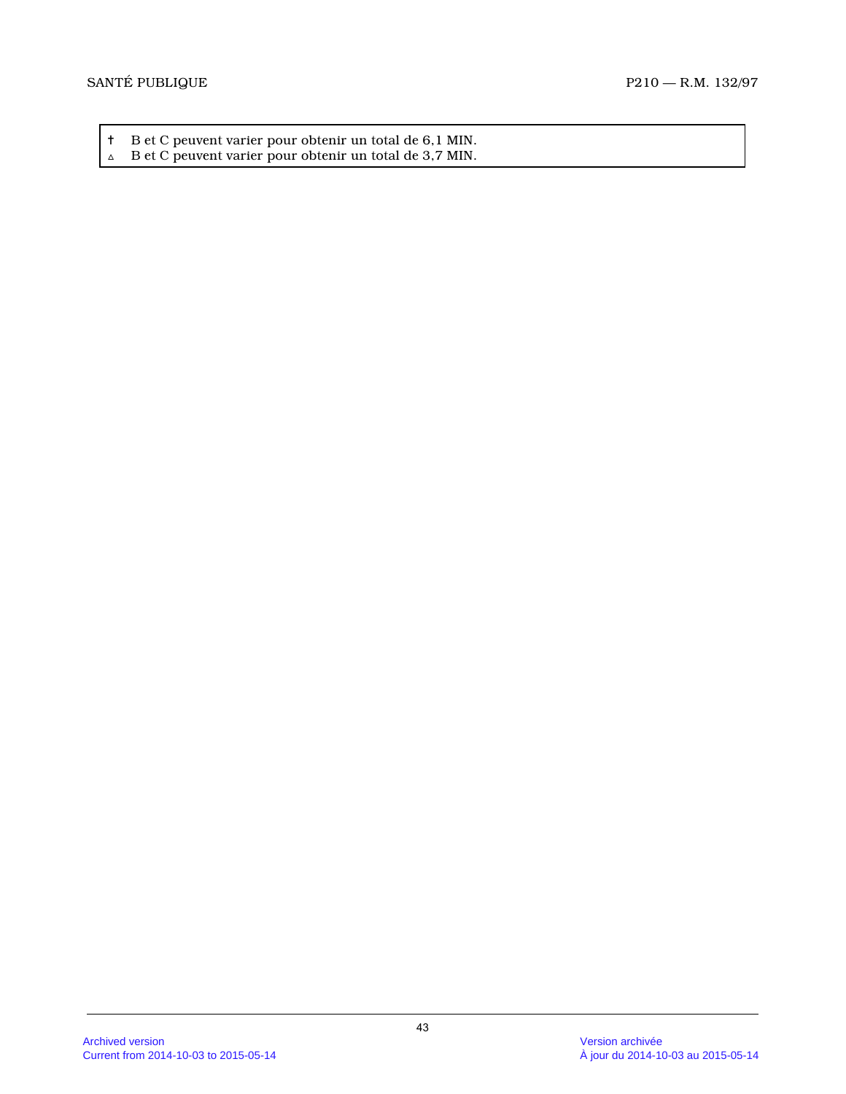- † B et C peuvent varier pour obtenir un total de 6,1 MIN. <br>△ B et C peuvent varier pour obtenir un total de 3,7 MIN.
-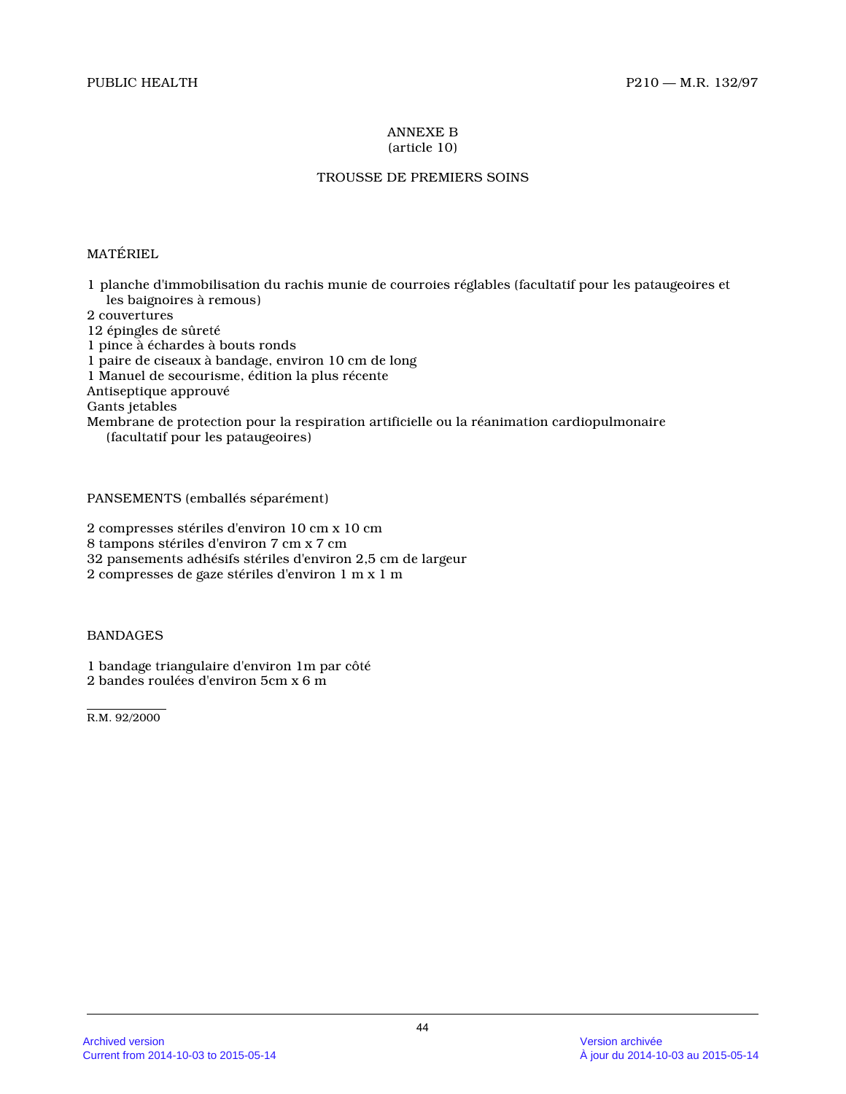#### ANNEXE B (article 10)

# TROUSSE DE PREMIERS SOINS

# MATÉRIEL

1 planche d'immobilisation du rachis munie de courroies réglables (facultatif pour les pataugeoires et les baignoires à remous)

2 couvertures

12 épingles de sûreté

1 pince à échardes à bouts ronds

1 paire de ciseaux à bandage, environ 10 cm de long

1 Manuel de secourisme, édition la plus récente

Antiseptique approuvé

Gants jetables

Membrane de protection pour la respiration artificielle ou la réanimation cardiopulmonaire (facultatif pour les pataugeoires)

PANSEMENTS (emballés séparément)

2 compresses stériles d'environ 10 cm x 10 cm

8 tampons stériles d'environ 7 cm x 7 cm

32 pansements adhésifs stériles d'environ 2,5 cm de largeur

2 compresses de gaze stériles d'environ 1 m x 1 m

# BANDAGES

1 bandage triangulaire d'environ 1m par côté 2 bandes roulées d'environ 5cm x 6 m

R.M. 92/2000